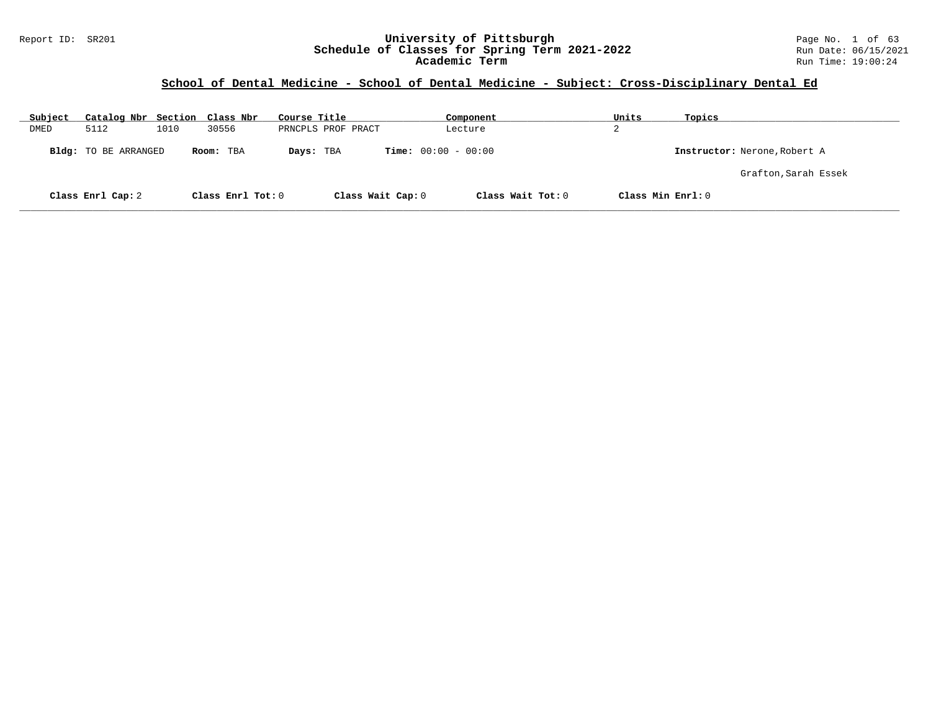#### Report ID: SR201 **University of Pittsburgh** Page No. 1 of 63 **Schedule of Classes for Spring Term 2021-2022** Run Date: 06/15/2021 **Academic Term** Run Time: 19:00:24

## **School of Dental Medicine - School of Dental Medicine - Subject: Cross-Disciplinary Dental Ed**

| Subject | Catalog Nbr Section Class Nbr |      |                   | Course Title |                    | Component                    | Units             | Topics                       |
|---------|-------------------------------|------|-------------------|--------------|--------------------|------------------------------|-------------------|------------------------------|
| DMED    | 5112                          | 1010 | 30556             |              | PRNCPLS PROF PRACT | Lecture                      | ∠                 |                              |
|         | Bldg: TO BE ARRANGED          |      | Room: TBA         | Days: TBA    |                    | <b>Time:</b> $00:00 - 00:00$ |                   | Instructor: Nerone, Robert A |
|         |                               |      |                   |              |                    |                              |                   | Grafton, Sarah Essek         |
|         | Class Enrl Cap: 2             |      | Class Enrl Tot: 0 |              | Class Wait Cap: 0  | Class Wait Tot: 0            | Class Min Enrl: 0 |                              |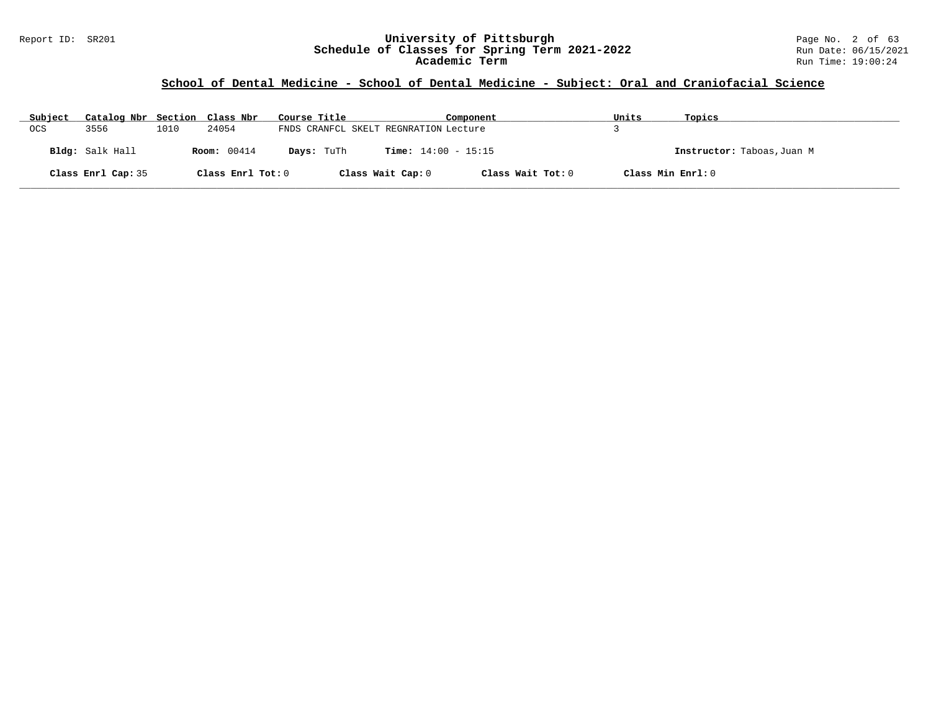## **School of Dental Medicine - School of Dental Medicine - Subject: Oral and Craniofacial Science**

| Subject | Catalog Nbr Section Class Nbr |      |                    | Course Title                          |                              | Component         | Units             | Topics                     |
|---------|-------------------------------|------|--------------------|---------------------------------------|------------------------------|-------------------|-------------------|----------------------------|
| OCS     | 3556                          | 1010 | 24054              | FNDS CRANFCL SKELT REGNRATION Lecture |                              |                   |                   |                            |
|         | Bldg: Salk Hall               |      | <b>Room:</b> 00414 | Days: TuTh                            | <b>Time:</b> $14:00 - 15:15$ |                   |                   | Instructor: Taboas, Juan M |
|         | Class Enrl Cap: 35            |      | Class Enrl Tot: 0  |                                       | Class Wait Cap: 0            | Class Wait Tot: 0 | Class Min Enrl: 0 |                            |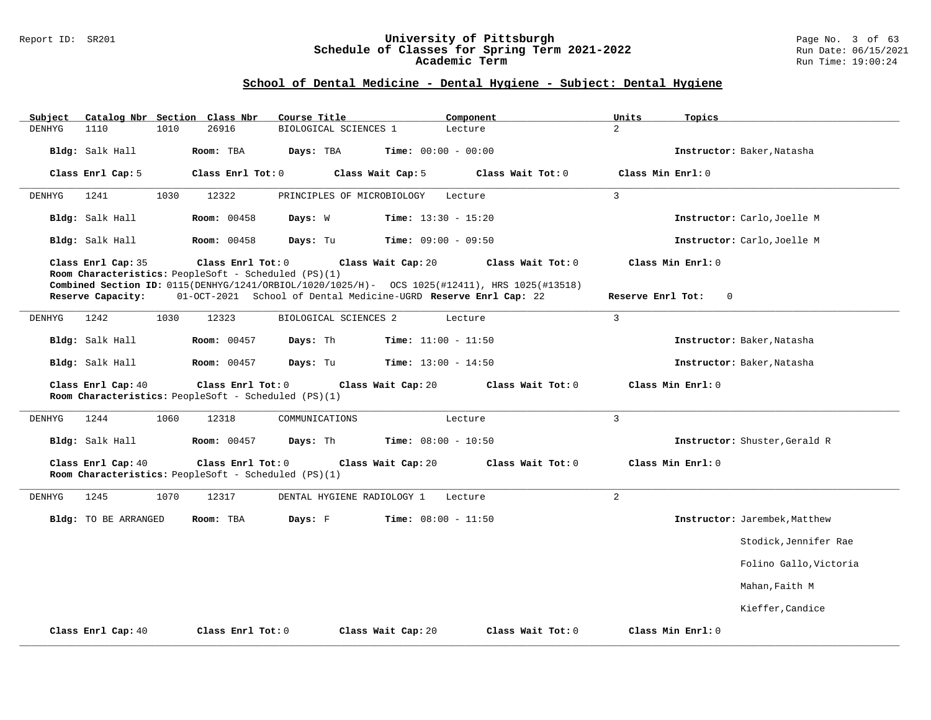#### Report ID: SR201 **University of Pittsburgh** Page No. 3 of 63 **Schedule of Classes for Spring Term 2021-2022** Run Date: 06/15/2021 **Academic Term** Run Time: 19:00:24

## **School of Dental Medicine - Dental Hygiene - Subject: Dental Hygiene**

| Catalog Nbr Section Class Nbr<br>Subject | Course Title<br>Component                                                                                                                                                                                                                                           | Units<br>Topics                                                         |
|------------------------------------------|---------------------------------------------------------------------------------------------------------------------------------------------------------------------------------------------------------------------------------------------------------------------|-------------------------------------------------------------------------|
| DENHYG<br>1110<br>1010                   | 26916<br>BIOLOGICAL SCIENCES 1<br>Lecture                                                                                                                                                                                                                           | $\overline{a}$                                                          |
| Bldg: Salk Hall                          | Room: TBA<br>Days: TBA<br><b>Time:</b> $00:00 - 00:00$                                                                                                                                                                                                              | Instructor: Baker, Natasha                                              |
| Class Enrl Cap: 5                        | Class Enrl Tot: 0<br>Class Wait Cap: 5                                                                                                                                                                                                                              | Class Wait Tot: 0<br>Class Min Enrl: 0                                  |
| 1241<br>DENHYG<br>1030                   | 12322<br>PRINCIPLES OF MICROBIOLOGY<br>Lecture                                                                                                                                                                                                                      | $\mathbf{3}$                                                            |
| Bldg: Salk Hall                          | <b>Room: 00458</b><br>Days: W<br><b>Time:</b> $13:30 - 15:20$                                                                                                                                                                                                       | Instructor: Carlo, Joelle M                                             |
| Bldg: Salk Hall                          | <b>Room: 00458</b><br>Days: Tu<br><b>Time:</b> $09:00 - 09:50$                                                                                                                                                                                                      | Instructor: Carlo, Joelle M                                             |
| Class Enrl Cap: 35<br>Reserve Capacity:  | Class Enrl Tot: 0<br>Class Wait Cap: 20<br>Room Characteristics: PeopleSoft - Scheduled (PS)(1)<br>Combined Section ID: 0115(DENHYG/1241/ORBIOL/1020/1025/H)- OCS 1025(#12411), HRS 1025(#13518)<br>01-OCT-2021 School of Dental Medicine-UGRD Reserve Enrl Cap: 22 | Class Min Enrl: 0<br>Class Wait Tot: 0<br>Reserve Enrl Tot:<br>$\Omega$ |
|                                          |                                                                                                                                                                                                                                                                     |                                                                         |
| 1242<br>1030<br>DENHYG                   | 12323<br>BIOLOGICAL SCIENCES 2<br>Lecture                                                                                                                                                                                                                           | $\overline{3}$                                                          |
| Bldg: Salk Hall                          | <b>Room: 00457</b><br>Days: Th<br><b>Time:</b> $11:00 - 11:50$                                                                                                                                                                                                      | Instructor: Baker, Natasha                                              |
| Bldg: Salk Hall                          | Days: Tu<br><b>Room:</b> 00457<br><b>Time:</b> $13:00 - 14:50$                                                                                                                                                                                                      | Instructor: Baker, Natasha                                              |
| Class Enrl Cap: 40                       | Class Wait Cap: 20<br>Class Enrl Tot: 0<br>Room Characteristics: PeopleSoft - Scheduled (PS)(1)                                                                                                                                                                     | Class Wait Tot: 0<br>Class Min Enrl: 0                                  |
| 1244<br>1060<br>DENHYG                   | 12318<br>COMMUNICATIONS<br>Lecture                                                                                                                                                                                                                                  | $\overline{3}$                                                          |
| Bldg: Salk Hall                          | Time: $08:00 - 10:50$<br><b>Room: 00457</b><br>Days: Th                                                                                                                                                                                                             | Instructor: Shuster, Gerald R                                           |
| Class Enrl Cap: 40                       | Class Enrl Tot: 0<br>Class Wait Cap: 20<br>Room Characteristics: PeopleSoft - Scheduled (PS)(1)                                                                                                                                                                     | Class Min Enrl: 0<br>Class Wait Tot: 0                                  |
| 1245<br>1070<br>DENHYG                   | 12317<br>DENTAL HYGIENE RADIOLOGY 1<br>Lecture                                                                                                                                                                                                                      | $\overline{2}$                                                          |
| Bldg: TO BE ARRANGED                     | Days: F<br><b>Time:</b> $08:00 - 11:50$<br>Room: TBA                                                                                                                                                                                                                | Instructor: Jarembek, Matthew                                           |
|                                          |                                                                                                                                                                                                                                                                     | Stodick, Jennifer Rae                                                   |
|                                          |                                                                                                                                                                                                                                                                     | Folino Gallo, Victoria                                                  |
|                                          |                                                                                                                                                                                                                                                                     | Mahan, Faith M                                                          |
|                                          |                                                                                                                                                                                                                                                                     | Kieffer, Candice                                                        |
| Class Enrl Cap: 40                       | Class Enrl Tot: 0<br>Class Wait Cap: 20                                                                                                                                                                                                                             | Class Min Enrl: 0<br>Class Wait Tot: 0                                  |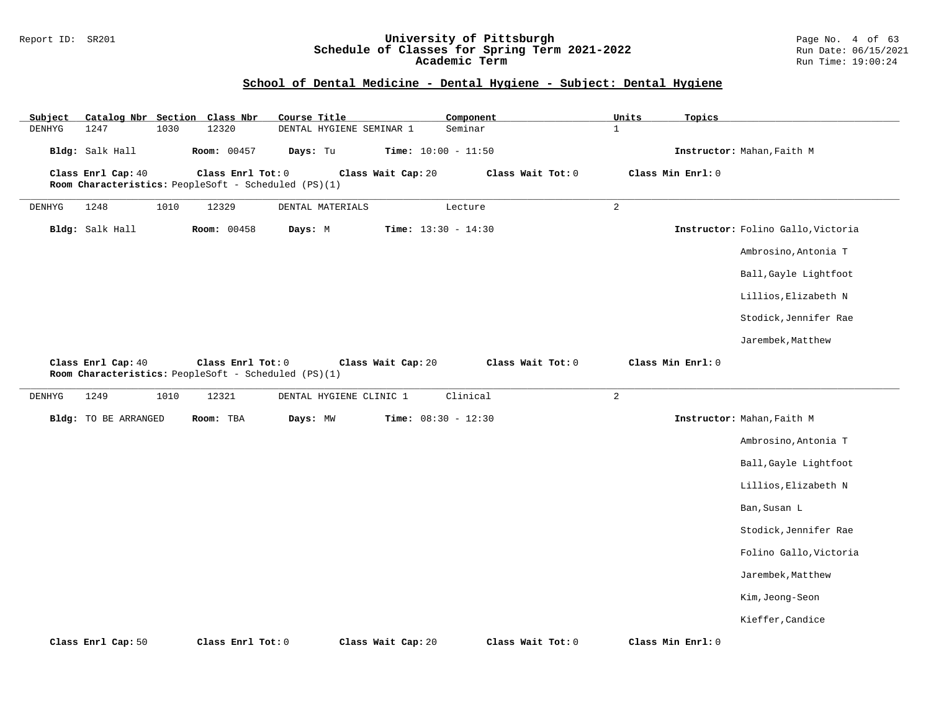#### Report ID: SR201 **University of Pittsburgh** Page No. 4 of 63 **Schedule of Classes for Spring Term 2021-2022** Run Date: 06/15/2021 **Academic Term** Run Time: 19:00:24

## **School of Dental Medicine - Dental Hygiene - Subject: Dental Hygiene**

| Subject |                             |      | Catalog Nbr Section Class Nbr                                             | Course Title     |                          | Component                    |                   | Units | Topics                             |
|---------|-----------------------------|------|---------------------------------------------------------------------------|------------------|--------------------------|------------------------------|-------------------|-------|------------------------------------|
| DENHYG  | 1247                        | 1030 | 12320                                                                     |                  | DENTAL HYGIENE SEMINAR 1 | Seminar                      | $\mathbf{1}$      |       |                                    |
|         | Bldg: Salk Hall             |      | <b>Room:</b> 00457                                                        | Days: Tu         |                          | <b>Time:</b> $10:00 - 11:50$ |                   |       | Instructor: Mahan, Faith M         |
|         | Class Enrl Cap: 40          |      | Class Enrl Tot: 0<br>Room Characteristics: PeopleSoft - Scheduled (PS)(1) |                  | Class Wait Cap: 20       |                              | Class Wait Tot: 0 |       | Class Min Enrl: 0                  |
| DENHYG  | 1248                        | 1010 | 12329                                                                     | DENTAL MATERIALS |                          | Lecture                      | $\overline{a}$    |       |                                    |
|         | Bldg: Salk Hall             |      | <b>Room: 00458</b>                                                        | Days: M          |                          | <b>Time:</b> $13:30 - 14:30$ |                   |       | Instructor: Folino Gallo, Victoria |
|         |                             |      |                                                                           |                  |                          |                              |                   |       | Ambrosino, Antonia T               |
|         |                             |      |                                                                           |                  |                          |                              |                   |       | Ball, Gayle Lightfoot              |
|         |                             |      |                                                                           |                  |                          |                              |                   |       | Lillios, Elizabeth N               |
|         |                             |      |                                                                           |                  |                          |                              |                   |       | Stodick, Jennifer Rae              |
|         |                             |      |                                                                           |                  |                          |                              |                   |       | Jarembek, Matthew                  |
|         | Class Enrl Cap: 40          |      | Class Enrl Tot: 0<br>Room Characteristics: PeopleSoft - Scheduled (PS)(1) |                  | Class Wait Cap: 20       |                              | Class Wait Tot: 0 |       | Class Min Enrl: 0                  |
| DENHYG  | 1249                        | 1010 | 12321                                                                     |                  | DENTAL HYGIENE CLINIC 1  | Clinical                     | $\overline{a}$    |       |                                    |
|         | <b>Bldg:</b> TO BE ARRANGED |      | Room: TBA                                                                 | Days: MW         |                          | <b>Time:</b> $08:30 - 12:30$ |                   |       | Instructor: Mahan, Faith M         |
|         |                             |      |                                                                           |                  |                          |                              |                   |       | Ambrosino, Antonia T               |
|         |                             |      |                                                                           |                  |                          |                              |                   |       | Ball, Gayle Lightfoot              |
|         |                             |      |                                                                           |                  |                          |                              |                   |       | Lillios, Elizabeth N               |
|         |                             |      |                                                                           |                  |                          |                              |                   |       | Ban, Susan L                       |
|         |                             |      |                                                                           |                  |                          |                              |                   |       | Stodick, Jennifer Rae              |
|         |                             |      |                                                                           |                  |                          |                              |                   |       | Folino Gallo, Victoria             |
|         |                             |      |                                                                           |                  |                          |                              |                   |       | Jarembek, Matthew                  |
|         |                             |      |                                                                           |                  |                          |                              |                   |       | Kim, Jeong-Seon                    |
|         |                             |      |                                                                           |                  |                          |                              |                   |       | Kieffer, Candice                   |
|         | Class Enrl Cap: 50          |      | Class Enrl Tot: 0                                                         |                  | Class Wait Cap: 20       |                              | Class Wait Tot: 0 |       | Class Min Enrl: 0                  |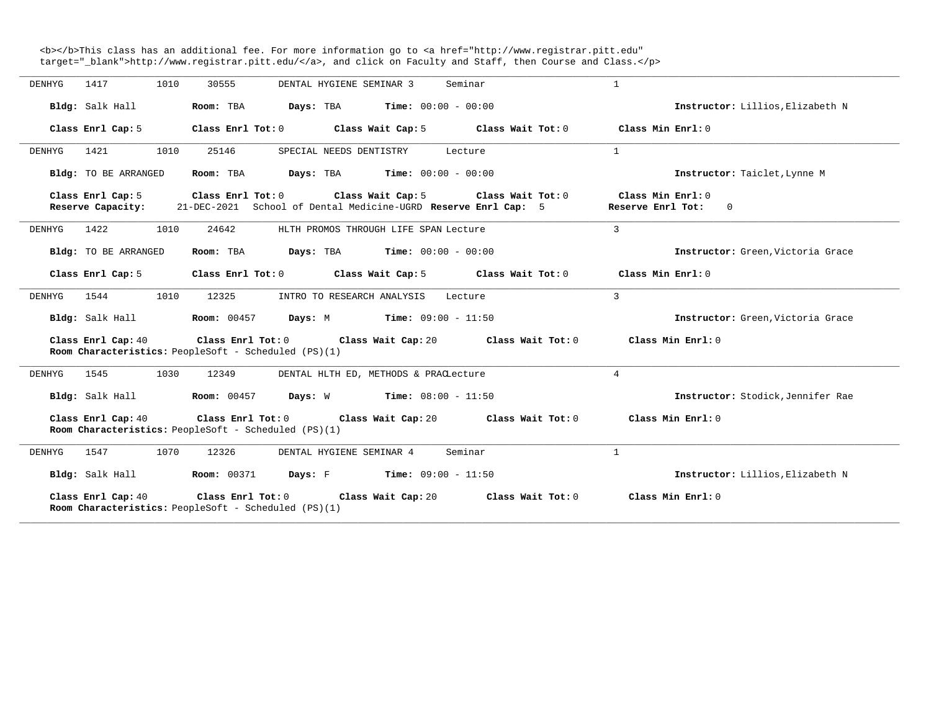<b></b>This class has an additional fee. For more information go to <a href="http://www.registrar.pitt.edu" target="\_blank">http://www.registrar.pitt.edu/</a>, and click on Faculty and Staff, then Course and Class.</p>

| DENHYG<br>1417    |                      | 1010 | 30555             |                                                                                                                      | DENTAL HYGIENE SEMINAR 3   |                                       | Seminar |                                     | 1                                                                                |                                   |
|-------------------|----------------------|------|-------------------|----------------------------------------------------------------------------------------------------------------------|----------------------------|---------------------------------------|---------|-------------------------------------|----------------------------------------------------------------------------------|-----------------------------------|
| Bldg: Salk Hall   |                      |      | Room: TBA         | <b>Days:</b> TBA <b>Time:</b> $00:00 - 00:00$                                                                        |                            |                                       |         |                                     |                                                                                  | Instructor: Lillios, Elizabeth N  |
| Class Enrl Cap: 5 |                      |      |                   | Class Enrl Tot: 0 Class Wait Cap: 5                                                                                  |                            |                                       |         |                                     | Class Wait Tot: $0$ $\qquad$ Class Min Enrl: $0$                                 |                                   |
| 1421<br>DENHYG    |                      | 1010 | 25146             |                                                                                                                      | SPECIAL NEEDS DENTISTRY    |                                       | Lecture |                                     | $\mathbf{1}$                                                                     |                                   |
|                   | Bldg: TO BE ARRANGED |      |                   | Room: TBA $Days: TBA$ Time: $00:00 - 00:00$                                                                          |                            |                                       |         |                                     |                                                                                  | Instructor: Taiclet, Lynne M      |
| Class Enrl Cap: 5 |                      |      | Class Enrl Tot: 0 | Reserve Capacity: 21-DEC-2021 School of Dental Medicine-UGRD Reserve Enrl Cap: 5                                     |                            |                                       |         | Class Wait Cap: 5 Class Wait Tot: 0 | Class Min Enrl: 0<br>Reserve Enrl Tot:                                           | $\overline{0}$                    |
| 1422<br>DENHYG    |                      | 1010 | 24642             |                                                                                                                      |                            | HLTH PROMOS THROUGH LIFE SPAN Lecture |         |                                     | $\mathbf{3}$                                                                     |                                   |
|                   | Bldg: TO BE ARRANGED |      |                   | Room: TBA $Days:$ TBA $Time: 00:00 - 00:00$                                                                          |                            |                                       |         |                                     |                                                                                  | Instructor: Green, Victoria Grace |
|                   | Class Enrl Cap: 5    |      |                   |                                                                                                                      |                            |                                       |         |                                     | Class Enrl Tot: $0$ Class Wait Cap: $5$ Class Wait Tot: $0$ Class Min Enrl: $0$  |                                   |
| 1544<br>DENHYG    |                      | 1010 | 12325             |                                                                                                                      | INTRO TO RESEARCH ANALYSIS |                                       | Lecture |                                     | $\mathbf{3}$                                                                     |                                   |
|                   |                      |      |                   | Bldg: Salk Hall <b>Room:</b> 00457 <b>Days:</b> M <b>Time:</b> 09:00 - 11:50                                         |                            |                                       |         |                                     |                                                                                  | Instructor: Green, Victoria Grace |
|                   | Class Enrl Cap: 40   |      |                   | Class Enrl Tot: $0$ Class Wait Cap: $20$ Class Wait Tot: $0$<br>Room Characteristics: PeopleSoft - Scheduled (PS)(1) |                            |                                       |         |                                     |                                                                                  | Class Min Enrl: 0                 |
| DENHYG            | 1545 1030            |      | 12349             |                                                                                                                      |                            | DENTAL HLTH ED, METHODS & PRACLecture |         |                                     | $\overline{4}$                                                                   |                                   |
|                   |                      |      |                   | Bldg: Salk Hall $\blacksquare$ Room: 00457 Days: W Time: 08:00 - 11:50                                               |                            |                                       |         |                                     |                                                                                  | Instructor: Stodick, Jennifer Rae |
|                   | Class Enrl Cap: 40   |      |                   | Class Enrl Tot: 0 Class Wait Cap: 20<br>Room Characteristics: PeopleSoft - Scheduled (PS)(1)                         |                            |                                       |         | Class Wait Tot: 0                   |                                                                                  | Class Min Enrl: 0                 |
| 1547<br>DENHYG    |                      | 1070 | 12326             |                                                                                                                      | DENTAL HYGIENE SEMINAR 4   |                                       | Seminar |                                     | $\mathbf{1}$                                                                     |                                   |
|                   |                      |      |                   | Bldg: Salk Hall <b>Room:</b> 00371 <b>Days:</b> F <b>Time:</b> 09:00 - 11:50                                         |                            |                                       |         |                                     |                                                                                  | Instructor: Lillios, Elizabeth N  |
|                   | Class Enrl Cap: 40   |      |                   | Room Characteristics: PeopleSoft - Scheduled (PS)(1)                                                                 |                            |                                       |         |                                     | Class Enrl Tot: $0$ Class Wait Cap: $20$ Class Wait Tot: $0$ Class Min Enrl: $0$ |                                   |

**\_\_\_\_\_\_\_\_\_\_\_\_\_\_\_\_\_\_\_\_\_\_\_\_\_\_\_\_\_\_\_\_\_\_\_\_\_\_\_\_\_\_\_\_\_\_\_\_\_\_\_\_\_\_\_\_\_\_\_\_\_\_\_\_\_\_\_\_\_\_\_\_\_\_\_\_\_\_\_\_\_\_\_\_\_\_\_\_\_\_\_\_\_\_\_\_\_\_\_\_\_\_\_\_\_\_\_\_\_\_\_\_\_\_\_\_\_\_\_\_\_\_\_\_\_\_\_\_\_\_\_\_\_\_\_\_\_\_\_\_\_\_\_\_\_\_\_\_\_\_\_\_\_\_\_\_**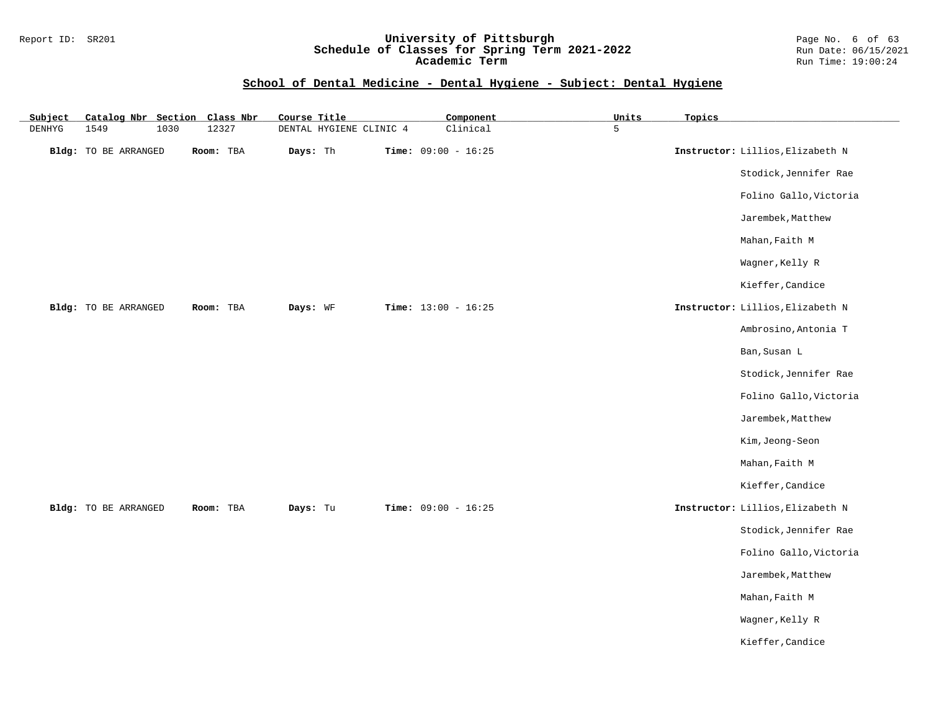#### Report ID: SR201 **University of Pittsburgh** Page No. 6 of 63 **Schedule of Classes for Spring Term 2021-2022** Run Date: 06/15/2021 **Academic Term** Run Time: 19:00:24

## **School of Dental Medicine - Dental Hygiene - Subject: Dental Hygiene**

| Subject       | Catalog Nbr Section Class Nbr |           | Course Title            | Component             | Units | Topics |                                  |
|---------------|-------------------------------|-----------|-------------------------|-----------------------|-------|--------|----------------------------------|
| <b>DENHYG</b> | 1549<br>1030                  | 12327     | DENTAL HYGIENE CLINIC 4 | Clinical              | 5     |        |                                  |
|               | Bldg: TO BE ARRANGED          | Room: TBA | Days: Th                | Time: $09:00 - 16:25$ |       |        | Instructor: Lillios, Elizabeth N |
|               |                               |           |                         |                       |       |        | Stodick, Jennifer Rae            |
|               |                               |           |                         |                       |       |        | Folino Gallo, Victoria           |
|               |                               |           |                         |                       |       |        | Jarembek, Matthew                |
|               |                               |           |                         |                       |       |        | Mahan, Faith M                   |
|               |                               |           |                         |                       |       |        | Wagner, Kelly R                  |
|               |                               |           |                         |                       |       |        | Kieffer, Candice                 |
|               | Bldg: TO BE ARRANGED          | Room: TBA | Days: WF                | Time: $13:00 - 16:25$ |       |        | Instructor: Lillios, Elizabeth N |
|               |                               |           |                         |                       |       |        | Ambrosino, Antonia T             |
|               |                               |           |                         |                       |       |        | Ban, Susan L                     |
|               |                               |           |                         |                       |       |        | Stodick, Jennifer Rae            |
|               |                               |           |                         |                       |       |        | Folino Gallo, Victoria           |
|               |                               |           |                         |                       |       |        | Jarembek, Matthew                |
|               |                               |           |                         |                       |       |        | Kim, Jeong-Seon                  |
|               |                               |           |                         |                       |       |        | Mahan, Faith M                   |
|               |                               |           |                         |                       |       |        | Kieffer, Candice                 |
|               | Bldg: TO BE ARRANGED          | Room: TBA | Days: Tu                | Time: $09:00 - 16:25$ |       |        | Instructor: Lillios, Elizabeth N |
|               |                               |           |                         |                       |       |        | Stodick, Jennifer Rae            |
|               |                               |           |                         |                       |       |        | Folino Gallo, Victoria           |
|               |                               |           |                         |                       |       |        | Jarembek, Matthew                |
|               |                               |           |                         |                       |       |        | Mahan, Faith M                   |
|               |                               |           |                         |                       |       |        | Wagner, Kelly R                  |
|               |                               |           |                         |                       |       |        | Kieffer, Candice                 |
|               |                               |           |                         |                       |       |        |                                  |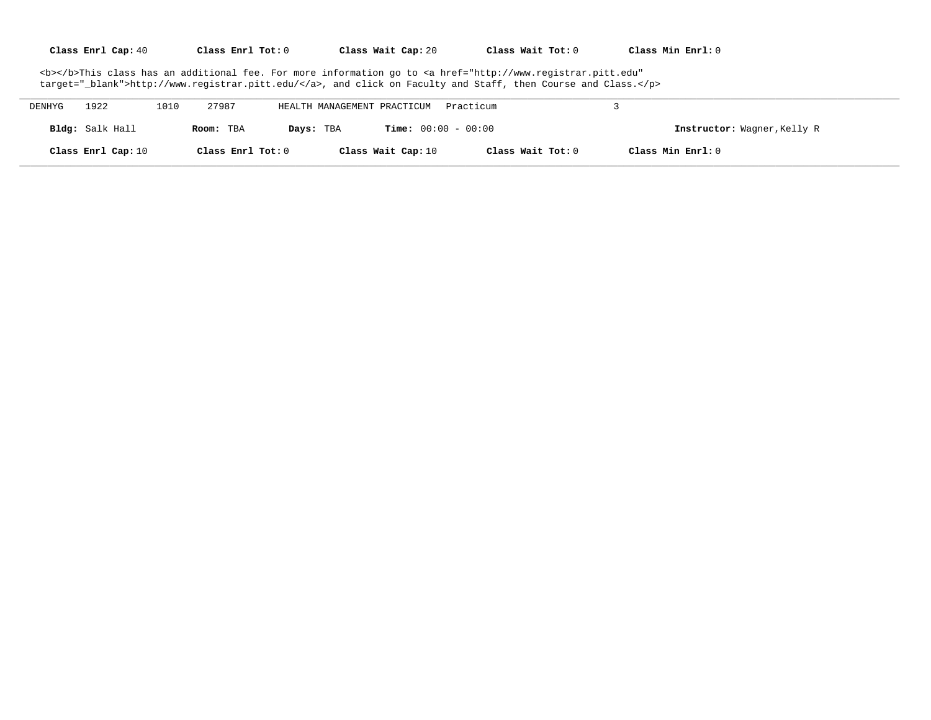| Class Enrl Cap: 40 | Class Enrl Tot: 0 | Class Wait Cap: 20 | Class Wait Tot: 0 | Class Min Enrl: 0 |
|--------------------|-------------------|--------------------|-------------------|-------------------|
|--------------------|-------------------|--------------------|-------------------|-------------------|

<b></b>This class has an additional fee. For more information go to <a href="http://www.registrar.pitt.edu" target="\_blank">http://www.registrar.pitt.edu/</a>, and click on Faculty and Staff, then Course and Class.</p>

| DENHYG | 1922               | 1010 | 27987             | HEALTH MANAGEMENT PRACTICUM |                    | Practicum                    |                             |
|--------|--------------------|------|-------------------|-----------------------------|--------------------|------------------------------|-----------------------------|
|        | Bldg: Salk Hall    |      | Room: TBA         | Days: TBA                   |                    | <b>Time:</b> $00:00 - 00:00$ | Instructor: Wagner, Kelly R |
|        | Class Enrl Cap: 10 |      | Class Enrl Tot: 0 |                             | Class Wait Cap: 10 | Class Wait Tot: 0            | Class Min Enrl: 0           |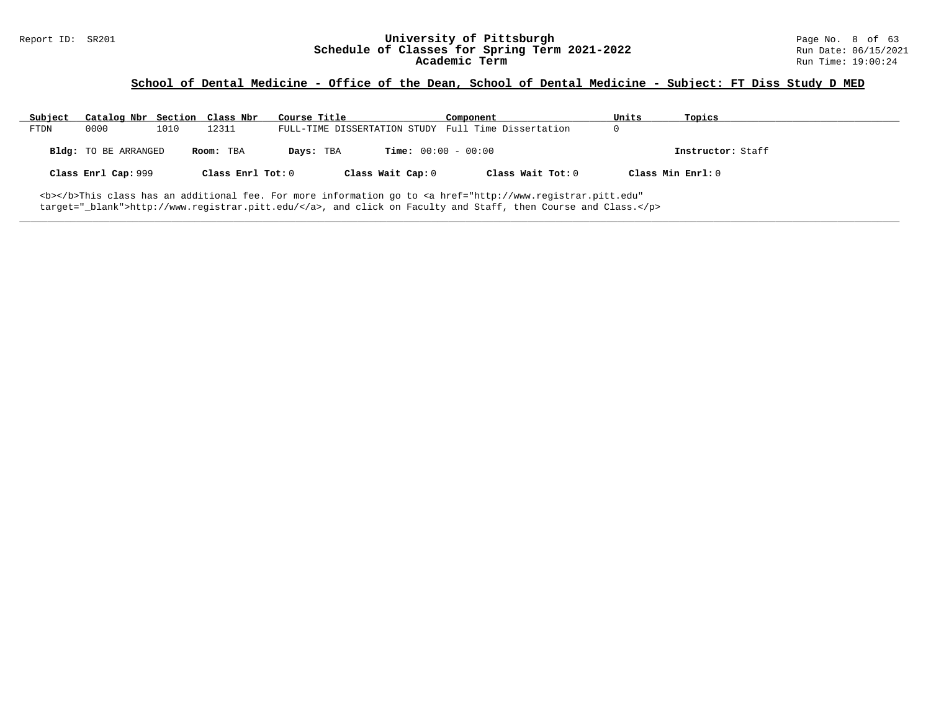# Report ID: SR201 **University of Pittsburgh University of Pittsburgh** Page No. 8 of 63<br>**Schedule of Classes for Spring Term 2021-2022** Run Date: 06/15/2021 Schedule of Classes for Spring Term 2021-2022<br>Academic Term

## **School of Dental Medicine - Office of the Dean, School of Dental Medicine - Subject: FT Diss Study D MED**

| Subject | Catalog Nbr Section Class Nbr |      |                   | Course Title |                              | Component                                                                                                                                      | Units             | Topics            |
|---------|-------------------------------|------|-------------------|--------------|------------------------------|------------------------------------------------------------------------------------------------------------------------------------------------|-------------------|-------------------|
| FTDN    | 0000                          | 1010 | 12311             |              |                              | FULL-TIME DISSERTATION STUDY Full Time Dissertation                                                                                            |                   |                   |
|         | <b>Bldg:</b> TO BE ARRANGED   |      | Room: TBA         | Days: TBA    | <b>Time:</b> $00:00 - 00:00$ |                                                                                                                                                |                   | Instructor: Staff |
|         | Class Enrl Cap: 999           |      | Class Enrl Tot: 0 |              | Class Wait Cap: 0            | Class Wait Tot: 0                                                                                                                              | Class Min Enrl: 0 |                   |
|         |                               |      |                   |              |                              | <b></b> This class has an additional fee. For more information go to <a <="" href="http://www.registrar.pitt.edu" td=""><td></td><td></td></a> |                   |                   |

**\_\_\_\_\_\_\_\_\_\_\_\_\_\_\_\_\_\_\_\_\_\_\_\_\_\_\_\_\_\_\_\_\_\_\_\_\_\_\_\_\_\_\_\_\_\_\_\_\_\_\_\_\_\_\_\_\_\_\_\_\_\_\_\_\_\_\_\_\_\_\_\_\_\_\_\_\_\_\_\_\_\_\_\_\_\_\_\_\_\_\_\_\_\_\_\_\_\_\_\_\_\_\_\_\_\_\_\_\_\_\_\_\_\_\_\_\_\_\_\_\_\_\_\_\_\_\_\_\_\_\_\_\_\_\_\_\_\_\_\_\_\_\_\_\_\_\_\_\_\_\_\_\_\_\_\_**

target="\_blank">http://www.registrar.pitt.edu/</a>, and click on Faculty and Staff, then Course and Class.</p>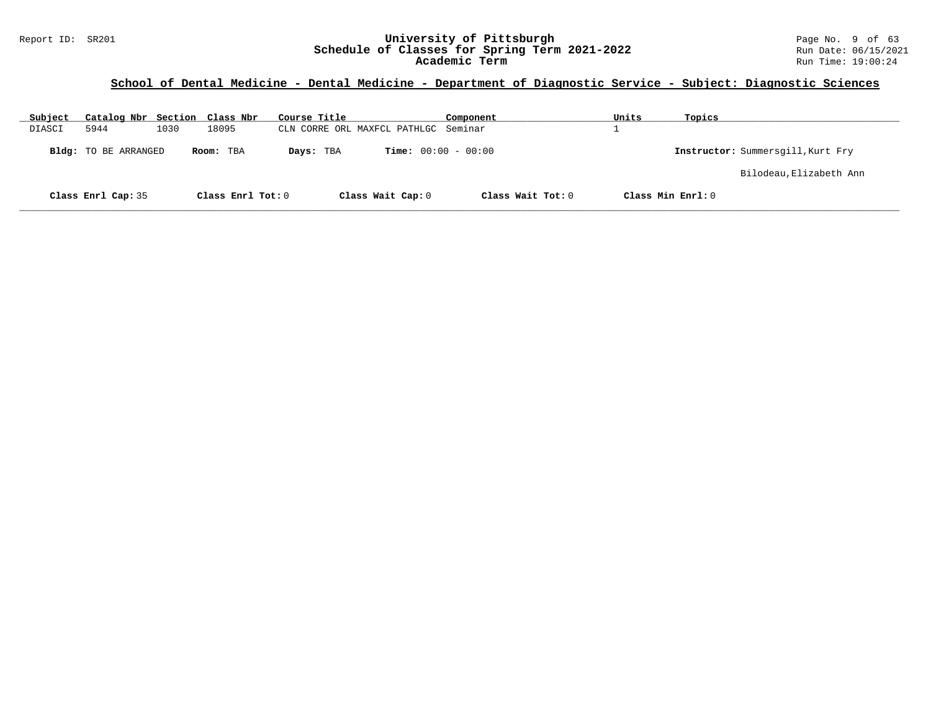#### Report ID: SR201 **University of Pittsburgh** Page No. 9 of 63 **Schedule of Classes for Spring Term 2021-2022** Run Date: 06/15/2021 **Academic Term** Run Time: 19:00:24

| Subject | Catalog Nbr Section Class Nbr |      |                   | Course Title                         |                              | Component         | Units | Topics                            |
|---------|-------------------------------|------|-------------------|--------------------------------------|------------------------------|-------------------|-------|-----------------------------------|
| DIASCI  | 5944                          | 1030 | 18095             | CLN CORRE ORL MAXFCL PATHLGC Seminar |                              |                   |       |                                   |
|         | Bldg: TO BE ARRANGED          |      | Room: TBA         | Days: TBA                            | <b>Time:</b> $00:00 - 00:00$ |                   |       | Instructor: Summersgill, Kurt Fry |
|         |                               |      |                   |                                      |                              |                   |       | Bilodeau, Elizabeth Ann           |
|         | Class Enrl Cap: 35            |      | Class Enrl Tot: 0 |                                      | Class Wait Cap: 0            | Class Wait Tot: 0 |       | Class Min Enrl: 0                 |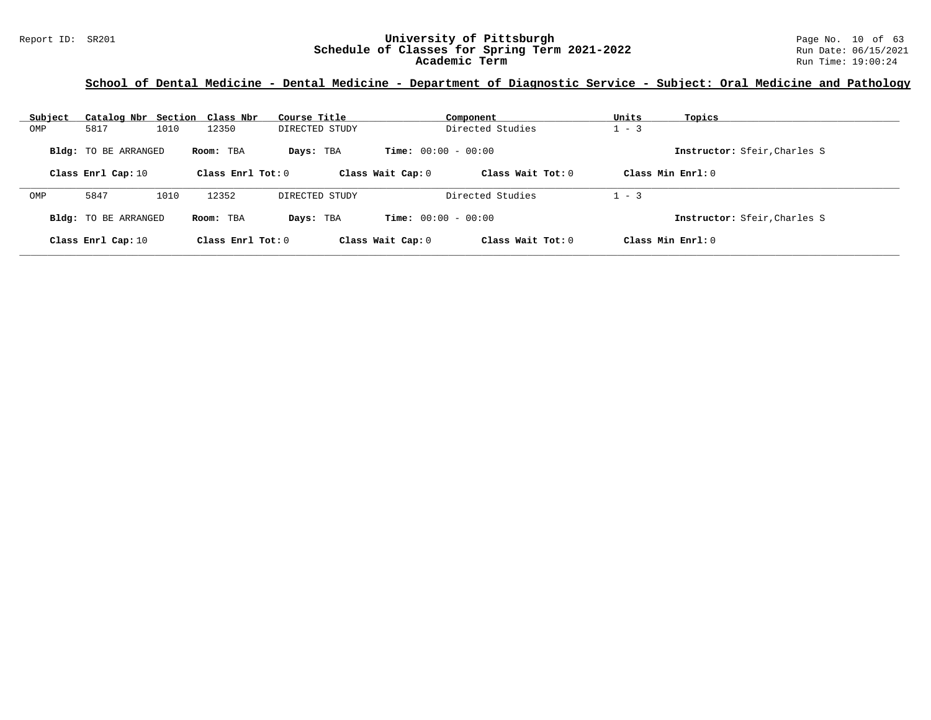#### Report ID: SR201 **University of Pittsburgh** Page No. 10 of 63 **Schedule of Classes for Spring Term 2021-2022** Run Date: 06/15/2021 **Academic Term** Run Time: 19:00:24

| Subject | Catalog Nbr Section Class Nbr |      |                     | Course Title   |                              | Component         | Units   | Topics                      |
|---------|-------------------------------|------|---------------------|----------------|------------------------------|-------------------|---------|-----------------------------|
| OMP     | 5817                          | 1010 | 12350               | DIRECTED STUDY |                              | Directed Studies  | $1 - 3$ |                             |
|         | <b>Bldg:</b> TO BE ARRANGED   |      | Room: TBA           | Days: TBA      | <b>Time:</b> $00:00 - 00:00$ |                   |         | Instructor: Sfeir.Charles S |
|         | Class Enrl Cap: 10            |      | Class Enrl Tot: $0$ |                | Class Wait Cap: 0            | Class Wait Tot: 0 |         | Class Min $Enr1: 0$         |
| OMP     | 5847                          | 1010 | 12352               | DIRECTED STUDY |                              | Directed Studies  | $1 - 3$ |                             |
|         | Bldg: TO BE ARRANGED          |      | Room: TBA           | Days: TBA      | <b>Time:</b> $00:00 - 00:00$ |                   |         | Instructor: Sfeir.Charles S |
|         | Class Enrl Cap: 10            |      | Class Enrl Tot: $0$ |                | Class Wait Cap: 0            | Class Wait Tot: 0 |         | Class Min $Enr1: 0$         |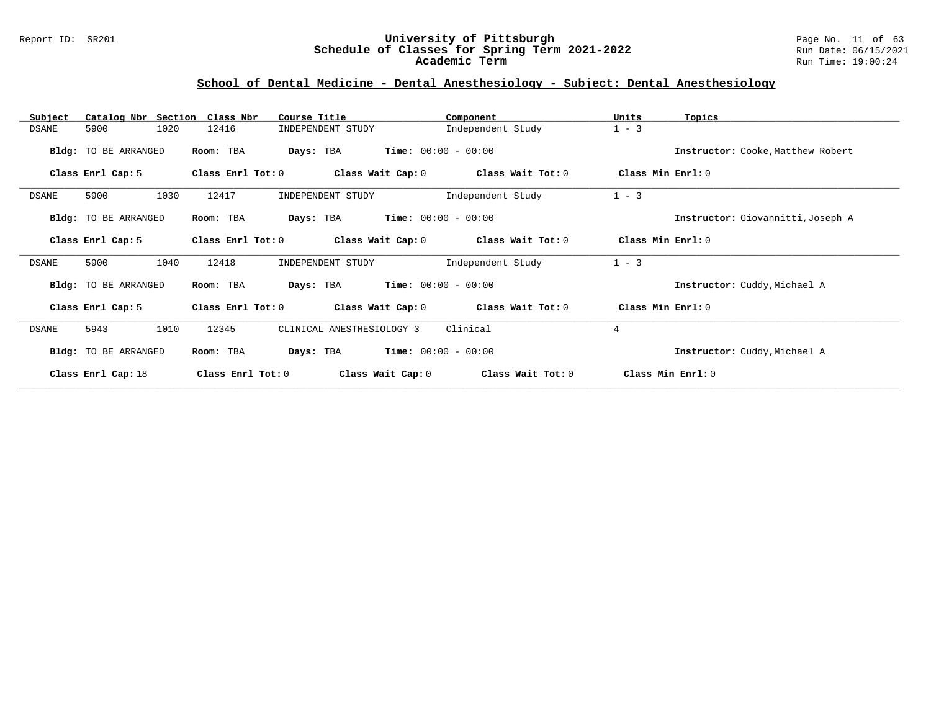#### Report ID: SR201 **University of Pittsburgh** Page No. 11 of 63 **Schedule of Classes for Spring Term 2021-2022** Run Date: 06/15/2021 **Academic Term** Run Time: 19:00:24

## **School of Dental Medicine - Dental Anesthesiology - Subject: Dental Anesthesiology**

| Catalog Nbr Section Class Nbr<br>Subject | Course Title                             | Component                    | Units<br>Topics                   |
|------------------------------------------|------------------------------------------|------------------------------|-----------------------------------|
| 1020<br>5900<br>DSANE                    | 12416<br>INDEPENDENT STUDY               | Independent Study            | $1 - 3$                           |
| Bldg: TO BE ARRANGED                     | Room: TBA<br>Days: TBA                   | <b>Time:</b> $00:00 - 00:00$ | Instructor: Cooke, Matthew Robert |
| Class Enrl Cap: 5                        | Class Enrl Tot: 0<br>Class Wait Cap: 0   | Class Wait Tot: 0            | Class Min Enrl: 0                 |
| 5900<br>1030<br>DSANE                    | 12417<br>INDEPENDENT STUDY               | Independent Study            | $1 - 3$                           |
| Bldg: TO BE ARRANGED                     | Room: TBA<br>Days: TBA                   | $Time: 00:00 - 00:00$        | Instructor: Giovannitti, Joseph A |
| Class Enrl Cap: 5                        | Class Enrl Tot: 0<br>Class Wait Cap: 0   | Class Wait Tot: 0            | Class Min $Err1:0$                |
| 1040<br>5900<br>DSANE                    | 12418<br>INDEPENDENT STUDY               | Independent Study            | $1 - 3$                           |
| Bldg: TO BE ARRANGED                     | Room: TBA<br>Days: TBA                   | $Time: 00:00 - 00:00$        | Instructor: Cuddy, Michael A      |
| Class Enrl Cap: 5                        | Class Enrl Tot: 0<br>Class Wait Cap: 0   | Class Wait Tot: 0            | Class Min Enrl: 0                 |
| 1010<br>5943<br>DSANE                    | CLINICAL ANESTHESIOLOGY 3<br>12345       | Clinical                     | $\overline{4}$                    |
| <b>Bldg:</b> TO BE ARRANGED              | Room: TBA<br>Days: TBA                   | <b>Time:</b> $00:00 - 00:00$ | Instructor: Cuddy, Michael A      |
| Class Enrl Cap: 18                       | Class Enrl Tot: $0$<br>Class Wait Cap: 0 | Class Wait Tot: 0            | Class Min Enrl: 0                 |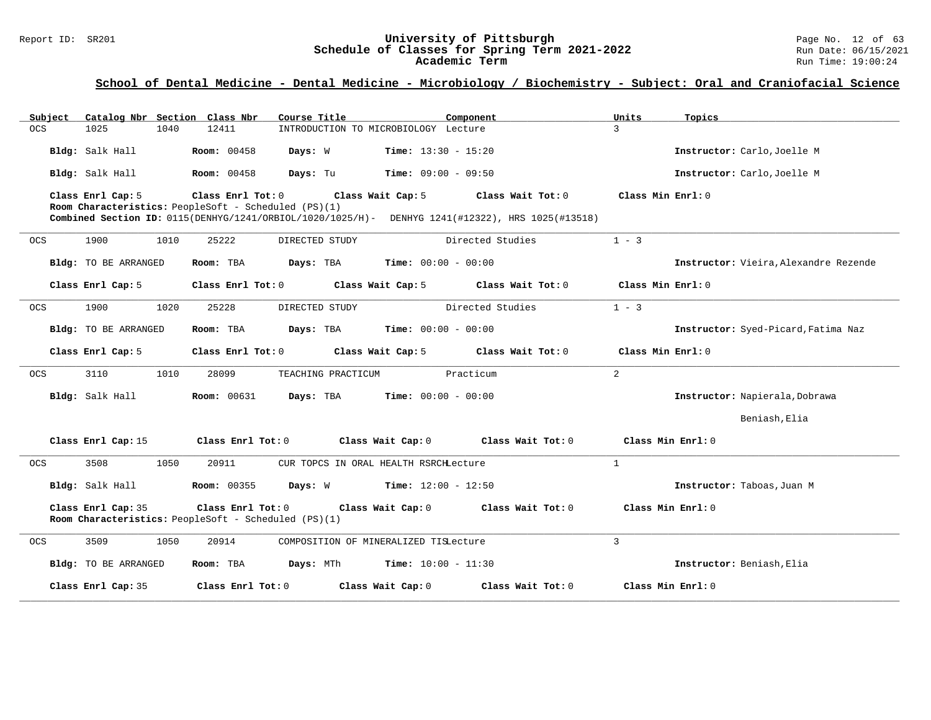#### Report ID: SR201 **University of Pittsburgh** Page No. 12 of 63 **Schedule of Classes for Spring Term 2021-2022** Run Date: 06/15/2021 **Academic Term** Run Time: 19:00:24

| Subject    | Catalog Nbr Section Class Nbr                                              |                    | Course Title                                                                                     | Component         | Units<br>Topics                       |
|------------|----------------------------------------------------------------------------|--------------------|--------------------------------------------------------------------------------------------------|-------------------|---------------------------------------|
| <b>OCS</b> | 1025<br>1040                                                               | 12411              | INTRODUCTION TO MICROBIOLOGY Lecture                                                             |                   | $\mathcal{L}$                         |
|            | Bldg: Salk Hall                                                            | <b>Room: 00458</b> | Days: W<br><b>Time:</b> $13:30 - 15:20$                                                          |                   | Instructor: Carlo, Joelle M           |
|            | Bldg: Salk Hall                                                            | <b>Room: 00458</b> | Days: Tu<br><b>Time:</b> $09:00 - 09:50$                                                         |                   | Instructor: Carlo, Joelle M           |
|            | Class Enrl Cap: 5<br>Room Characteristics: PeopleSoft - Scheduled (PS)(1)  | Class Enrl Tot: 0  | Class Wait Cap: 5                                                                                | Class Wait Tot: 0 | Class Min Enrl: 0                     |
|            |                                                                            |                    | Combined Section ID: 0115(DENHYG/1241/ORBIOL/1020/1025/H)- DENHYG 1241(#12322), HRS 1025(#13518) |                   |                                       |
| <b>OCS</b> | 1900<br>1010                                                               | 25222              | DIRECTED STUDY                                                                                   | Directed Studies  | $1 - 3$                               |
|            | Bldg: TO BE ARRANGED                                                       | Room: TBA          | Days: TBA<br><b>Time:</b> $00:00 - 00:00$                                                        |                   | Instructor: Vieira, Alexandre Rezende |
|            | Class Enrl Cap: 5                                                          | Class Enrl Tot: 0  | Class Wait Cap: 5                                                                                | Class Wait Tot: 0 | Class Min Enrl: 0                     |
| OCS        | 1900<br>1020                                                               | 25228              | DIRECTED STUDY                                                                                   | Directed Studies  | $1 - 3$                               |
|            | Bldg: TO BE ARRANGED                                                       | Room: TBA          | Days: TBA<br><b>Time:</b> $00:00 - 00:00$                                                        |                   | Instructor: Syed-Picard, Fatima Naz   |
|            | Class Enrl Cap: 5                                                          | Class Enrl Tot: 0  | Class Wait Cap: 5                                                                                | Class Wait Tot: 0 | Class Min Enrl: 0                     |
| OCS        | 3110<br>1010                                                               | 28099              | TEACHING PRACTICUM                                                                               | Practicum         | $\overline{a}$                        |
|            | Bldg: Salk Hall                                                            | <b>Room:</b> 00631 | Days: TBA<br><b>Time:</b> $00:00 - 00:00$                                                        |                   | Instructor: Napierala, Dobrawa        |
|            |                                                                            |                    |                                                                                                  |                   | Beniash, Elia                         |
|            | Class Enrl Cap: 15                                                         | Class Enrl Tot: 0  | Class Wait Cap: 0                                                                                | Class Wait Tot: 0 | Class Min Enrl: 0                     |
| OCS        | 3508<br>1050                                                               | 20911              | CUR TOPCS IN ORAL HEALTH RSRCHLecture                                                            |                   | $\mathbf{1}$                          |
|            | Bldg: Salk Hall                                                            | <b>Room: 00355</b> | Days: W<br><b>Time:</b> $12:00 - 12:50$                                                          |                   | Instructor: Taboas, Juan M            |
|            | Class Enrl Cap: 35<br>Room Characteristics: PeopleSoft - Scheduled (PS)(1) | Class Enrl Tot: 0  | Class Wait Cap: 0                                                                                | Class Wait Tot: 0 | Class Min Enrl: 0                     |
| <b>OCS</b> | 3509<br>1050                                                               | 20914              | COMPOSITION OF MINERALIZED TISLecture                                                            |                   | 3                                     |
|            | Bldg: TO BE ARRANGED                                                       | Room: TBA          | Days: MTh<br><b>Time:</b> $10:00 - 11:30$                                                        |                   | Instructor: Beniash, Elia             |
|            | Class Enrl Cap: 35                                                         | Class Enrl Tot: 0  | Class Wait Cap: 0                                                                                | Class Wait Tot: 0 | Class Min Enrl: 0                     |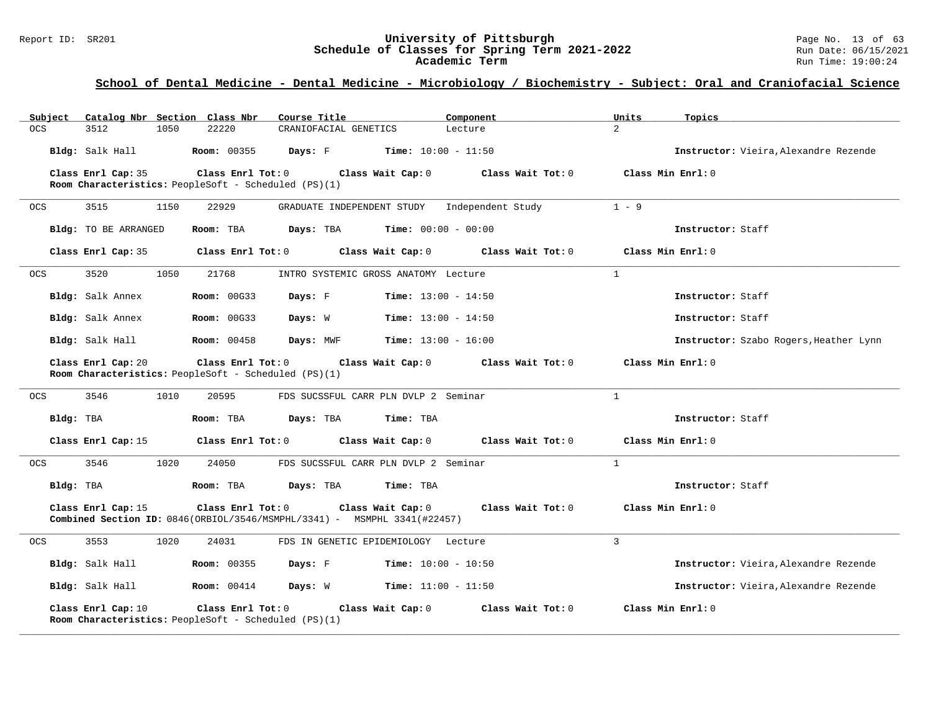#### Report ID: SR201 **University of Pittsburgh** Page No. 13 of 63 **Schedule of Classes for Spring Term 2021-2022** Run Date: 06/15/2021 **Academic Term** Run Time: 19:00:24

| Subject    |                      |      | Catalog Nbr Section Class Nbr                                                   | Course Title                                                                |                                              | Component                                             | Units          | Topics                                 |
|------------|----------------------|------|---------------------------------------------------------------------------------|-----------------------------------------------------------------------------|----------------------------------------------|-------------------------------------------------------|----------------|----------------------------------------|
| <b>OCS</b> | 3512                 | 1050 | 22220                                                                           | CRANIOFACIAL GENETICS                                                       |                                              | Lecture                                               | $\overline{2}$ |                                        |
|            | Bldg: Salk Hall      |      | <b>Room:</b> 00355                                                              | Days: F                                                                     | <b>Time:</b> $10:00 - 11:50$                 |                                                       |                | Instructor: Vieira, Alexandre Rezende  |
|            | Class Enrl Cap: 35   |      | Class Enrl Tot: 0                                                               |                                                                             | Class Wait Cap: 0                            | Class Wait Tot: 0                                     |                | Class Min Enrl: 0                      |
|            |                      |      | Room Characteristics: PeopleSoft - Scheduled (PS)(1)                            |                                                                             |                                              |                                                       |                |                                        |
| 0CS        | 3515                 | 1150 | 22929                                                                           |                                                                             | GRADUATE INDEPENDENT STUDY Independent Study |                                                       | $1 - 9$        |                                        |
|            | Bldg: TO BE ARRANGED |      | Room: TBA                                                                       | Days: TBA                                                                   | <b>Time:</b> $00:00 - 00:00$                 |                                                       |                | Instructor: Staff                      |
|            | Class Enrl Cap: 35   |      | Class Enrl Tot: 0                                                               |                                                                             | Class Wait Cap: 0                            | $Class$ Wait Tot: $0$                                 |                | Class Min Enrl: 0                      |
| <b>OCS</b> | 3520                 | 1050 | 21768                                                                           |                                                                             | INTRO SYSTEMIC GROSS ANATOMY Lecture         |                                                       | $\mathbf{1}$   |                                        |
|            | Bldg: Salk Annex     |      | <b>Room: 00G33</b>                                                              | Days: F                                                                     | <b>Time:</b> $13:00 - 14:50$                 |                                                       |                | Instructor: Staff                      |
|            | Bldg: Salk Annex     |      | <b>Room: 00G33</b>                                                              | Days: W                                                                     | <b>Time:</b> $13:00 - 14:50$                 |                                                       |                | Instructor: Staff                      |
|            | Bldg: Salk Hall      |      | <b>Room: 00458</b>                                                              | Days: MWF                                                                   | $Time: 13:00 - 16:00$                        |                                                       |                | Instructor: Szabo Rogers, Heather Lynn |
|            | Class Enrl Cap: 20   |      | Class Enrl Tot: 0<br>Room Characteristics: PeopleSoft - Scheduled (PS)(1)       |                                                                             |                                              | Class Wait Cap: 0 Class Wait Tot: 0                   |                | Class Min Enrl: 0                      |
| <b>OCS</b> | 3546                 | 1010 | 20595                                                                           |                                                                             | FDS SUCSSFUL CARR PLN DVLP 2 Seminar         |                                                       | $\mathbf{1}$   |                                        |
| Bldg: TBA  |                      |      | Room: TBA                                                                       | Days: TBA                                                                   | Time: TBA                                    |                                                       |                | Instructor: Staff                      |
|            | Class Enrl Cap: 15   |      |                                                                                 |                                                                             |                                              | Class Enrl Tot: 0 Class Wait Cap: 0 Class Wait Tot: 0 |                | Class Min Enrl: 0                      |
| <b>OCS</b> | 3546                 | 1020 | 24050                                                                           |                                                                             | FDS SUCSSFUL CARR PLN DVLP 2 Seminar         |                                                       | $\mathbf{1}$   |                                        |
| Bldg: TBA  |                      |      | Room: TBA                                                                       | Days: TBA                                                                   | Time: TBA                                    |                                                       |                | Instructor: Staff                      |
|            | Class Enrl Cap: 15   |      | $Class$ $Enrl$ $Tot: 0$                                                         | Combined Section ID: $0846$ (ORBIOL/3546/MSMPHL/3341) - MSMPHL 3341(#22457) | Class Wait Cap: 0                            | Class Wait Tot: 0                                     |                | Class Min Enrl: 0                      |
| OCS        | 3553                 | 1020 | 24031                                                                           |                                                                             | FDS IN GENETIC EPIDEMIOLOGY Lecture          |                                                       | $\mathbf{3}$   |                                        |
|            | Bldg: Salk Hall      |      | <b>Room: 00355</b>                                                              | Days: F                                                                     | <b>Time:</b> $10:00 - 10:50$                 |                                                       |                | Instructor: Vieira, Alexandre Rezende  |
|            | Bldg: Salk Hall      |      | <b>Room:</b> 00414                                                              | Days: W                                                                     | $Time: 11:00 - 11:50$                        |                                                       |                | Instructor: Vieira, Alexandre Rezende  |
|            | Class Enrl Cap: 10   |      | $Class$ $Enrl$ $Tot: 0$<br>Room Characteristics: PeopleSoft - Scheduled (PS)(1) |                                                                             | Class Wait Cap: 0                            | Class Wait Tot: 0                                     |                | Class Min Enrl: 0                      |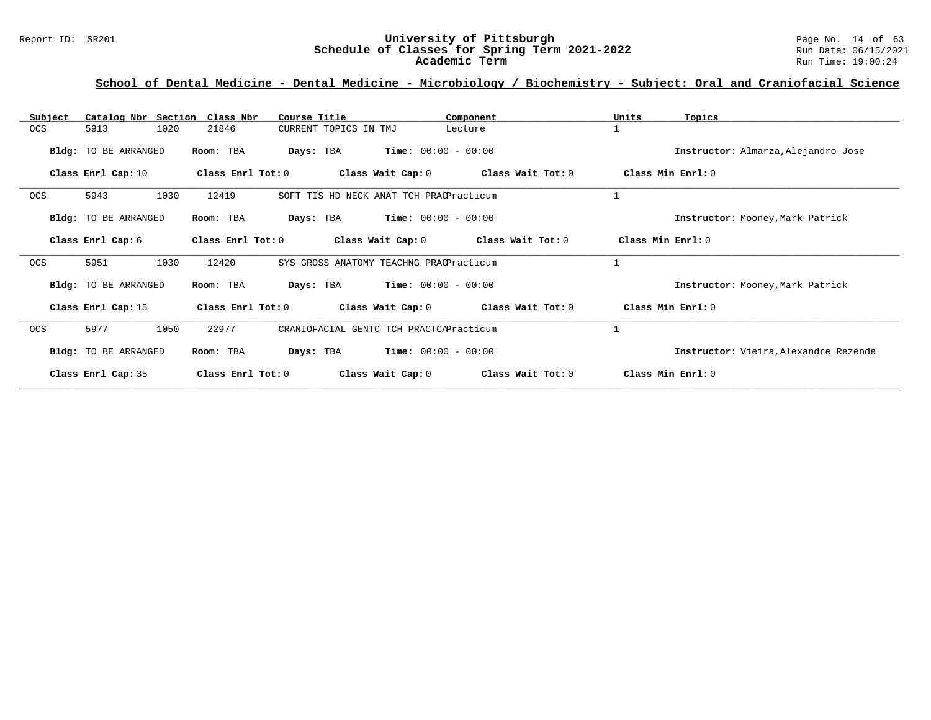#### Report ID: SR201 **University of Pittsburgh University of Pittsburgh** Page No. 14 of 63<br>**Schedule of Classes for Spring Term 2021-2022** Run Date: 06/15/2021 **Schedule of Classes for Spring Term 2021-2022** Run Date: 06/15/2021 **Academic Term** Run Time: 19:00:24

| Catalog Nbr Section<br>Subject | Class Nbr<br>Course Title      | Component                               | Units<br>Topics                       |
|--------------------------------|--------------------------------|-----------------------------------------|---------------------------------------|
| 1020<br><b>OCS</b><br>5913     | 21846<br>CURRENT TOPICS IN TMJ | Lecture                                 | $\mathbf{1}$                          |
| Bldg: TO BE ARRANGED           | Room: TBA<br>Days: TBA         | $Time: 00:00 - 00:00$                   | Instructor: Almarza, Alejandro Jose   |
| Class Enrl Cap: 10             | Class Enrl Tot: 0              | Class Wait Cap: 0<br>Class Wait Tot: 0  | Class Min Enrl: 0                     |
| OCS<br>5943<br>1030            | 12419                          | SOFT TIS HD NECK ANAT TCH PRACPracticum | 1                                     |
| Bldg: TO BE ARRANGED           | Days: TBA<br>Room: TBA         | <b>Time:</b> $00:00 - 00:00$            | Instructor: Mooney, Mark Patrick      |
| Class Enrl Cap: 6              | Class Enrl Tot: 0              | Class Wait Cap: 0<br>Class Wait Tot: 0  | Class Min Enrl: 0                     |
| OCS<br>5951<br>1030            | 12420                          | SYS GROSS ANATOMY TEACHNG PRACPracticum | $\mathbf{1}$                          |
| Bldg: TO BE ARRANGED           | Room: TBA<br>Days: TBA         | $Time: 00:00 - 00:00$                   | Instructor: Mooney, Mark Patrick      |
| Class Enrl Cap: 15             | Class Enrl Tot: 0              | Class Wait Cap: 0<br>Class Wait Tot: 0  | Class Min Enrl: 0                     |
| 5977<br>1050<br><b>OCS</b>     | 22977                          | CRANIOFACIAL GENTC TCH PRACTCAPracticum | $\mathbf{1}$                          |
| Bldg: TO BE ARRANGED           | Room: TBA<br>Days: TBA         | $Time: 00:00 - 00:00$                   | Instructor: Vieira, Alexandre Rezende |
| Class Enrl Cap: 35             | Class $Enr1 Tot: 0$            | Class Wait Cap: 0<br>Class Wait Tot: 0  | Class Min Enrl: 0                     |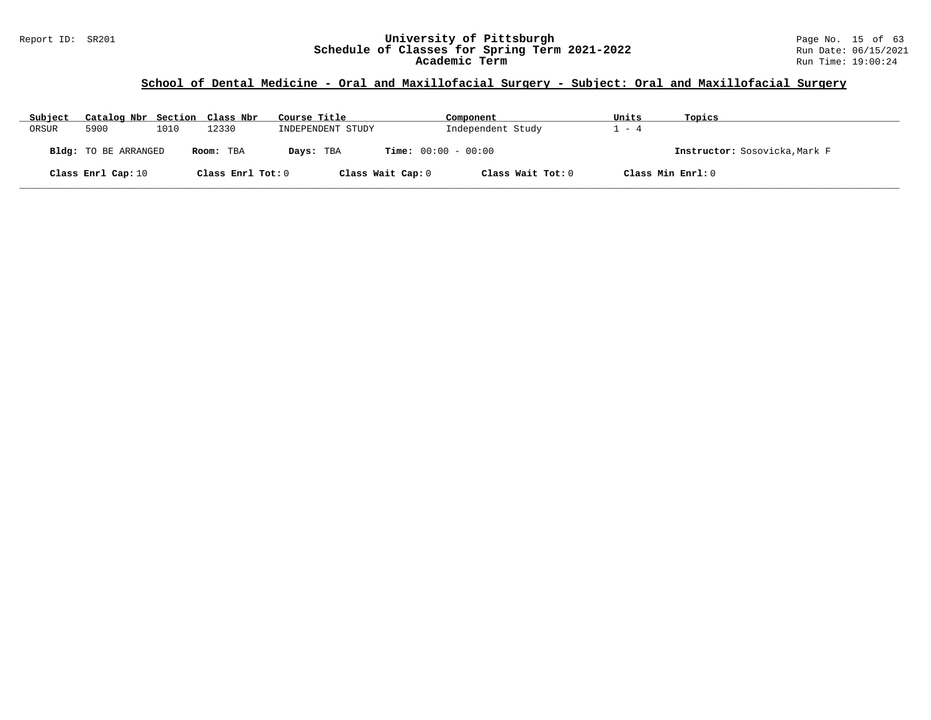#### Report ID: SR201 **University of Pittsburgh** Page No. 15 of 63 **Schedule of Classes for Spring Term 2021-2022** Run Date: 06/15/2021 **Academic Term** Run Time: 19:00:24

## **School of Dental Medicine - Oral and Maxillofacial Surgery - Subject: Oral and Maxillofacial Surgery**

| Subject | Catalog Nbr Section Class Nbr |      |                   | Course Title      | Component                    | Units | Topics                        |
|---------|-------------------------------|------|-------------------|-------------------|------------------------------|-------|-------------------------------|
| ORSUR   | 5900                          | 1010 | 12330             | INDEPENDENT STUDY | Independent Study            | - 4   |                               |
|         | <b>Bldg:</b> TO BE ARRANGED   |      | Room: TBA         | Days: TBA         | <b>Time:</b> $00:00 - 00:00$ |       | Instructor: Sosovicka, Mark F |
|         | Class Enrl Cap: 10            |      | Class Enrl Tot: 0 | Class Wait Cap: 0 | Class Wait Tot: 0            |       | Class Min Enrl: 0             |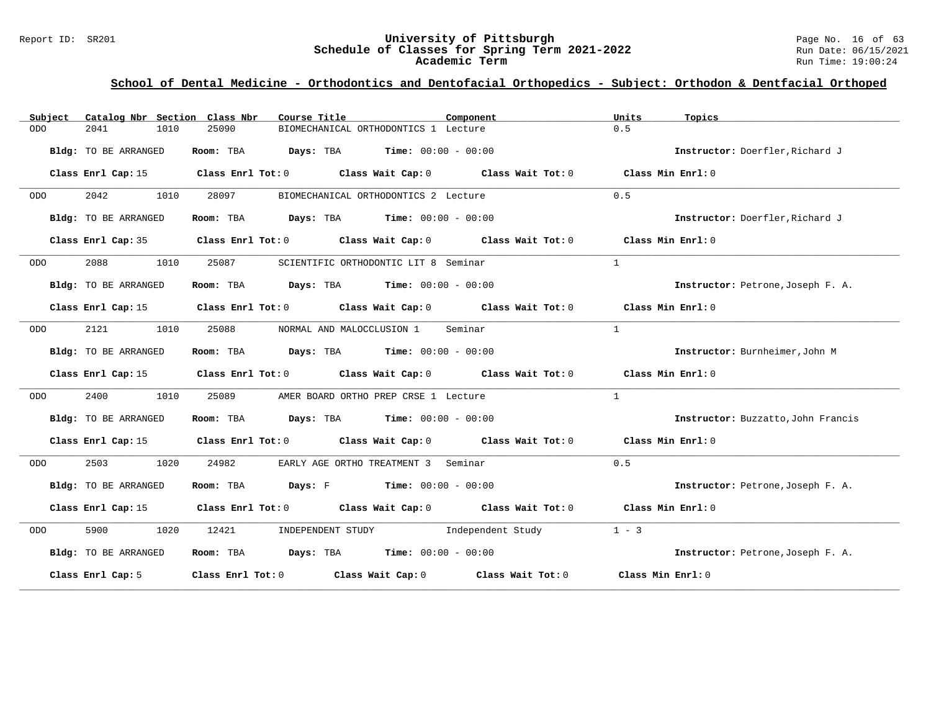#### Report ID: SR201 **University of Pittsburgh** Page No. 16 of 63 **Schedule of Classes for Spring Term 2021-2022** Run Date: 06/15/2021 **Academic Term** Run Time: 19:00:24

| Subject    | Catalog Nbr Section Class Nbr | Course Title                                                                                    | Component | Units<br>Topics                    |
|------------|-------------------------------|-------------------------------------------------------------------------------------------------|-----------|------------------------------------|
| <b>ODO</b> | 2041<br>1010                  | 25090<br>BIOMECHANICAL ORTHODONTICS 1 Lecture                                                   |           | 0.5                                |
|            | Bldg: TO BE ARRANGED          | Room: TBA $Days:$ TBA $Time: 00:00 - 00:00$                                                     |           | Instructor: Doerfler, Richard J    |
|            | Class Enrl Cap: 15            | Class Enrl Tot: $0$ Class Wait Cap: $0$ Class Wait Tot: $0$ Class Min Enrl: $0$                 |           |                                    |
| ODO        | 2042<br>1010                  | 28097<br>BIOMECHANICAL ORTHODONTICS 2 Lecture                                                   |           | 0.5                                |
|            | Bldg: TO BE ARRANGED          | Room: TBA $Days:$ TBA $Time: 00:00 - 00:00$                                                     |           | Instructor: Doerfler, Richard J    |
|            |                               | Class Enrl Cap: 35 Class Enrl Tot: 0 Class Wait Cap: 0 Class Wait Tot: 0 Class Min Enrl: 0      |           |                                    |
| ODO        | 2088<br>1010                  | 25087<br>SCIENTIFIC ORTHODONTIC LIT 8 Seminar                                                   |           | $\overline{1}$                     |
|            | Bldg: TO BE ARRANGED          | Room: TBA $Days: TBA$ Time: $00:00 - 00:00$                                                     |           | Instructor: Petrone, Joseph F. A.  |
|            |                               | Class Enrl Cap: 15 (Class Enrl Tot: 0 (Class Wait Cap: 0 (Class Wait Tot: 0 (Class Min Enrl: 0) |           |                                    |
| ODO        | 2121<br>1010                  | 25088<br>NORMAL AND MALOCCLUSION 1 Seminar                                                      |           | $\mathbf{1}$                       |
|            | Bldg: TO BE ARRANGED          | Room: TBA $Days:$ TBA $Time: 00:00 - 00:00$                                                     |           | Instructor: Burnheimer, John M     |
|            |                               | Class Enrl Cap: 15 (Class Enrl Tot: 0 (Class Wait Cap: 0 (Class Wait Tot: 0 (Class Min Enrl: 0  |           |                                    |
| ODO        | 2400<br>1010                  | 25089<br>AMER BOARD ORTHO PREP CRSE 1 Lecture                                                   |           | $\mathbf{1}$                       |
|            | Bldg: TO BE ARRANGED          | Room: TBA $Days:$ TBA $Time: 00:00 - 00:00$                                                     |           | Instructor: Buzzatto, John Francis |
|            |                               | Class Enrl Cap: 15 (Class Enrl Tot: 0 (Class Wait Cap: 0 (Class Wait Tot: 0 (Class Min Enrl: 0) |           |                                    |
| ODO        | 2503<br>1020                  | 24982<br>EARLY AGE ORTHO TREATMENT 3 Seminar                                                    |           | 0.5                                |
|            | Bldg: TO BE ARRANGED          | Room: TBA $Days: F$ Time: $00:00 - 00:00$                                                       |           | Instructor: Petrone, Joseph F. A.  |
|            |                               | Class Enrl Cap: 15 (Class Enrl Tot: 0 (Class Wait Cap: 0 (Class Wait Tot: 0 (Class Min Enrl: 0) |           |                                    |
| ODO        | 5900 1020                     | 12421<br>INDEPENDENT STUDY 1ndependent Study                                                    |           | $1 - 3$                            |
|            | Bldg: TO BE ARRANGED          | Room: TBA $Days:$ TBA $Time: 00:00 - 00:00$                                                     |           | Instructor: Petrone, Joseph F. A.  |
|            | Class Enrl Cap: 5             | Class Enrl Tot: 0 Class Wait Cap: 0 Class Wait Tot: 0                                           |           | Class Min Enrl: 0                  |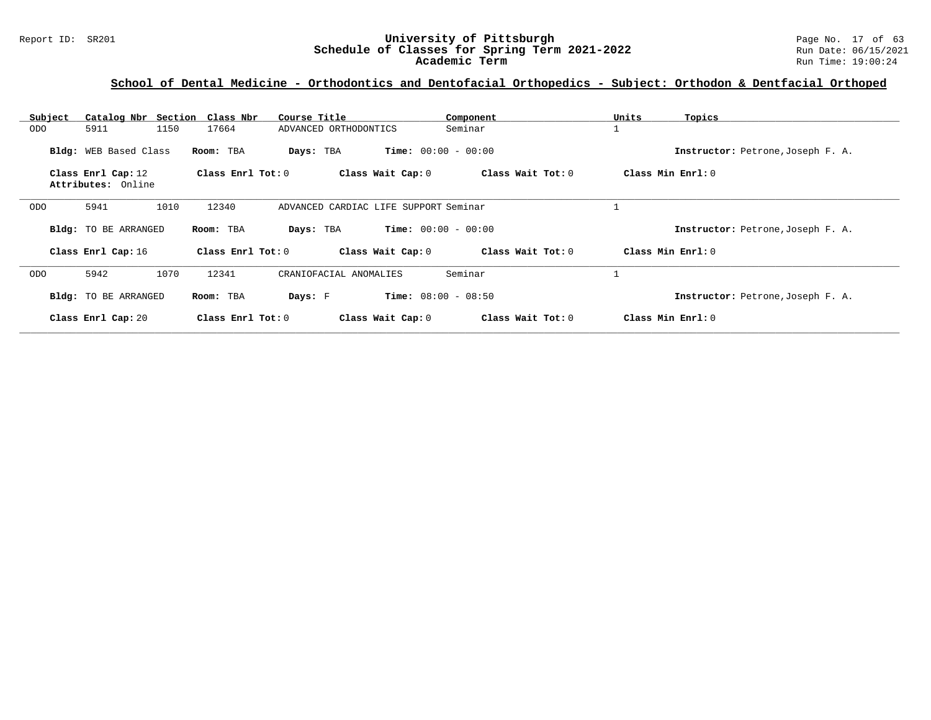#### Report ID: SR201 **University of Pittsburgh** Page No. 17 of 63 **Schedule of Classes for Spring Term 2021-2022** Run Date: 06/15/2021 **Academic Term** Run Time: 19:00:24

| Subject | Catalog Nbr Section Class Nbr            |                       | Course Title                          | Component                    |                   | Units | Topics                            |
|---------|------------------------------------------|-----------------------|---------------------------------------|------------------------------|-------------------|-------|-----------------------------------|
| ODO     | 5911<br>1150                             | 17664                 | ADVANCED ORTHODONTICS                 | Seminar                      |                   |       |                                   |
|         | Bldg: WEB Based Class                    | Room: TBA             | Days: TBA                             | <b>Time:</b> $00:00 - 00:00$ |                   |       | Instructor: Petrone, Joseph F. A. |
|         | Class Enrl Cap: 12<br>Attributes: Online | Class $Enrl$ Tot: $0$ | Class Wait Cap: 0                     |                              | Class Wait Tot: 0 |       | Class Min Enrl: 0                 |
|         |                                          |                       |                                       |                              |                   |       |                                   |
| ODO     | 1010<br>5941                             | 12340                 | ADVANCED CARDIAC LIFE SUPPORT Seminar |                              |                   |       |                                   |
|         | Bldg: TO BE ARRANGED                     | Room: TBA             | Days: TBA                             | <b>Time:</b> $00:00 - 00:00$ |                   |       | Instructor: Petrone, Joseph F. A. |
|         | Class Enrl Cap: 16                       | Class Enrl Tot: 0     | Class Wait Cap: 0                     |                              | Class Wait Tot: 0 |       | Class Min Enrl: 0                 |
| ODO     | 5942<br>1070                             | 12341                 | CRANIOFACIAL ANOMALIES                | Seminar                      |                   |       |                                   |
|         | Bldg: TO BE ARRANGED                     | Room: TBA             | Days: F                               | <b>Time:</b> $08:00 - 08:50$ |                   |       | Instructor: Petrone, Joseph F. A. |
|         | Class Enrl Cap: 20                       | Class Enrl Tot: 0     | Class Wait Cap: 0                     |                              | Class Wait Tot: 0 |       | Class Min Enrl: 0                 |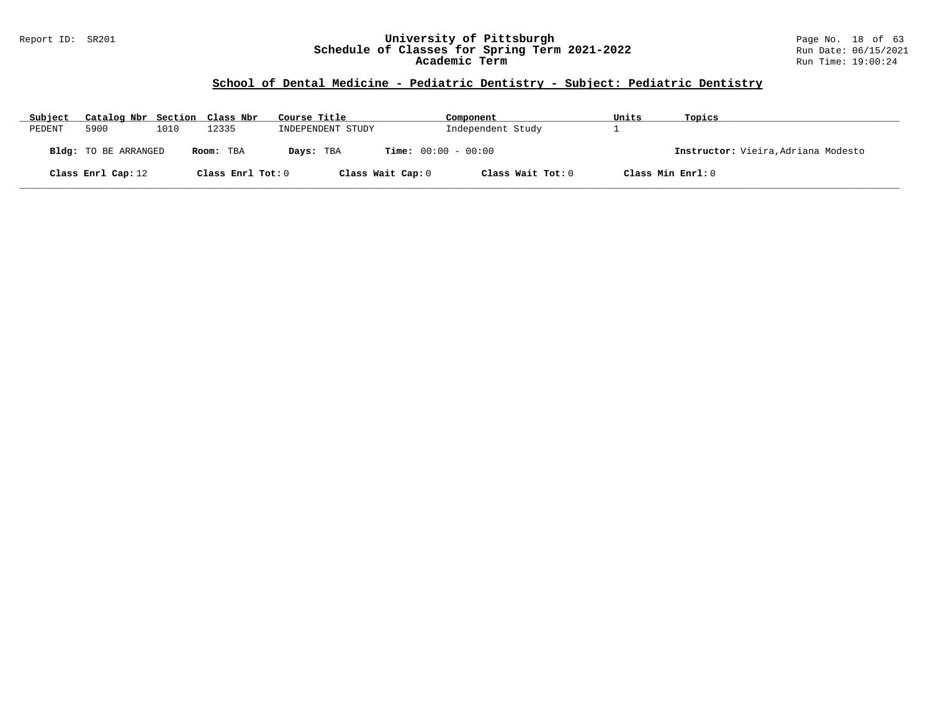#### Report ID: SR201 **University of Pittsburgh** Page No. 18 of 63 **Schedule of Classes for Spring Term 2021-2022** Run Date: 06/15/2021 **Academic Term** Run Time: 19:00:24

## **School of Dental Medicine - Pediatric Dentistry - Subject: Pediatric Dentistry**

| Subject | Catalog Nbr Section Class Nbr |      |                   | Course Title      | Component                    | Units             | Topics                              |
|---------|-------------------------------|------|-------------------|-------------------|------------------------------|-------------------|-------------------------------------|
| PEDENT  | 5900                          | 1010 | 12335             | INDEPENDENT STUDY | Independent Study            |                   |                                     |
|         | <b>Bldg:</b> TO BE ARRANGED   |      | Room: TBA         | Days: TBA         | <b>Time:</b> $00:00 - 00:00$ |                   | Instructor: Vieira, Adriana Modesto |
|         | Class Enrl Cap: 12            |      | Class Enrl Tot: 0 | Class Wait Cap: 0 | Class Wait Tot: 0            | Class Min Enrl: 0 |                                     |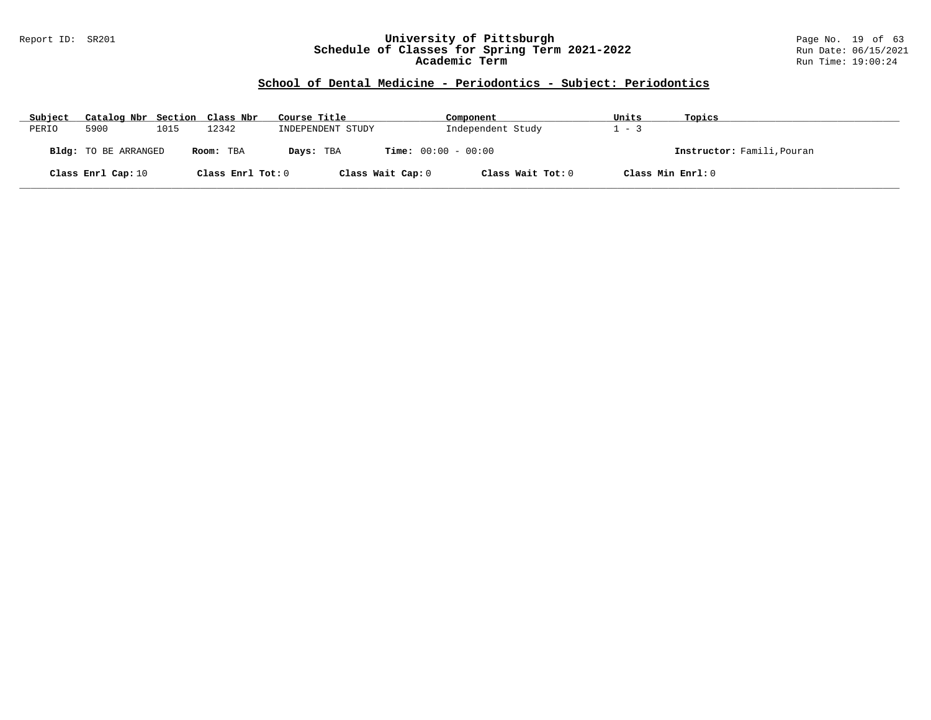#### Report ID: SR201 **University of Pittsburgh** Page No. 19 of 63 **Schedule of Classes for Spring Term 2021-2022** Run Date: 06/15/2021 **Academic Term** Run Time: 19:00:24

| Subject | Catalog Nbr Section Class Nbr |      |                   | Course Title      | Component                    | Units             | Topics                     |
|---------|-------------------------------|------|-------------------|-------------------|------------------------------|-------------------|----------------------------|
| PERIO   | 5900                          | 1015 | 12342             | INDEPENDENT STUDY | Independent Study            | $-3$              |                            |
|         | <b>Bldg:</b> TO BE ARRANGED   |      | Room: TBA         | Days: TBA         | <b>Time:</b> $00:00 - 00:00$ |                   | Instructor: Famili, Pouran |
|         | Class Enrl Cap: 10            |      | Class Enrl Tot: 0 | Class Wait Cap: 0 | Class Wait Tot: 0            | Class Min Enrl: 0 |                            |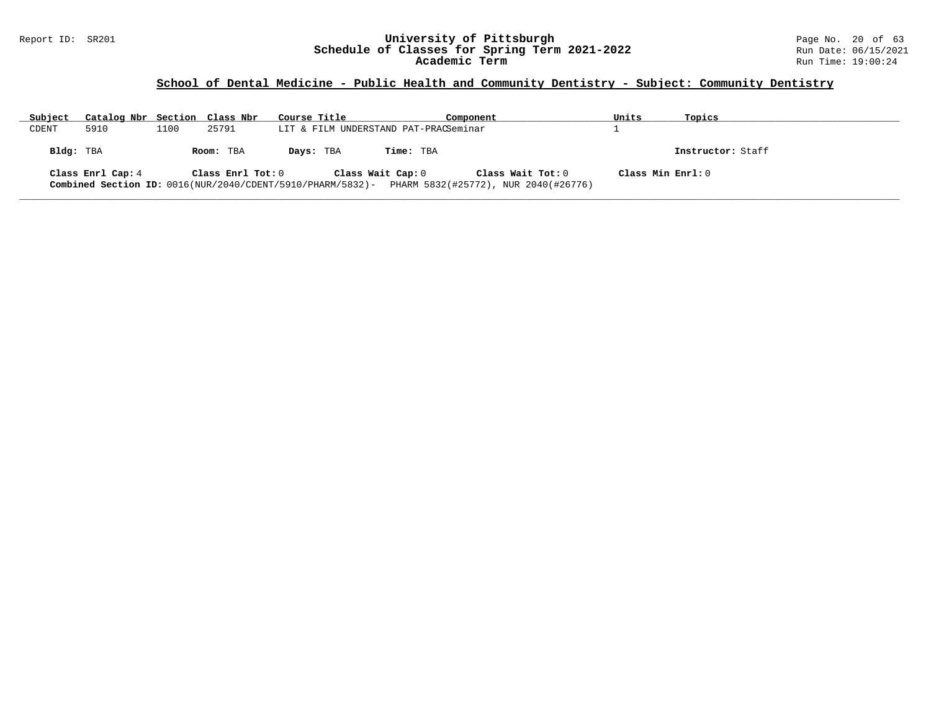#### Report ID: SR201 **University of Pittsburgh** Page No. 20 of 63 **Schedule of Classes for Spring Term 2021-2022** Run Date: 06/15/2021 **Academic Term** Run Time: 19:00:24

## **School of Dental Medicine - Public Health and Community Dentistry - Subject: Community Dentistry**

| Subject   | Catalog Nbr Section Class Nbr |      |                   | Course Title                          | Component |                                                                                                                         | Units             | Topics            |
|-----------|-------------------------------|------|-------------------|---------------------------------------|-----------|-------------------------------------------------------------------------------------------------------------------------|-------------------|-------------------|
| CDENT     | 5910                          | 1100 | 25791             | LIT & FILM UNDERSTAND PAT-PRACSeminar |           |                                                                                                                         |                   |                   |
| Bldg: TBA |                               |      | Room: TBA         | Days: TBA                             | Time: TBA |                                                                                                                         |                   | Instructor: Staff |
|           | Class Enrl Cap: 4             |      | Class Enrl Tot: 0 | Class Wait Cap: 0                     |           | Class Wait Tot: 0<br>Combined Section ID: 0016(NUR/2040/CDENT/5910/PHARM/5832)-<br>PHARM 5832(#25772), NUR 2040(#26776) | Class Min Enrl: 0 |                   |

**\_\_\_\_\_\_\_\_\_\_\_\_\_\_\_\_\_\_\_\_\_\_\_\_\_\_\_\_\_\_\_\_\_\_\_\_\_\_\_\_\_\_\_\_\_\_\_\_\_\_\_\_\_\_\_\_\_\_\_\_\_\_\_\_\_\_\_\_\_\_\_\_\_\_\_\_\_\_\_\_\_\_\_\_\_\_\_\_\_\_\_\_\_\_\_\_\_\_\_\_\_\_\_\_\_\_\_\_\_\_\_\_\_\_\_\_\_\_\_\_\_\_\_\_\_\_\_\_\_\_\_\_\_\_\_\_\_\_\_\_\_\_\_\_\_\_\_\_\_\_\_\_\_\_\_\_**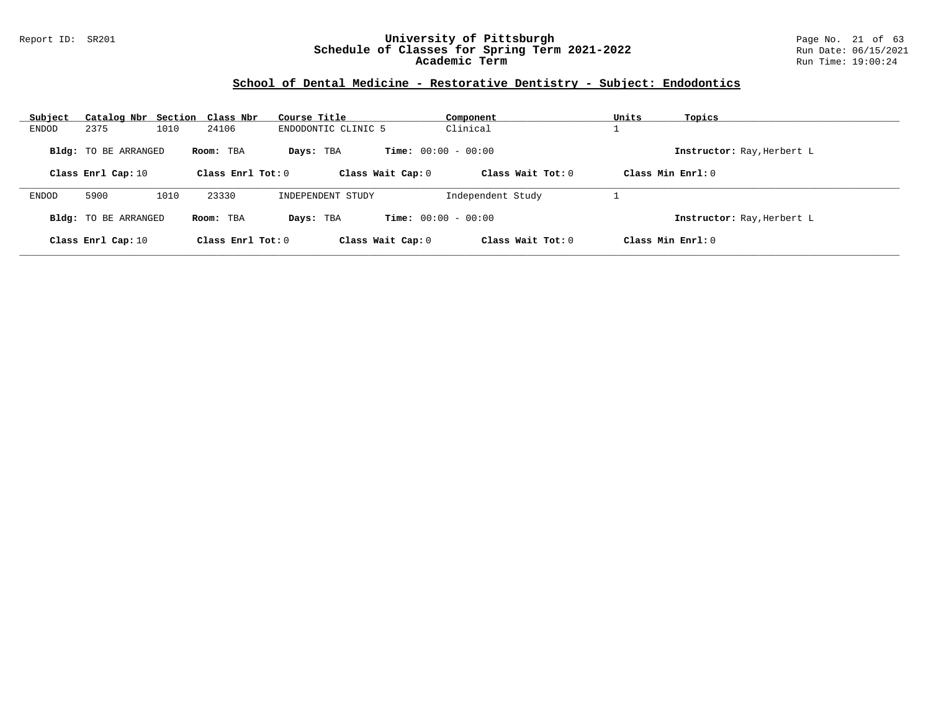#### Report ID: SR201 **University of Pittsburgh** Page No. 21 of 63 **Schedule of Classes for Spring Term 2021-2022** Run Date: 06/15/2021 **Academic Term** Run Time: 19:00:24

## **School of Dental Medicine - Restorative Dentistry - Subject: Endodontics**

| Subject |                             | Catalog Nbr Section Class Nbr | Course Title        | Component                    |                     | Units             | Topics                     |
|---------|-----------------------------|-------------------------------|---------------------|------------------------------|---------------------|-------------------|----------------------------|
| ENDOD   | 2375                        | 1010<br>24106                 | ENDODONTIC CLINIC 5 | Clinical                     |                     |                   |                            |
|         | <b>Bldg:</b> TO BE ARRANGED | Room: TBA                     | Days: TBA           | <b>Time:</b> $00:00 - 00:00$ |                     |                   | Instructor: Ray, Herbert L |
|         | Class Enrl Cap: 10          | Class Enrl Tot: $0$           |                     | Class Wait Cap: 0            | Class Wait $Tot: 0$ | Class Min Enrl: 0 |                            |
| ENDOD   | 5900                        | 1010<br>23330                 | INDEPENDENT STUDY   |                              | Independent Study   |                   |                            |
|         | <b>Bldg:</b> TO BE ARRANGED | Room: TBA                     | Days: TBA           | <b>Time:</b> $00:00 - 00:00$ |                     |                   | Instructor: Ray, Herbert L |
|         | Class Enrl Cap: 10          | Class Enrl Tot: 0             |                     | Class Wait Cap: 0            | Class Wait Tot: 0   | Class Min Enrl: 0 |                            |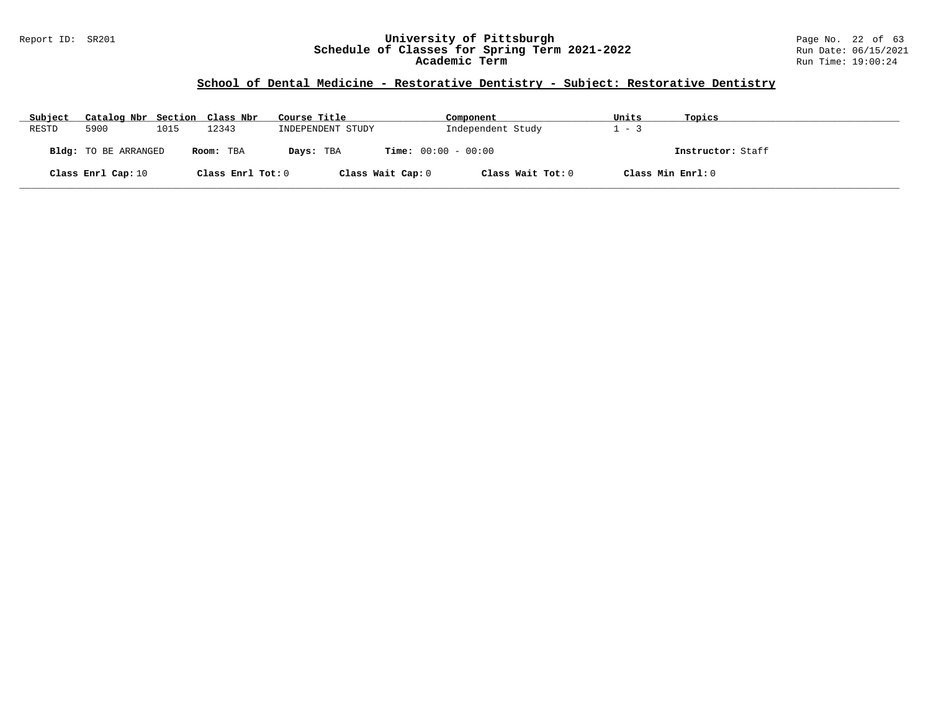#### Report ID: SR201 **University of Pittsburgh** Page No. 22 of 63 **Schedule of Classes for Spring Term 2021-2022** Run Date: 06/15/2021 **Academic Term** Run Time: 19:00:24

## **School of Dental Medicine - Restorative Dentistry - Subject: Restorative Dentistry**

| Subject | Catalog Nbr Section Class Nbr |      |                   | Course Title                              | Component         | Units | Topics            |
|---------|-------------------------------|------|-------------------|-------------------------------------------|-------------------|-------|-------------------|
| RESTD   | 5900                          | 1015 | 12343             | INDEPENDENT STUDY                         | Independent Study | $-2$  |                   |
|         | Bldg: TO BE ARRANGED          |      | Room: TBA         | <b>Time:</b> $00:00 - 00:00$<br>Days: TBA |                   |       | Instructor: Staff |
|         | Class Enrl Cap: 10            |      | Class Enrl Tot: 0 | Class Wait Cap: 0                         | Class Wait Tot: 0 |       | Class Min Enrl: 0 |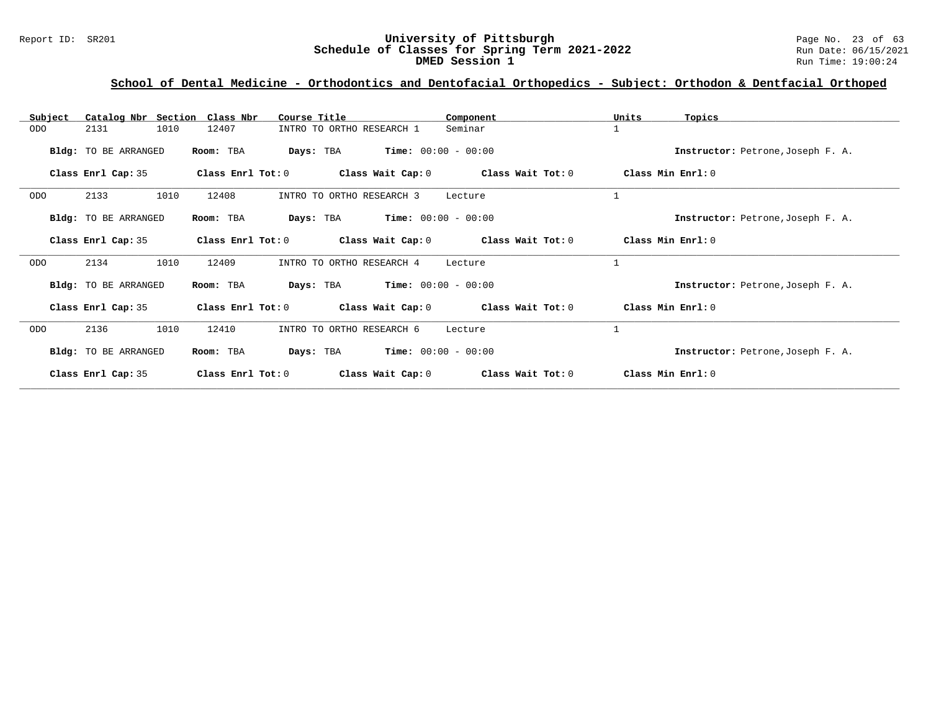#### Report ID: SR201 **University of Pittsburgh** Page No. 23 of 63 **Schedule of Classes for Spring Term 2021-2022** Run Date: 06/15/2021 **DMED Session 1 Run Time: 19:00:24**

| Subject    | Catalog Nbr Section Class Nbr |                   | Course Title                              | Component         | Units<br>Topics                   |
|------------|-------------------------------|-------------------|-------------------------------------------|-------------------|-----------------------------------|
| <b>ODO</b> | 1010<br>2131                  | 12407             | INTRO TO ORTHO RESEARCH 1                 | Seminar           | 1                                 |
|            | Bldg: TO BE ARRANGED          | Room: TBA         | <b>Time:</b> $00:00 - 00:00$<br>Days: TBA |                   | Instructor: Petrone, Joseph F. A. |
|            | Class Enrl Cap: 35            | Class Enrl Tot: 0 | Class Wait Cap: 0                         | Class Wait Tot: 0 | Class Min Enrl: 0                 |
| <b>ODO</b> | 2133<br>1010                  | 12408             | INTRO TO ORTHO RESEARCH 3                 | Lecture           | $\mathbf{1}$                      |
|            | <b>Bldg:</b> TO BE ARRANGED   | Room: TBA         | $Time: 00:00 - 00:00$<br>Days: TBA        |                   | Instructor: Petrone, Joseph F. A. |
|            | Class Enrl Cap: 35            | Class Enrl Tot: 0 | Class Wait Cap: 0                         | Class Wait Tot: 0 | Class Min Enrl: 0                 |
| <b>ODO</b> | 2134<br>1010                  | 12409             | INTRO TO ORTHO RESEARCH 4                 | Lecture           | $\mathbf{1}$                      |
|            | Bldg: TO BE ARRANGED          | Room: TBA         | $Time: 00:00 - 00:00$<br>Days: TBA        |                   | Instructor: Petrone, Joseph F. A. |
|            | Class Enrl Cap: 35            | Class Enrl Tot: 0 | Class Wait Cap: 0                         | Class Wait Tot: 0 | Class Min Enrl: 0                 |
| <b>ODO</b> | 1010<br>2136                  | 12410             | INTRO TO ORTHO RESEARCH 6                 | Lecture           | $\mathbf{1}$                      |
|            | Bldg: TO BE ARRANGED          | Room: TBA         | $Time: 00:00 - 00:00$<br>Days: TBA        |                   | Instructor: Petrone, Joseph F. A. |
|            | Class Enrl Cap: 35            | Class Enrl Tot: 0 | Class Wait Cap: 0                         | Class Wait Tot: 0 | Class Min Enrl: 0                 |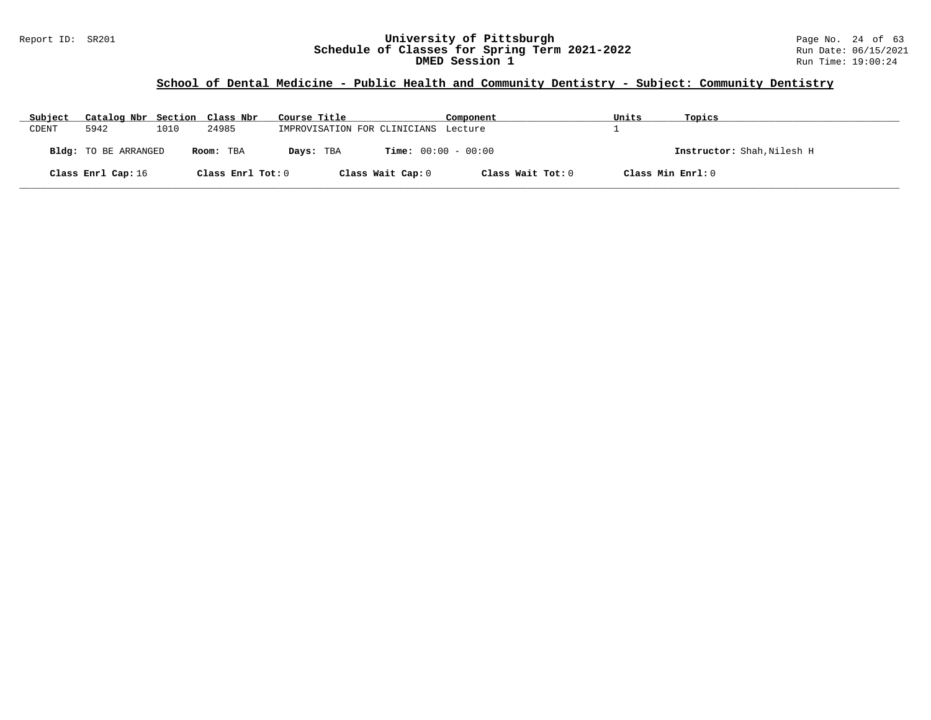## **School of Dental Medicine - Public Health and Community Dentistry - Subject: Community Dentistry**

| Subject | Catalog Nbr Section Class Nbr |      |                   | Course Title                              | Component         | Units             | Topics                     |
|---------|-------------------------------|------|-------------------|-------------------------------------------|-------------------|-------------------|----------------------------|
| CDENT   | 5942                          | 1010 | 24985             | IMPROVISATION FOR CLINICIANS Lecture      |                   |                   |                            |
|         | Bldg: TO BE ARRANGED          |      | Room: TBA         | <b>Time:</b> $00:00 - 00:00$<br>Days: TBA |                   |                   | Instructor: Shah, Nilesh H |
|         | Class Enrl Cap: 16            |      | Class Enrl Tot: 0 | Class Wait Cap: 0                         | Class Wait Tot: 0 | Class Min Enrl: 0 |                            |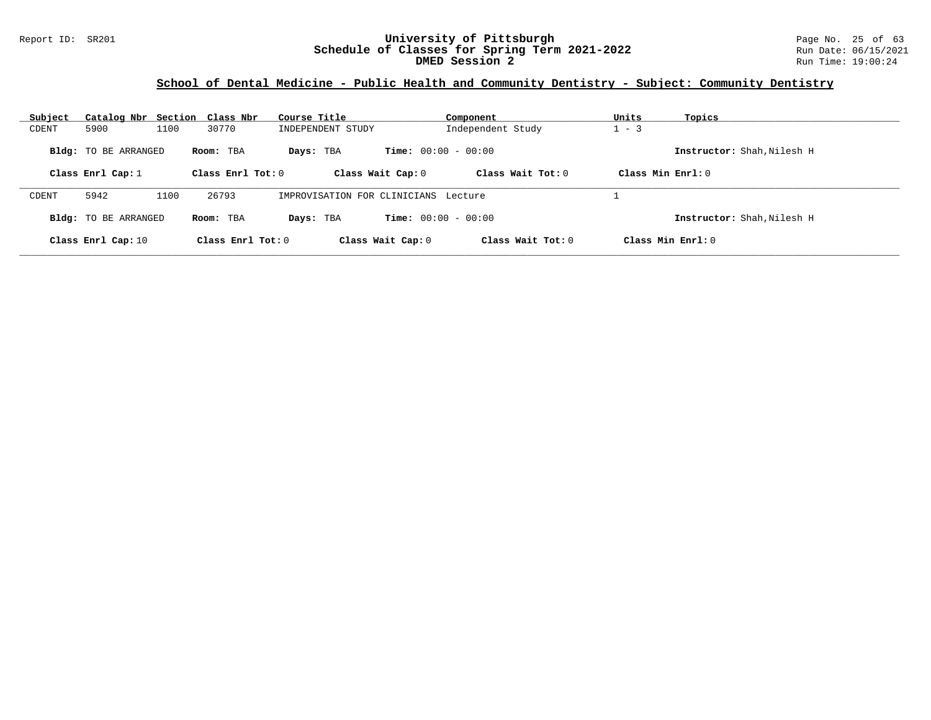#### Report ID: SR201 **University of Pittsburgh** Page No. 25 of 63 **Schedule of Classes for Spring Term 2021-2022** Run Date: 06/15/2021 **DMED Session 2** Run Time: 19:00:24

## **School of Dental Medicine - Public Health and Community Dentistry - Subject: Community Dentistry**

| Subject | Catalog Nbr Section Class Nbr |      |                     | Course Title                         |                              | Component           | Units               | Topics                     |
|---------|-------------------------------|------|---------------------|--------------------------------------|------------------------------|---------------------|---------------------|----------------------------|
| CDENT   | 5900                          | 1100 | 30770               | INDEPENDENT STUDY                    |                              | Independent Study   | $-3$                |                            |
|         | <b>Bldg:</b> TO BE ARRANGED   |      | Room: TBA           | Days: TBA                            | <b>Time:</b> $00:00 - 00:00$ |                     |                     | Instructor: Shah, Nilesh H |
|         | Class Enrl Cap: $1$           |      | Class Enr1 Tot: 0   |                                      | Class Wait Cap: 0            | Class Wait Tot: $0$ | Class Min $Enr1: 0$ |                            |
| CDENT   | 5942                          | 1100 | 26793               | IMPROVISATION FOR CLINICIANS Lecture |                              |                     |                     |                            |
|         | <b>Bldg:</b> TO BE ARRANGED   |      | Room: TBA           | Days: TBA                            | <b>Time:</b> $00:00 - 00:00$ |                     |                     | Instructor: Shah.Nilesh H  |
|         | Class Enrl Cap: 10            |      | Class Enrl Tot: $0$ |                                      | Class Wait Cap: 0            | Class Wait Tot: $0$ |                     | $Class Min Ernst: 0$       |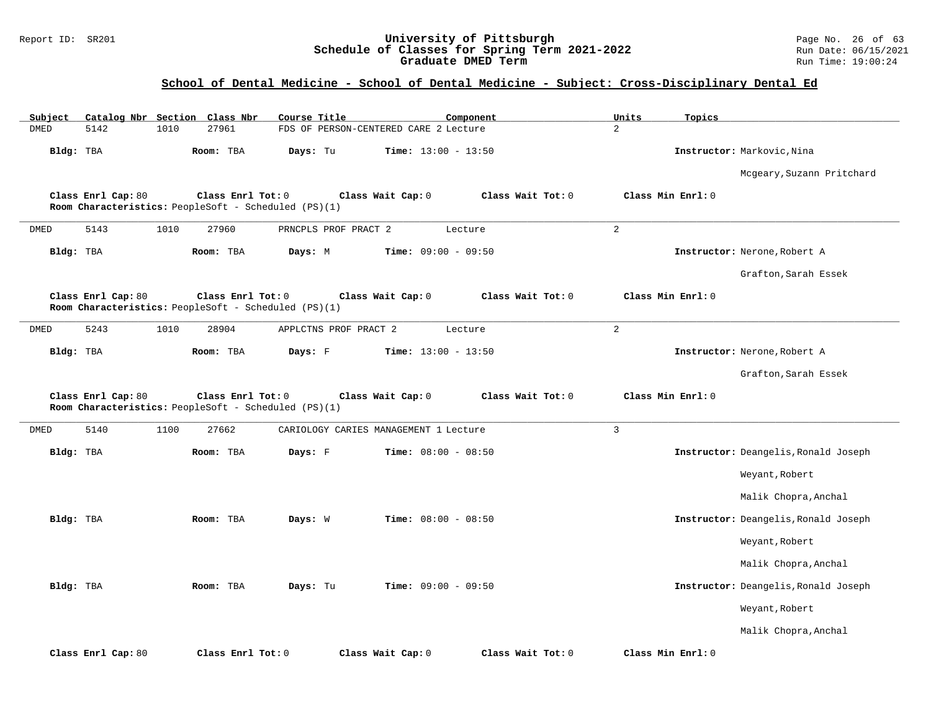#### Report ID: SR201 **University of Pittsburgh** Page No. 26 of 63 **Schedule of Classes for Spring Term 2021-2022** Run Date: 06/15/2021 **Graduate DMED Term Run Time: 19:00:24**

## **School of Dental Medicine - School of Dental Medicine - Subject: Cross-Disciplinary Dental Ed**

| Catalog Nbr Section Class Nbr<br>Subject                                   | Course Title                           | Units<br>Component | Topics                               |
|----------------------------------------------------------------------------|----------------------------------------|--------------------|--------------------------------------|
| <b>DMED</b><br>5142<br>1010<br>27961                                       | FDS OF PERSON-CENTERED CARE 2 Lecture  | 2                  |                                      |
| Bldg: TBA<br>Room: TBA                                                     | Time: $13:00 - 13:50$<br>Days: Tu      |                    | Instructor: Markovic, Nina           |
|                                                                            |                                        |                    | Mcgeary, Suzann Pritchard            |
| Class Enrl Cap: 80<br>Room Characteristics: PeopleSoft - Scheduled (PS)(1) | Class Wait Cap: 0<br>Class Enrl Tot: 0 | Class Wait Tot: 0  | Class Min Enrl: 0                    |
| 5143<br>1010<br>27960<br>DMED                                              | PRNCPLS PROF PRACT 2                   | 2<br>Lecture       |                                      |
| Bldg: TBA<br>Room: TBA                                                     | Days: M<br>Time: $09:00 - 09:50$       |                    | Instructor: Nerone, Robert A         |
|                                                                            |                                        |                    | Grafton, Sarah Essek                 |
| Class Enrl Cap: 80<br>Room Characteristics: PeopleSoft - Scheduled (PS)(1) | Class Enrl Tot: 0<br>Class Wait Cap: 0 | Class Wait Tot: 0  | Class Min Enrl: 0                    |
| DMED<br>5243<br>1010<br>28904                                              | APPLCTNS PROF PRACT 2                  | 2<br>Lecture       |                                      |
| Bldg: TBA<br>Room: TBA                                                     | Days: F<br>Time: $13:00 - 13:50$       |                    | Instructor: Nerone, Robert A         |
|                                                                            |                                        |                    | Grafton, Sarah Essek                 |
| Class Enrl Cap: 80<br>Room Characteristics: PeopleSoft - Scheduled (PS)(1) | Class Enrl Tot: 0<br>Class Wait Cap: 0 | Class Wait Tot: 0  | Class Min Enrl: 0                    |
| 5140<br>DMED<br>1100<br>27662                                              | CARIOLOGY CARIES MANAGEMENT 1 Lecture  | $\overline{3}$     |                                      |
| Bldg: TBA<br>Room: TBA                                                     | Time: $08:00 - 08:50$<br>Days: F       |                    |                                      |
|                                                                            |                                        |                    | Instructor: Deangelis, Ronald Joseph |
|                                                                            |                                        |                    | Weyant, Robert                       |
|                                                                            |                                        |                    | Malik Chopra, Anchal                 |
| Bldg: TBA<br>Room: TBA                                                     | Time: $08:00 - 08:50$<br>Days: W       |                    | Instructor: Deangelis, Ronald Joseph |
|                                                                            |                                        |                    | Weyant, Robert                       |
|                                                                            |                                        |                    | Malik Chopra, Anchal                 |
| Bldg: TBA<br>Room: TBA                                                     | Time: $09:00 - 09:50$<br>Days: Tu      |                    | Instructor: Deangelis, Ronald Joseph |
|                                                                            |                                        |                    | Weyant, Robert                       |
|                                                                            |                                        |                    | Malik Chopra, Anchal                 |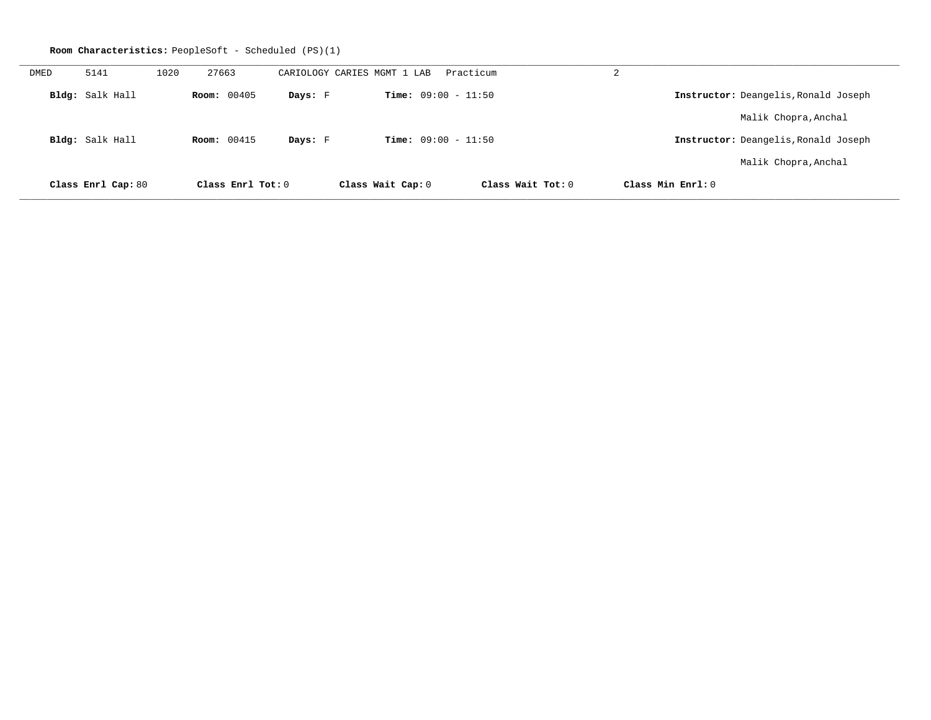|             |                    |      | <b>Room Characteristics:</b> PeopleSoft - Scheduled (PS)(1) |         |                              |                   |   |                                      |
|-------------|--------------------|------|-------------------------------------------------------------|---------|------------------------------|-------------------|---|--------------------------------------|
| <b>DMED</b> | 5141               | 1020 | 27663                                                       |         | CARIOLOGY CARIES MGMT 1 LAB  | Practicum         | 2 |                                      |
|             | Bldg: Salk Hall    |      | Room: 00405                                                 | Days: F | <b>Time:</b> $09:00 - 11:50$ |                   |   | Instructor: Deangelis, Ronald Joseph |
|             |                    |      |                                                             |         |                              |                   |   | Malik Chopra, Anchal                 |
|             | Bldg: Salk Hall    |      | <b>Room:</b> 00415                                          | Days: F | <b>Time:</b> $09:00 - 11:50$ |                   |   | Instructor: Deangelis, Ronald Joseph |
|             |                    |      |                                                             |         |                              |                   |   | Malik Chopra, Anchal                 |
|             | Class Enrl Cap: 80 |      | Class Enrl Tot: 0                                           |         | Class Wait Cap: 0            | Class Wait Tot: 0 |   | Class Min Enrl: 0                    |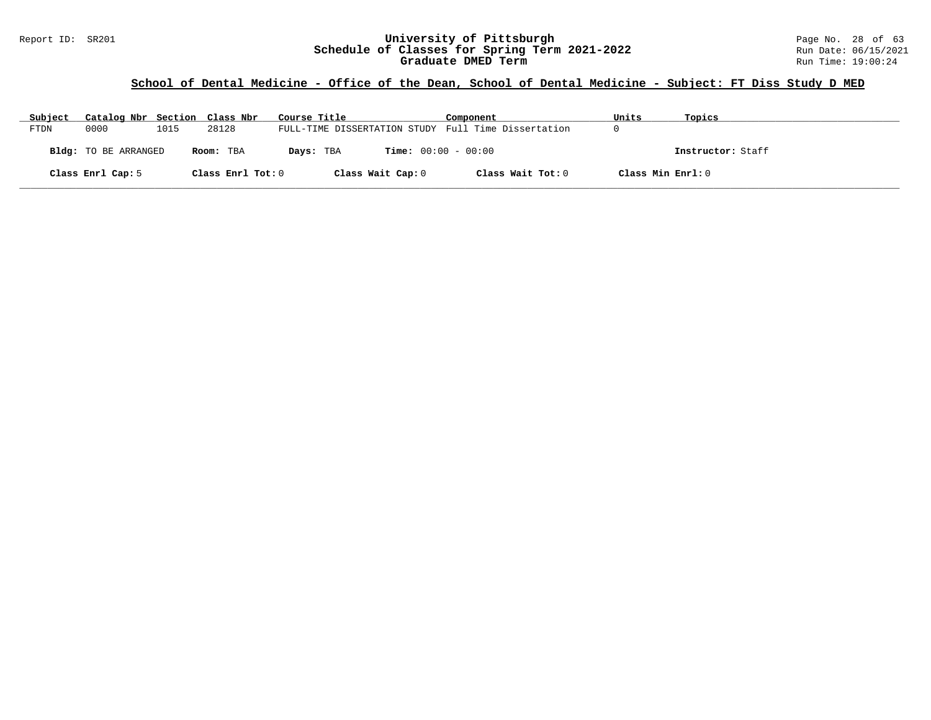#### Report ID: SR201 **University of Pittsburgh** Page No. 28 of 63 **Schedule of Classes for Spring Term 2021-2022** Run Date: 06/15/2021 **Graduate DMED Term Run Time: 19:00:24**

## **School of Dental Medicine - Office of the Dean, School of Dental Medicine - Subject: FT Diss Study D MED**

| Subject | Catalog Nbr Section Class Nbr |      |                   | Course Title                                        | Component         | Units             | Topics            |
|---------|-------------------------------|------|-------------------|-----------------------------------------------------|-------------------|-------------------|-------------------|
| FTDN    | 0000                          | 1015 | 28128             | FULL-TIME DISSERTATION STUDY Full Time Dissertation |                   |                   |                   |
|         | <b>Bldg:</b> TO BE ARRANGED   |      | Room: TBA         | <b>Time:</b> $00:00 - 00:00$<br>Days: TBA           |                   |                   | Instructor: Staff |
|         | Class Enrl Cap: 5             |      | Class Enrl Tot: 0 | Class Wait Cap: 0                                   | Class Wait Tot: 0 | Class Min Enrl: 0 |                   |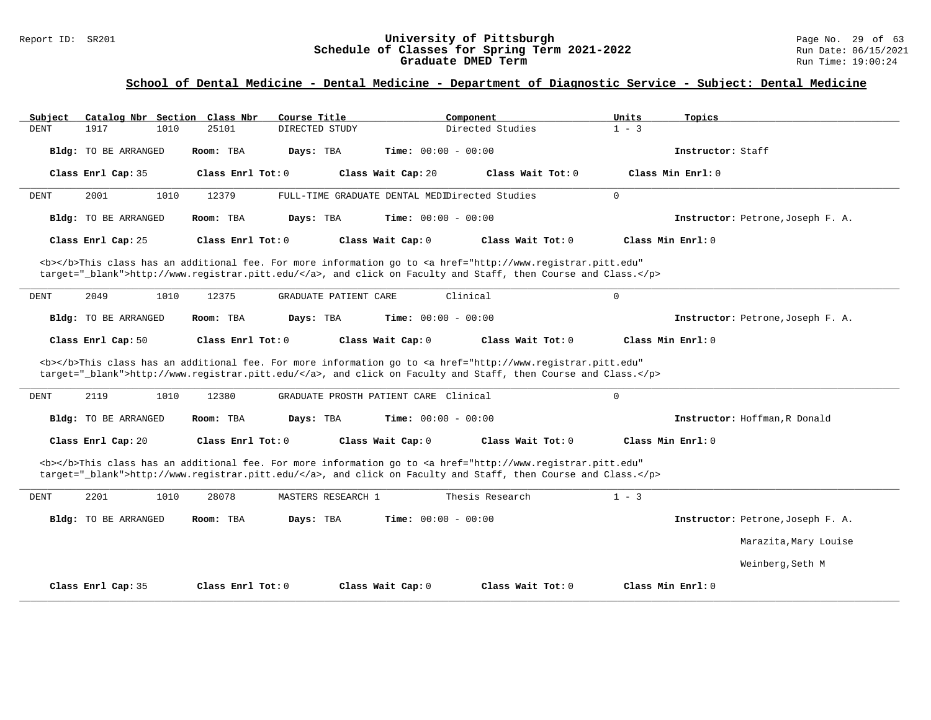#### Report ID: SR201 **1988 Chedule of Classes for Spring Term 2021-2022** Page No. 29 of 63<br>**Schedule of Classes for Spring Term 2021-2022** Run Date: 06/15/2021 **Schedule of Classes for Spring Term 2021-2022** Run Date: 06/15/2021 **Graduate DMED Term Run Time: 19:00:24**

| Subject     | Catalog Nbr Section Class Nbr                                                                                                                                                                                                      |      |                     | Course Title   |                                       |                    | Component                    |                                                                                                                                                                                                                                    |  | Units       | Topics              |                                   |
|-------------|------------------------------------------------------------------------------------------------------------------------------------------------------------------------------------------------------------------------------------|------|---------------------|----------------|---------------------------------------|--------------------|------------------------------|------------------------------------------------------------------------------------------------------------------------------------------------------------------------------------------------------------------------------------|--|-------------|---------------------|-----------------------------------|
| <b>DENT</b> | 1917                                                                                                                                                                                                                               | 1010 | 25101               | DIRECTED STUDY |                                       |                    |                              | Directed Studies                                                                                                                                                                                                                   |  | $1 - 3$     |                     |                                   |
|             | Bldg: TO BE ARRANGED                                                                                                                                                                                                               |      | Room: TBA           | Days: TBA      |                                       |                    | <b>Time:</b> $00:00 - 00:00$ |                                                                                                                                                                                                                                    |  |             | Instructor: Staff   |                                   |
|             | Class Enrl Cap: 35                                                                                                                                                                                                                 |      | Class Enrl Tot: 0   |                |                                       | Class Wait Cap: 20 |                              | Class Wait Tot: 0                                                                                                                                                                                                                  |  |             | Class Min Enrl: 0   |                                   |
| DENT        | 2001                                                                                                                                                                                                                               | 1010 | 12379               |                |                                       |                    |                              | FULL-TIME GRADUATE DENTAL MEDIDirected Studies                                                                                                                                                                                     |  | $\mathbf 0$ |                     |                                   |
|             | Bldg: TO BE ARRANGED                                                                                                                                                                                                               |      | Room: TBA           | Days: TBA      |                                       |                    | Time: $00:00 - 00:00$        |                                                                                                                                                                                                                                    |  |             |                     | Instructor: Petrone, Joseph F. A. |
|             | Class Enrl Cap: 25                                                                                                                                                                                                                 |      | Class Enrl Tot: 0   |                |                                       | Class Wait Cap: 0  |                              | Class Wait Tot: 0                                                                                                                                                                                                                  |  |             | Class Min Enrl: 0   |                                   |
|             | <b></b> This class has an additional fee. For more information go to <a <br="" href="http://www.registrar.pitt.edu">target="_blank"&gt;http://www.registrar.pitt.edu/</a> , and click on Faculty and Staff, then Course and Class. |      |                     |                |                                       |                    |                              |                                                                                                                                                                                                                                    |  |             |                     |                                   |
| <b>DENT</b> | 2049                                                                                                                                                                                                                               | 1010 | 12375               |                | GRADUATE PATIENT CARE                 |                    | Clinical                     |                                                                                                                                                                                                                                    |  | $\mathbf 0$ |                     |                                   |
|             | Bldg: TO BE ARRANGED                                                                                                                                                                                                               |      | Room: TBA           | Days: TBA      |                                       |                    | <b>Time:</b> $00:00 - 00:00$ |                                                                                                                                                                                                                                    |  |             |                     | Instructor: Petrone, Joseph F. A. |
|             | Class Enrl Cap: 50                                                                                                                                                                                                                 |      | Class Enrl Tot: 0   |                |                                       | Class Wait Cap: 0  |                              | Class Wait Tot: 0                                                                                                                                                                                                                  |  |             | Class Min Enrl: 0   |                                   |
|             |                                                                                                                                                                                                                                    |      |                     |                |                                       |                    |                              | <b></b> This class has an additional fee. For more information go to <a <br="" href="http://www.registrar.pitt.edu">target="_blank"&gt;http://www.registrar.pitt.edu/</a> , and click on Faculty and Staff, then Course and Class. |  |             |                     |                                   |
| DENT        | 2119                                                                                                                                                                                                                               | 1010 | 12380               |                | GRADUATE PROSTH PATIENT CARE Clinical |                    |                              |                                                                                                                                                                                                                                    |  | $\mathbf 0$ |                     |                                   |
|             | Bldg: TO BE ARRANGED                                                                                                                                                                                                               |      | Room: TBA           | Days: TBA      |                                       |                    | <b>Time:</b> $00:00 - 00:00$ |                                                                                                                                                                                                                                    |  |             |                     | Instructor: Hoffman, R Donald     |
|             | Class Enrl Cap: 20                                                                                                                                                                                                                 |      | Class Enrl Tot: 0   |                |                                       | Class Wait Cap: 0  |                              | Class Wait $Tot: 0$                                                                                                                                                                                                                |  |             | Class Min $Enrl: 0$ |                                   |
|             |                                                                                                                                                                                                                                    |      |                     |                |                                       |                    |                              | <b></b> This class has an additional fee. For more information go to <a <br="" href="http://www.registrar.pitt.edu">target="_blank"&gt;http://www.registrar.pitt.edu/</a> , and click on Faculty and Staff, then Course and Class. |  |             |                     |                                   |
| <b>DENT</b> | 2201                                                                                                                                                                                                                               | 1010 | 28078               |                | MASTERS RESEARCH 1                    |                    |                              | Thesis Research                                                                                                                                                                                                                    |  | $1 - 3$     |                     |                                   |
|             | Bldg: TO BE ARRANGED                                                                                                                                                                                                               |      | Room: TBA           | Days: TBA      |                                       |                    | <b>Time:</b> $00:00 - 00:00$ |                                                                                                                                                                                                                                    |  |             |                     | Instructor: Petrone, Joseph F. A. |
|             |                                                                                                                                                                                                                                    |      |                     |                |                                       |                    |                              |                                                                                                                                                                                                                                    |  |             |                     | Marazita, Mary Louise             |
|             |                                                                                                                                                                                                                                    |      |                     |                |                                       |                    |                              |                                                                                                                                                                                                                                    |  |             |                     | Weinberg, Seth M                  |
|             | Class Enrl Cap: 35                                                                                                                                                                                                                 |      | Class Enrl Tot: $0$ |                |                                       | Class Wait Cap: 0  |                              | Class Wait $Tot: 0$                                                                                                                                                                                                                |  |             | Class Min Enrl: 0   |                                   |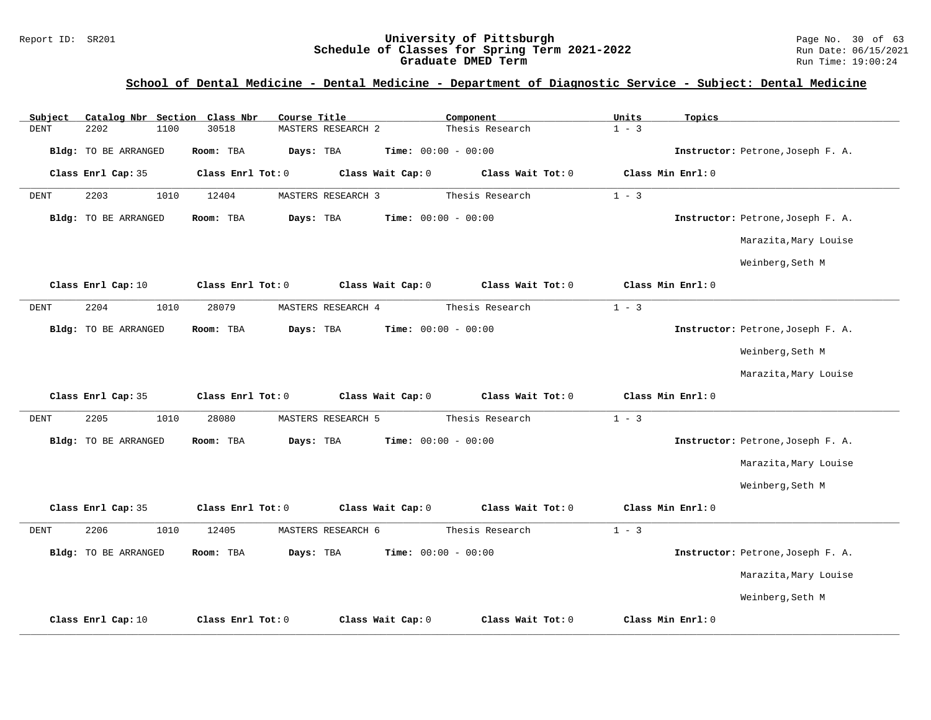#### Report ID: SR201 **University of Pittsburgh University of Pittsburgh** Page No. 30 of 63<br>**Schedule of Classes for Spring Term 2021-2022** Run Date: 06/15/2021 **Schedule of Classes for Spring Term 2021-2022** Run Date: 06/15/2021 **Graduate DMED Term Run Time: 19:00:24**

| Subject     |                             |      | Catalog Nbr Section Class Nbr | Course Title |                    |                   | Component                    |                   | Units   | Topics            |                                   |
|-------------|-----------------------------|------|-------------------------------|--------------|--------------------|-------------------|------------------------------|-------------------|---------|-------------------|-----------------------------------|
| <b>DENT</b> | 2202                        | 1100 | 30518                         |              | MASTERS RESEARCH 2 |                   |                              | Thesis Research   | $1 - 3$ |                   |                                   |
|             | <b>Bldg:</b> TO BE ARRANGED |      | Room: TBA                     | Days: TBA    |                    |                   | Time: $00:00 - 00:00$        |                   |         |                   | Instructor: Petrone, Joseph F. A. |
|             | Class Enrl Cap: 35          |      | Class Enrl Tot: 0             |              |                    | Class Wait Cap: 0 |                              | Class Wait Tot: 0 |         | Class Min Enrl: 0 |                                   |
| <b>DENT</b> | 2203                        | 1010 | 12404                         |              | MASTERS RESEARCH 3 |                   |                              | Thesis Research   | $1 - 3$ |                   |                                   |
|             | Bldg: TO BE ARRANGED        |      | Room: TBA                     | Days: TBA    |                    |                   | Time: $00:00 - 00:00$        |                   |         |                   | Instructor: Petrone, Joseph F. A. |
|             |                             |      |                               |              |                    |                   |                              |                   |         |                   | Marazita, Mary Louise             |
|             |                             |      |                               |              |                    |                   |                              |                   |         |                   | Weinberg, Seth M                  |
|             | Class Enrl Cap: 10          |      | Class Enrl Tot: 0             |              |                    | Class Wait Cap: 0 |                              | Class Wait Tot: 0 |         | Class Min Enrl: 0 |                                   |
| <b>DENT</b> | 2204                        | 1010 | 28079                         |              | MASTERS RESEARCH 4 |                   |                              | Thesis Research   | $1 - 3$ |                   |                                   |
|             | Bldg: TO BE ARRANGED        |      | Room: TBA                     | Days: TBA    |                    |                   | <b>Time:</b> $00:00 - 00:00$ |                   |         |                   | Instructor: Petrone, Joseph F. A. |
|             |                             |      |                               |              |                    |                   |                              |                   |         |                   | Weinberg, Seth M                  |
|             |                             |      |                               |              |                    |                   |                              |                   |         |                   | Marazita, Mary Louise             |
|             | Class Enrl Cap: 35          |      | Class Enrl Tot: 0             |              |                    | Class Wait Cap: 0 |                              | Class Wait Tot: 0 |         | Class Min Enrl: 0 |                                   |
| <b>DENT</b> | 2205                        | 1010 | 28080                         |              | MASTERS RESEARCH 5 |                   |                              | Thesis Research   | $1 - 3$ |                   |                                   |
|             | Bldg: TO BE ARRANGED        |      | Room: TBA                     | Days: TBA    |                    |                   | Time: $00:00 - 00:00$        |                   |         |                   | Instructor: Petrone, Joseph F. A. |
|             |                             |      |                               |              |                    |                   |                              |                   |         |                   | Marazita, Mary Louise             |
|             |                             |      |                               |              |                    |                   |                              |                   |         |                   | Weinberg, Seth M                  |
|             | Class Enrl Cap: 35          |      | Class Enrl Tot: 0             |              |                    | Class Wait Cap: 0 |                              | Class Wait Tot: 0 |         | Class Min Enrl: 0 |                                   |
| DENT        | 2206                        | 1010 | 12405                         |              | MASTERS RESEARCH 6 |                   |                              | Thesis Research   | $1 - 3$ |                   |                                   |
|             | Bldg: TO BE ARRANGED        |      | Room: TBA                     | Days: TBA    |                    |                   | <b>Time:</b> $00:00 - 00:00$ |                   |         |                   | Instructor: Petrone, Joseph F. A. |
|             |                             |      |                               |              |                    |                   |                              |                   |         |                   | Marazita, Mary Louise             |
|             |                             |      |                               |              |                    |                   |                              |                   |         |                   | Weinberg, Seth M                  |
|             | Class Enrl Cap: 10          |      | Class Enrl Tot: 0             |              |                    | Class Wait Cap: 0 |                              | Class Wait Tot: 0 |         | Class Min Enrl: 0 |                                   |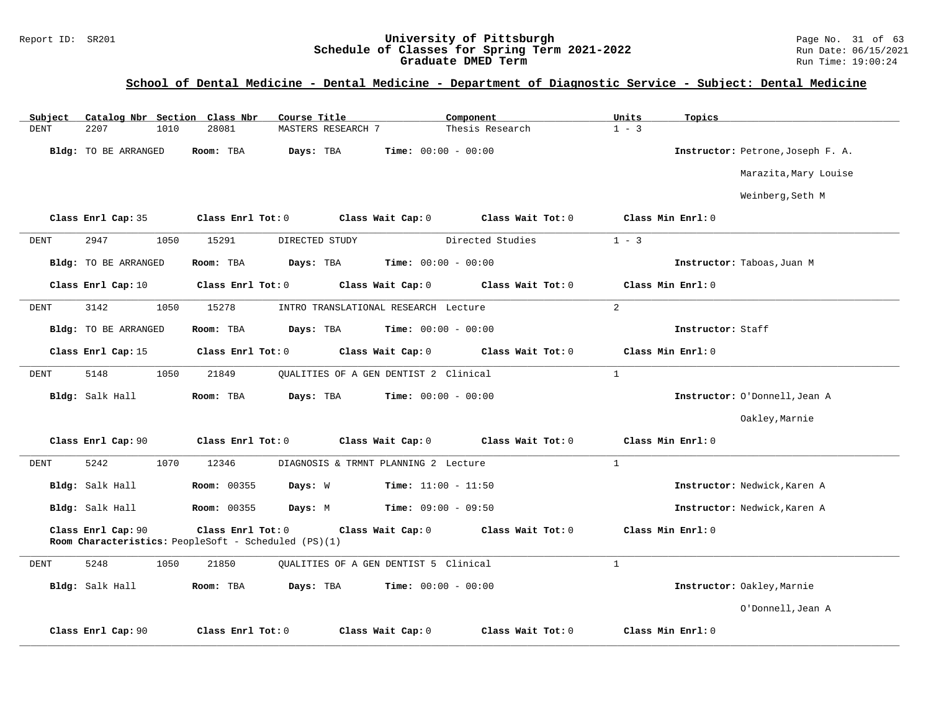#### Report ID: SR201 **University of Pittsburgh** Page No. 31 of 63 **Schedule of Classes for Spring Term 2021-2022** Run Date: 06/15/2021 **Graduate DMED Term Run Time: 19:00:24**

| Subject     |                             |      | Catalog Nbr Section Class Nbr                                             | Course Title       |                                       | Component         | Units          | Topics                            |
|-------------|-----------------------------|------|---------------------------------------------------------------------------|--------------------|---------------------------------------|-------------------|----------------|-----------------------------------|
| <b>DENT</b> | 2207                        | 1010 | 28081                                                                     | MASTERS RESEARCH 7 |                                       | Thesis Research   | $1 - 3$        |                                   |
|             | Bldg: TO BE ARRANGED        |      | Room: TBA                                                                 | Days: TBA          | Time: $00:00 - 00:00$                 |                   |                | Instructor: Petrone, Joseph F. A. |
|             |                             |      |                                                                           |                    |                                       |                   |                | Marazita, Mary Louise             |
|             |                             |      |                                                                           |                    |                                       |                   |                | Weinberg, Seth M                  |
|             | Class Enrl Cap: 35          |      | Class Enrl Tot: 0                                                         |                    | Class Wait Cap: 0                     | Class Wait Tot: 0 |                | Class Min Enrl: 0                 |
| DENT        | 2947                        | 1050 | 15291                                                                     | DIRECTED STUDY     |                                       | Directed Studies  | $1 - 3$        |                                   |
|             | Bldg: TO BE ARRANGED        |      | Room: TBA                                                                 | Days: TBA          | <b>Time:</b> $00:00 - 00:00$          |                   |                | Instructor: Taboas, Juan M        |
|             | Class Enrl Cap: 10          |      | Class Enrl Tot: 0                                                         |                    | Class Wait Cap: 0                     | Class Wait Tot: 0 |                | Class Min Enrl: 0                 |
| <b>DENT</b> | 3142                        | 1050 | 15278                                                                     |                    | INTRO TRANSLATIONAL RESEARCH Lecture  |                   | $\overline{2}$ |                                   |
|             | <b>Bldg:</b> TO BE ARRANGED |      | Room: TBA                                                                 | Days: TBA          | <b>Time:</b> $00:00 - 00:00$          |                   |                | Instructor: Staff                 |
|             | Class Enrl Cap: 15          |      | Class Enrl Tot: 0                                                         |                    | Class Wait Cap: 0                     | Class Wait Tot: 0 |                | Class Min Enrl: 0                 |
| DENT        | 5148                        | 1050 | 21849                                                                     |                    | OUALITIES OF A GEN DENTIST 2 Clinical |                   | $\mathbf{1}$   |                                   |
|             | Bldg: Salk Hall             |      | Room: TBA                                                                 | Days: TBA          | <b>Time:</b> $00:00 - 00:00$          |                   |                | Instructor: O'Donnell, Jean A     |
|             |                             |      |                                                                           |                    |                                       |                   |                | Oakley, Marnie                    |
|             | Class Enrl Cap: 90          |      | Class Enrl Tot: 0                                                         |                    | Class Wait Cap: 0                     | Class Wait Tot: 0 |                | Class Min Enrl: 0                 |
| <b>DENT</b> | 5242                        | 1070 | 12346                                                                     |                    | DIAGNOSIS & TRMNT PLANNING 2 Lecture  |                   | $\mathbf{1}$   |                                   |
|             | Bldg: Salk Hall             |      | Room: 00355                                                               | Days: W            | <b>Time:</b> $11:00 - 11:50$          |                   |                | Instructor: Nedwick, Karen A      |
|             | Bldg: Salk Hall             |      | <b>Room: 00355</b>                                                        | Days: M            | <b>Time:</b> $09:00 - 09:50$          |                   |                | Instructor: Nedwick, Karen A      |
|             | Class Enrl Cap: 90          |      | Class Enrl Tot: 0<br>Room Characteristics: PeopleSoft - Scheduled (PS)(1) |                    | Class Wait Cap: 0                     | Class Wait Tot: 0 |                | Class Min Enrl: 0                 |
| DENT        | 5248                        | 1050 | 21850                                                                     |                    | OUALITIES OF A GEN DENTIST 5 Clinical |                   | $\mathbf{1}$   |                                   |
|             | Bldg: Salk Hall             |      | Room: TBA                                                                 | Days: TBA          | <b>Time:</b> $00:00 - 00:00$          |                   |                | Instructor: Oakley, Marnie        |
|             |                             |      |                                                                           |                    |                                       |                   |                | O'Donnell, Jean A                 |
|             | Class Enrl Cap: 90          |      | Class Enrl Tot: 0                                                         |                    | Class Wait Cap: 0                     | Class Wait Tot: 0 |                | Class Min Enrl: 0                 |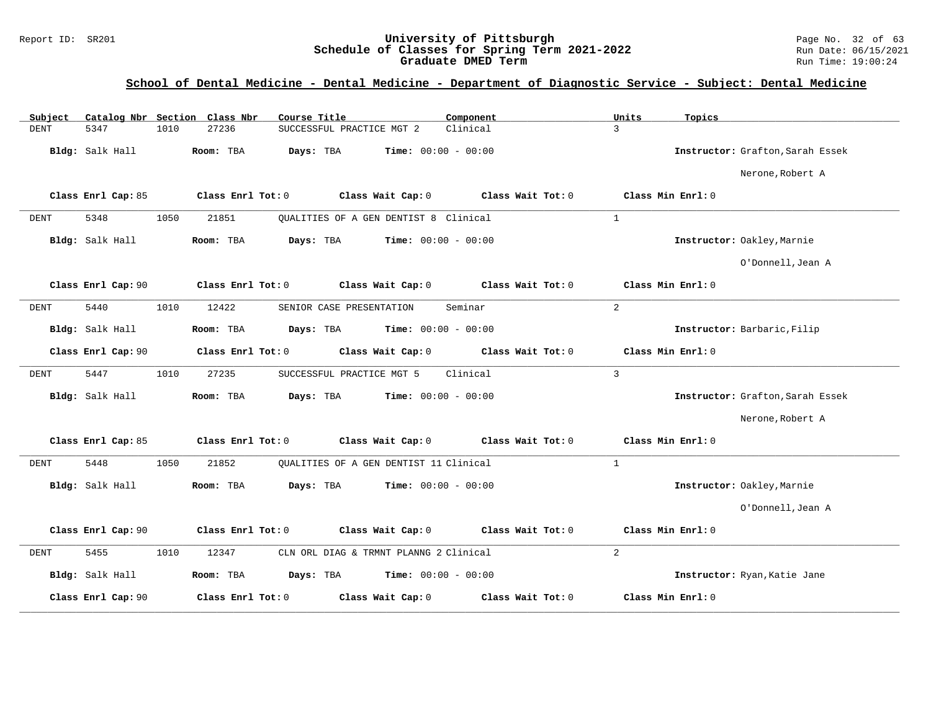#### Report ID: SR201 **University of Pittsburgh** Page No. 32 of 63 **Schedule of Classes for Spring Term 2021-2022** Run Date: 06/15/2021 **Graduate DMED Term Run Time: 19:00:24**

| Catalog Nbr Section Class Nbr<br>Subject | Course Title                                           | Component         | Units<br>Topics                  |
|------------------------------------------|--------------------------------------------------------|-------------------|----------------------------------|
| <b>DENT</b><br>5347<br>1010              | 27236<br>SUCCESSFUL PRACTICE MGT 2                     | Clinical          | $\mathcal{L}$                    |
| Bldg: Salk Hall                          | Days: TBA<br><b>Time:</b> $00:00 - 00:00$<br>Room: TBA |                   | Instructor: Grafton, Sarah Essek |
|                                          |                                                        |                   | Nerone, Robert A                 |
| Class Enrl Cap: 85                       | Class Enrl Tot: 0<br>Class Wait Cap: 0                 | Class Wait Tot: 0 | Class Min Enrl: 0                |
| 5348<br>1050<br><b>DENT</b>              | 21851<br>OUALITIES OF A GEN DENTIST 8 Clinical         |                   | 1                                |
| Bldg: Salk Hall                          | Days: TBA<br><b>Time:</b> $00:00 - 00:00$<br>Room: TBA |                   | Instructor: Oakley, Marnie       |
|                                          |                                                        |                   | O'Donnell, Jean A                |
| Class Enrl Cap: 90                       | Class Wait Cap: 0<br>Class Enrl Tot: 0                 | Class Wait Tot: 0 | Class Min Enrl: 0                |
| 5440<br>1010<br><b>DENT</b>              | 12422<br>SENIOR CASE PRESENTATION                      | Seminar           | 2                                |
| Bldg: Salk Hall                          | Room: TBA<br>Days: TBA<br><b>Time:</b> $00:00 - 00:00$ |                   | Instructor: Barbaric, Filip      |
| Class Enrl Cap: 90                       | Class Enrl Tot: 0<br>Class Wait Cap: 0                 | Class Wait Tot: 0 | Class Min Enrl: 0                |
| 5447<br>1010<br><b>DENT</b>              | 27235<br>SUCCESSFUL PRACTICE MGT 5                     | Clinical          | $\mathbf{3}$                     |
| Bldg: Salk Hall                          | Days: TBA<br><b>Time:</b> $00:00 - 00:00$<br>Room: TBA |                   | Instructor: Grafton, Sarah Essek |
|                                          |                                                        |                   | Nerone, Robert A                 |
| Class Enrl Cap: 85                       | Class Wait Cap: 0<br>Class Enrl Tot: 0                 | Class Wait Tot: 0 | Class Min Enrl: 0                |
| 5448<br>1050<br><b>DENT</b>              | 21852<br>OUALITIES OF A GEN DENTIST 11 Clinical        |                   | $\mathbf{1}$                     |
| Bldg: Salk Hall                          | Days: TBA<br><b>Time:</b> $00:00 - 00:00$<br>Room: TBA |                   | Instructor: Oakley, Marnie       |
|                                          |                                                        |                   | O'Donnell, Jean A                |
| Class Enrl Cap: 90                       | Class Wait Cap: 0<br>Class Enrl Tot: 0                 | Class Wait Tot: 0 | Class Min Enrl: 0                |
| 5455<br>1010<br>DENT                     | 12347<br>CLN ORL DIAG & TRMNT PLANNG 2 Clinical        |                   | 2                                |
| Bldg: Salk Hall                          | Room: TBA<br>Days: TBA<br><b>Time:</b> $00:00 - 00:00$ |                   | Instructor: Ryan, Katie Jane     |
| Class Enrl Cap: 90                       | Class Enrl Tot: 0<br>Class Wait Cap: 0                 | Class Wait Tot: 0 | Class Min Enrl: 0                |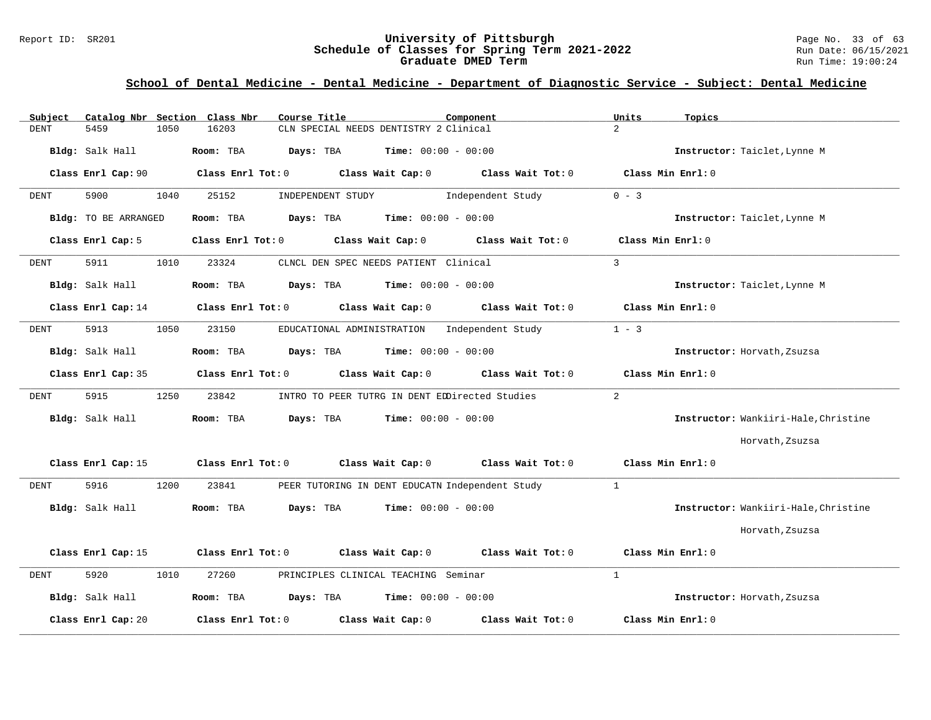#### Report ID: SR201 **University of Pittsburgh** Page No. 33 of 63 **Schedule of Classes for Spring Term 2021-2022** Run Date: 06/15/2021 **Graduate DMED Term Run Time: 19:00:24**

| Subject              | Catalog Nbr Section Class Nbr | Course Title                                          |                              | Component                           | Units         | Topics                               |
|----------------------|-------------------------------|-------------------------------------------------------|------------------------------|-------------------------------------|---------------|--------------------------------------|
| <b>DENT</b><br>5459  | 1050<br>16203                 | CLN SPECIAL NEEDS DENTISTRY 2 Clinical                |                              |                                     | $2^{1}$       |                                      |
| Bldg: Salk Hall      | Room: TBA                     | Days: TBA                                             | <b>Time:</b> $00:00 - 00:00$ |                                     |               | Instructor: Taiclet, Lynne M         |
| Class Enrl Cap: 90   | Class Enrl Tot: 0             |                                                       |                              | Class Wait Cap: 0 Class Wait Tot: 0 |               | Class Min Enrl: 0                    |
| 5900<br><b>DENT</b>  | 1040<br>25152                 | INDEPENDENT STUDY                                     |                              | Independent Study                   | $0 - 3$       |                                      |
| Bldg: TO BE ARRANGED | Room: TBA                     | Days: TBA                                             | <b>Time:</b> $00:00 - 00:00$ |                                     |               | Instructor: Taiclet, Lynne M         |
| Class Enrl Cap: 5    | $Class$ $Enr1$ $Tot: 0$       | Class Wait Cap: 0                                     |                              | Class Wait Tot: 0                   |               | Class Min Enrl: 0                    |
| 5911<br>DENT         | 1010<br>23324                 | CLNCL DEN SPEC NEEDS PATIENT Clinical                 |                              |                                     | $\mathcal{L}$ |                                      |
| Bldg: Salk Hall      | Room: TBA                     | Days: TBA                                             | <b>Time:</b> $00:00 - 00:00$ |                                     |               | Instructor: Taiclet, Lynne M         |
| Class Enrl Cap: 14   | Class Enrl Tot: 0             |                                                       | Class Wait Cap: 0            | Class Wait Tot: 0                   |               | Class Min Enrl: 0                    |
| 5913<br>DENT         | 1050<br>23150                 | EDUCATIONAL ADMINISTRATION                            |                              | Independent Study                   | $1 - 3$       |                                      |
| Bldg: Salk Hall      | Room: TBA                     | Days: TBA                                             | <b>Time:</b> $00:00 - 00:00$ |                                     |               | Instructor: Horvath, Zsuzsa          |
| Class Enrl Cap: 35   | Class Enrl Tot: 0             |                                                       | Class Wait Cap: 0            | Class Wait Tot: 0                   |               | Class Min Enrl: 0                    |
| 5915<br>DENT         | 1250<br>23842                 | INTRO TO PEER TUTRG IN DENT EDDirected Studies        |                              |                                     | 2             |                                      |
| Bldg: Salk Hall      | Room: TBA                     | Days: TBA                                             | <b>Time:</b> $00:00 - 00:00$ |                                     |               | Instructor: Wankiiri-Hale, Christine |
|                      |                               |                                                       |                              |                                     |               | Horvath, Zsuzsa                      |
| Class Enrl Cap: 15   |                               | Class Enrl Tot: 0 Class Wait Cap: 0 Class Wait Tot: 0 |                              |                                     |               | Class Min Enrl: 0                    |
| 5916<br>DENT         | 1200<br>23841                 | PEER TUTORING IN DENT EDUCATN Independent Study       |                              |                                     | $\mathbf{1}$  |                                      |
| Bldg: Salk Hall      | Room: TBA                     | Days: TBA                                             | <b>Time:</b> $00:00 - 00:00$ |                                     |               | Instructor: Wankiiri-Hale, Christine |
|                      |                               |                                                       |                              |                                     |               | Horvath, Zsuzsa                      |
| Class Enrl Cap: 15   | Class Enrl Tot: 0             | Class Wait Cap: 0                                     |                              | Class Wait Tot: 0                   |               | Class Min Enrl: 0                    |
| 5920<br><b>DENT</b>  | 27260<br>1010                 | PRINCIPLES CLINICAL TEACHING Seminar                  |                              |                                     | $\mathbf{1}$  |                                      |
| Bldg: Salk Hall      | Room: TBA                     | Days: TBA                                             | $Time: 00:00 - 00:00$        |                                     |               | Instructor: Horvath, Zsuzsa          |
| Class Enrl Cap: 20   | Class Enrl Tot: 0             |                                                       | Class Wait Cap: 0            | Class Wait Tot: 0                   |               | Class Min Enrl: 0                    |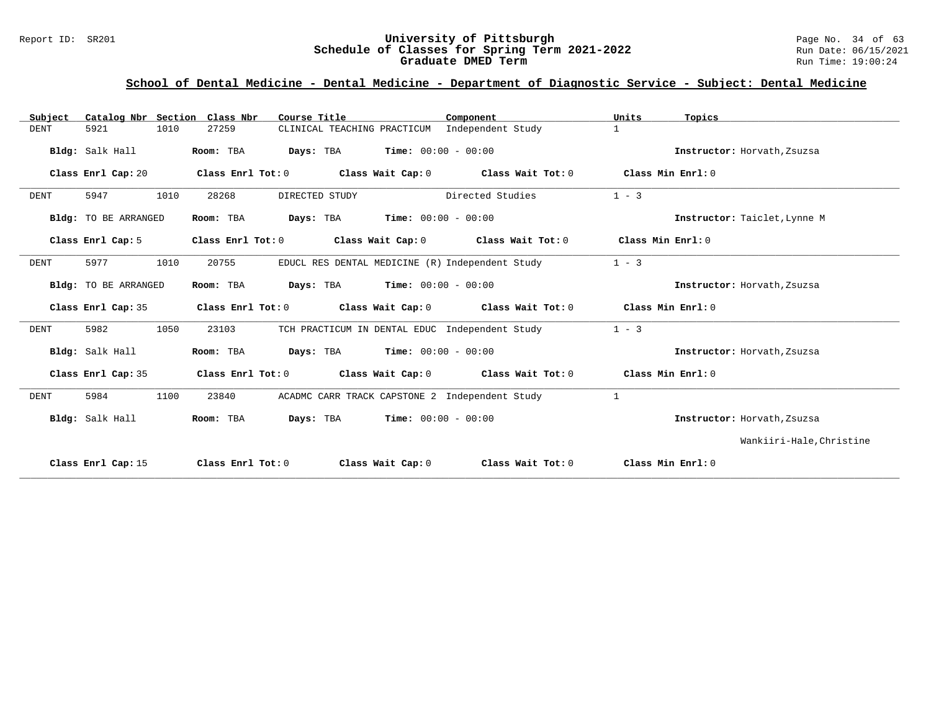#### Report ID: SR201 **University of Pittsburgh** Page No. 34 of 63 **Schedule of Classes for Spring Term 2021-2022** Run Date: 06/15/2021 **Graduate DMED Term Run Time: 19:00:24**

| Catalog Nbr Section Class Nbr<br>Subject | Course Title                                                                    | Component                                      | Units<br>Topics              |
|------------------------------------------|---------------------------------------------------------------------------------|------------------------------------------------|------------------------------|
| 5921<br>1010<br><b>DENT</b>              | CLINICAL TEACHING PRACTICUM Independent Study<br>27259                          |                                                | $\mathbf{1}$                 |
| Bldg: Salk Hall                          | <b>Days:</b> TBA <b>Time:</b> $00:00 - 00:00$<br>Room: TBA                      |                                                | Instructor: Horvath, Zsuzsa  |
| Class Enrl Cap: 20                       | Class Enrl Tot: $0$ Class Wait Cap: $0$ Class Wait Tot: $0$                     |                                                | Class Min Enrl: 0            |
| 5947<br>1010<br><b>DENT</b>              | 28268<br>DIRECTED STUDY                                                         | Directed Studies                               | $1 - 3$                      |
| Bldg: TO BE ARRANGED                     | <b>Days:</b> TBA <b>Time:</b> $00:00 - 00:00$<br>Room: TBA                      |                                                | Instructor: Taiclet, Lynne M |
| Class Enrl Cap: 5                        | Class Enrl Tot: 0 Class Wait Cap: 0 Class Wait Tot: 0                           |                                                | Class Min Enrl: 0            |
| 1010<br>5977<br>DENT                     | EDUCL RES DENTAL MEDICINE (R) Independent Study<br>20755                        |                                                | $1 - 3$                      |
| Bldg: TO BE ARRANGED                     | Room: TBA<br><b>Days:</b> TBA <b>Time:</b> $00:00 - 00:00$                      |                                                | Instructor: Horvath, Zsuzsa  |
| Class Enrl Cap: 35                       | Class Enrl Tot: $0$ Class Wait Cap: $0$ Class Wait Tot: $0$ Class Min Enrl: $0$ |                                                |                              |
| 5982<br>1050<br>DENT                     | 23103<br>TCH PRACTICUM IN DENTAL EDUC Independent Study                         |                                                | $1 - 3$                      |
| Bldg: Salk Hall                          | Room: TBA<br><b>Days:</b> TBA <b>Time:</b> $00:00 - 00:00$                      |                                                | Instructor: Horvath, Zsuzsa  |
| Class Enrl Cap: 35                       | Class Enrl Tot: $0$ Class Wait Cap: $0$ Class Wait Tot: $0$                     |                                                | Class Min Enrl: 0            |
| 1100<br><b>DENT</b><br>5984              | 23840                                                                           | ACADMC CARR TRACK CAPSTONE 2 Independent Study | $\mathbf{1}$                 |
| Bldg: Salk Hall                          | <b>Days:</b> TBA <b>Time:</b> $00:00 - 00:00$<br>Room: TBA                      |                                                | Instructor: Horvath, Zsuzsa  |
|                                          |                                                                                 |                                                | Wankiiri-Hale, Christine     |
| Class Enrl Cap: 15                       | Class Enrl Tot: 0<br>Class Wait Cap: 0                                          | Class Wait Tot: 0                              | Class Min Enrl: 0            |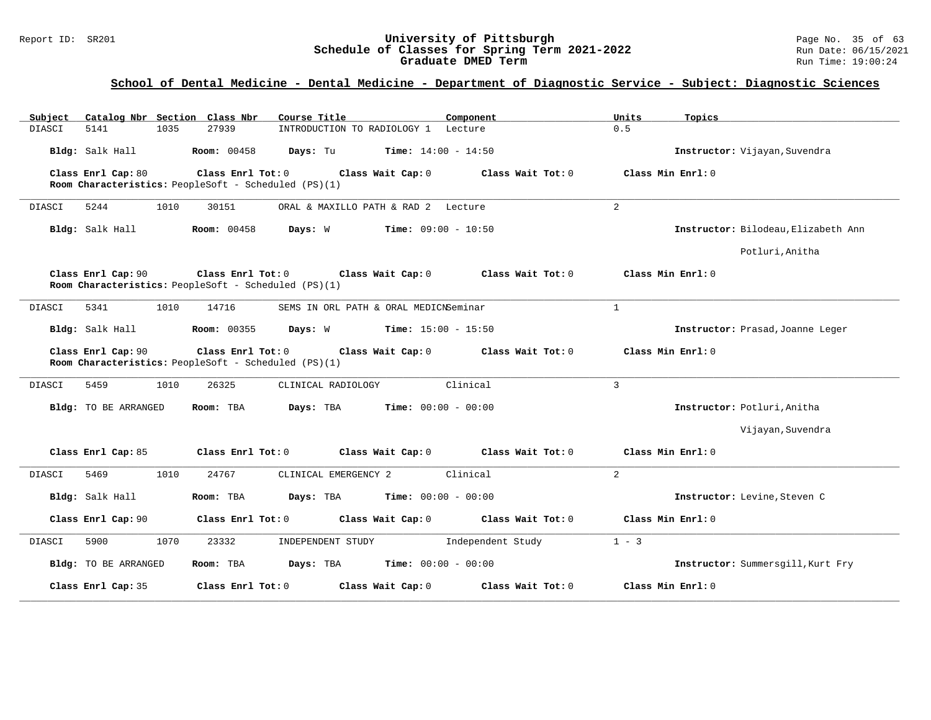#### Report ID: SR201 **University of Pittsburgh** Page No. 35 of 63 **Schedule of Classes for Spring Term 2021-2022** Run Date: 06/15/2021 **Graduate DMED Term Run Time: 19:00:24**

| Subject<br>Catalog Nbr Section Class Nbr | Course Title                                                                                   | Component                               | Units<br>Topics                     |
|------------------------------------------|------------------------------------------------------------------------------------------------|-----------------------------------------|-------------------------------------|
| DIASCI<br>5141<br>1035                   | 27939<br>INTRODUCTION TO RADIOLOGY 1 Lecture                                                   |                                         | 0.5                                 |
| Bldg: Salk Hall                          | <b>Room:</b> 00458<br><b>Days:</b> Tu <b>Time:</b> $14:00 - 14:50$                             |                                         | Instructor: Vijayan, Suvendra       |
| Class Enrl Cap: 80                       | Class Enrl Tot: 0<br>Class Wait Cap: 0<br>Room Characteristics: PeopleSoft - Scheduled (PS)(1) | Class Wait Tot: 0                       | Class Min Enrl: 0                   |
| DIASCI<br>5244<br>1010                   | 30151<br>ORAL & MAXILLO PATH & RAD 2 Lecture                                                   |                                         | 2                                   |
| Bldg: Salk Hall                          | <b>Room: 00458</b><br>Days: W                                                                  | <b>Time:</b> $09:00 - 10:50$            | Instructor: Bilodeau, Elizabeth Ann |
|                                          |                                                                                                |                                         | Potluri, Anitha                     |
| Class Enrl Cap: 90                       | Class Enrl Tot: 0 Class Wait Cap: 0<br>Room Characteristics: PeopleSoft - Scheduled (PS)(1)    | Class Wait Tot: 0                       | Class Min Enrl: 0                   |
| 5341<br>1010<br>DIASCI                   | 14716<br>SEMS IN ORL PATH & ORAL MEDICNSeminar                                                 |                                         | $\mathbf{1}$                        |
| Bldg: Salk Hall                          | <b>Room:</b> 00355<br>Days: W<br><b>Time:</b> $15:00 - 15:50$                                  |                                         | Instructor: Prasad, Joanne Leger    |
| Class Enrl Cap: 90                       | Class Enrl Tot: 0<br>Room Characteristics: PeopleSoft - Scheduled (PS)(1)                      | Class Wait Cap: 0 Class Wait Tot: 0     | Class Min Enrl: 0                   |
| 5459<br>1010<br>DIASCI                   | 26325<br>CLINICAL RADIOLOGY                                                                    | Clinical                                | $\overline{3}$                      |
| Bldg: TO BE ARRANGED                     | Room: TBA<br>Days: TBA                                                                         | <b>Time:</b> $00:00 - 00:00$            | Instructor: Potluri, Anitha         |
|                                          |                                                                                                |                                         | Vijayan, Suvendra                   |
| Class Enrl Cap: 85                       | Class Enrl Tot: 0                                                                              | Class Wait Cap: $0$ Class Wait Tot: $0$ | Class Min Enrl: 0                   |
| 1010<br>5469<br>DIASCI                   | 24767<br>CLINICAL EMERGENCY 2                                                                  | Clinical                                | $\overline{2}$                      |
| Bldg: Salk Hall                          | Days: TBA<br>Room: TBA                                                                         | <b>Time:</b> $00:00 - 00:00$            | Instructor: Levine, Steven C        |
| Class Enrl Cap: 90                       | Class Enrl Tot: 0<br>Class Wait Cap: 0                                                         | Class Wait Tot: 0                       | Class Min Enrl: 0                   |
| 1070<br>DIASCI<br>5900                   | 23332<br>INDEPENDENT STUDY                                                                     | Independent Study                       | $1 - 3$                             |
| <b>Bldg:</b> TO BE ARRANGED              | Days: TBA<br>Room: TBA                                                                         | <b>Time:</b> $00:00 - 00:00$            | Instructor: Summersgill, Kurt Fry   |
| Class Enrl Cap: 35                       | Class Enrl Tot: 0<br>Class Wait Cap: 0                                                         | Class Wait Tot: 0                       | Class Min Enrl: 0                   |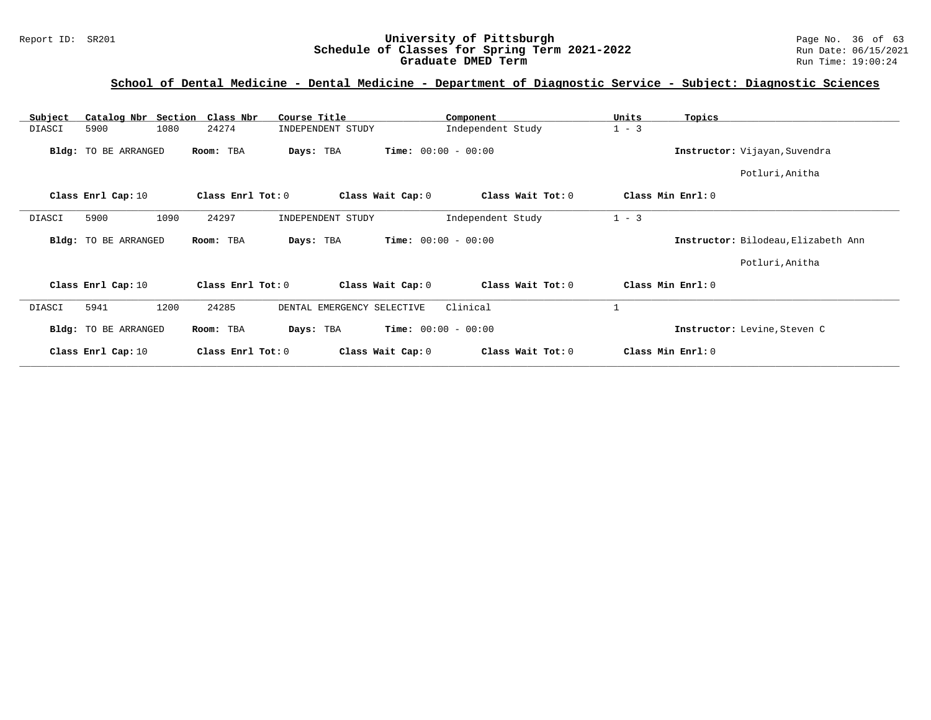#### Report ID: SR201 **University of Pittsburgh** Page No. 36 of 63 **Schedule of Classes for Spring Term 2021-2022** Run Date: 06/15/2021 **Graduate DMED Term Run Time: 19:00:24**

| Catalog Nbr Section Class Nbr<br>Subject | Course Title               | Component                              | Units<br>Topics                     |
|------------------------------------------|----------------------------|----------------------------------------|-------------------------------------|
| 5900<br>1080<br>DIASCI                   | 24274<br>INDEPENDENT STUDY | Independent Study                      | $1 - 3$                             |
| Bldg: TO BE ARRANGED                     | Room: TBA<br>Days: TBA     | <b>Time:</b> $00:00 - 00:00$           | Instructor: Vijayan, Suvendra       |
|                                          |                            |                                        | Potluri, Anitha                     |
| Class Enrl Cap: 10                       | Class Enrl Tot: 0          | Class Wait Cap: 0<br>Class Wait Tot: 0 | Class Min Enrl: 0                   |
| 1090<br>5900<br>DIASCI                   | 24297<br>INDEPENDENT STUDY | Independent Study                      | $1 - 3$                             |
| Bldg: TO BE ARRANGED                     | Room: TBA<br>Days: TBA     | <b>Time:</b> $00:00 - 00:00$           | Instructor: Bilodeau, Elizabeth Ann |
|                                          |                            |                                        | Potluri, Anitha                     |
| Class Enrl Cap: 10                       | Class Enrl Tot: 0          | Class Wait Tot: 0<br>Class Wait Cap: 0 | Class Min Enrl: 0                   |
| 1200<br>5941<br>DIASCI                   | 24285                      | Clinical<br>DENTAL EMERGENCY SELECTIVE |                                     |
| Bldg: TO BE ARRANGED                     | Room: TBA<br>Days: TBA     | <b>Time:</b> $00:00 - 00:00$           | Instructor: Levine, Steven C        |
| Class Enrl Cap: 10                       | Class Enrl Tot: 0          | Class Wait Tot: 0<br>Class Wait Cap: 0 | Class Min Enrl: 0                   |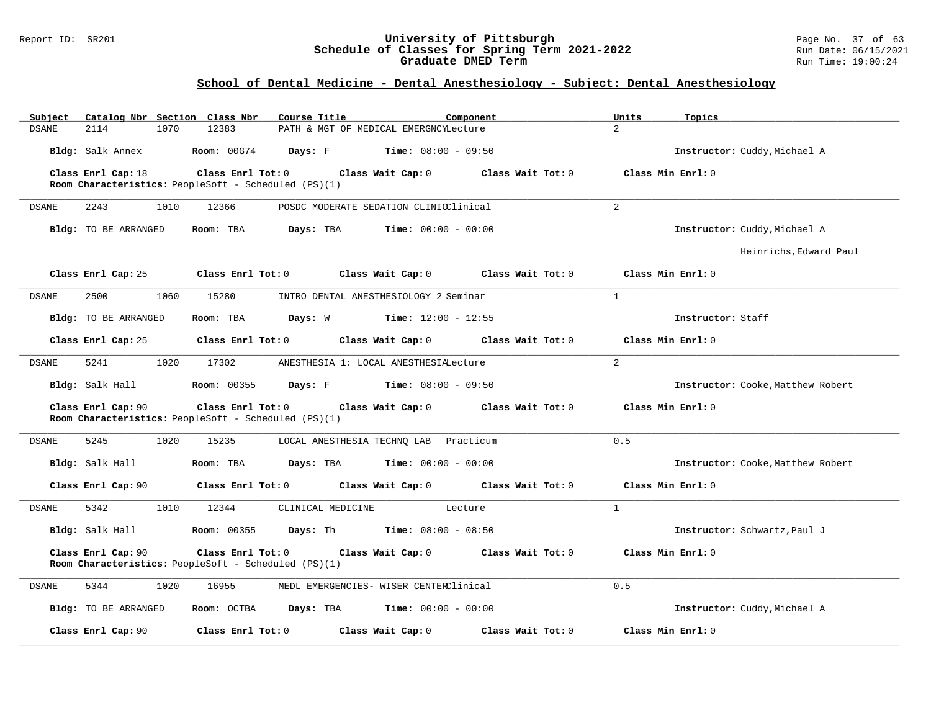#### Report ID: SR201 **University of Pittsburgh** Page No. 37 of 63 **Schedule of Classes for Spring Term 2021-2022** Run Date: 06/15/2021 **Graduate DMED Term Run Time: 19:00:24**

## **School of Dental Medicine - Dental Anesthesiology - Subject: Dental Anesthesiology**

| Catalog Nbr Section Class Nbr<br>Subject | Course Title<br>Component                                                                                              | Units<br>Topics                        |
|------------------------------------------|------------------------------------------------------------------------------------------------------------------------|----------------------------------------|
| <b>DSANE</b><br>2114<br>1070             | 12383<br>PATH & MGT OF MEDICAL EMERGNCYLecture                                                                         | $\overline{2}$                         |
| Bldg: Salk Annex                         | <b>Room: 00G74</b><br>Days: F<br><b>Time:</b> $08:00 - 09:50$                                                          | Instructor: Cuddy, Michael A           |
| Class Enrl Cap: 18                       | Class Enrl Tot: 0<br>Class Wait Cap: 0                                                                                 | Class Wait Tot: 0<br>Class Min Enrl: 0 |
|                                          | Room Characteristics: PeopleSoft - Scheduled (PS)(1)                                                                   |                                        |
| DSANE<br>2243<br>1010                    | 12366<br>POSDC MODERATE SEDATION CLINICClinical                                                                        | $\overline{2}$                         |
| Bldg: TO BE ARRANGED                     | Room: TBA<br>Days: TBA<br><b>Time:</b> $00:00 - 00:00$                                                                 | Instructor: Cuddy, Michael A           |
|                                          |                                                                                                                        | Heinrichs, Edward Paul                 |
| Class Enrl Cap: 25                       | Class Enrl Tot: $0$ Class Wait Cap: $0$ Class Wait Tot: $0$                                                            | Class Min Enrl: 0                      |
| 2500<br>1060<br>DSANE                    | 15280<br>INTRO DENTAL ANESTHESIOLOGY 2 Seminar                                                                         | $\mathbf{1}$                           |
| Bldg: TO BE ARRANGED                     | <b>Days:</b> W <b>Time:</b> $12:00 - 12:55$<br>Room: TBA                                                               | Instructor: Staff                      |
| Class Enrl Cap: 25                       | Class Enrl Tot: 0<br>Class Wait Cap: 0                                                                                 | Class Min Enrl: 0<br>Class Wait Tot: 0 |
| 1020<br><b>DSANE</b><br>5241             | 17302<br>ANESTHESIA 1: LOCAL ANESTHESIALecture                                                                         | $2^{1}$                                |
| Bldg: Salk Hall                          | <b>Room: 00355</b><br>Days: F<br><b>Time:</b> $08:00 - 09:50$                                                          | Instructor: Cooke, Matthew Robert      |
| Class Enrl Cap: 90                       | $Class$ $Enr1$ $Tot: 0$<br>Class Wait Cap: 0 Class Wait Tot: 0<br>Room Characteristics: PeopleSoft - Scheduled (PS)(1) | Class Min Enrl: 0                      |
| 5245<br>1020<br>DSANE                    | 15235<br>LOCAL ANESTHESIA TECHNQ LAB Practicum                                                                         | 0.5                                    |
| Bldg: Salk Hall                          | Room: TBA<br><b>Days:</b> TBA <b>Time:</b> $00:00 - 00:00$                                                             | Instructor: Cooke, Matthew Robert      |
| Class Enrl Cap: 90                       | Class Enrl Tot: $0$ Class Wait Cap: $0$ Class Wait Tot: $0$                                                            | Class Min Enrl: 0                      |
| 1010<br><b>DSANE</b><br>5342             | 12344<br>CLINICAL MEDICINE<br>Lecture                                                                                  | $\mathbf{1}$                           |
| Bldg: Salk Hall                          | <b>Time:</b> $08:00 - 08:50$<br><b>Room: 00355</b><br>Days: Th                                                         | Instructor: Schwartz, Paul J           |
| Class Enrl Cap: 90                       | Class Enrl Tot: 0<br>Class Wait Cap: $0$ Class Wait Tot: $0$                                                           | Class Min Enrl: 0                      |
|                                          | Room Characteristics: PeopleSoft - Scheduled (PS)(1)                                                                   |                                        |
| 5344<br>1020<br>DSANE                    | 16955<br>MEDL EMERGENCIES- WISER CENTERClinical                                                                        | 0.5                                    |
| Bldg: TO BE ARRANGED                     | Room: OCTBA<br><b>Days:</b> TBA <b>Time:</b> $00:00 - 00:00$                                                           | Instructor: Cuddy, Michael A           |
| Class Enrl Cap: 90                       | Class Enrl Tot: 0<br>Class Wait Cap: 0                                                                                 | Class Wait Tot: 0<br>Class Min Enrl: 0 |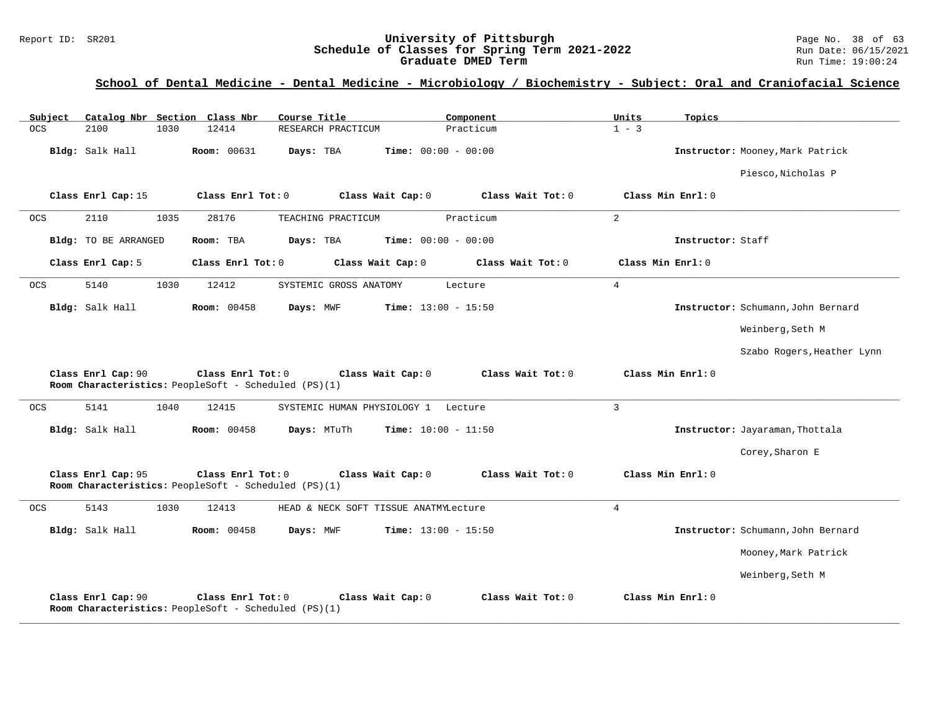#### Report ID: SR201 **University of Pittsburgh University of Pittsburgh** Page No. 38 of 63<br>**Schedule of Classes for Spring Term 2021-2022** Run Date: 06/15/2021 **Schedule of Classes for Spring Term 2021-2022** Run Date: 06/15/2021 **Graduate DMED Term Run Time: 19:00:24**

| Subject            |                      | Catalog Nbr Section Class Nbr                                             | Course Title                          | Component                    | Units<br>Topics   |                                    |
|--------------------|----------------------|---------------------------------------------------------------------------|---------------------------------------|------------------------------|-------------------|------------------------------------|
| <b>OCS</b><br>2100 | 1030                 | 12414                                                                     | RESEARCH PRACTICUM                    | Practicum                    | $1 - 3$           |                                    |
| Bldg: Salk Hall    |                      | Room: 00631                                                               | Days: TBA                             | Time: $00:00 - 00:00$        |                   | Instructor: Mooney, Mark Patrick   |
|                    |                      |                                                                           |                                       |                              |                   | Piesco, Nicholas P                 |
|                    | Class Enrl Cap: 15   | Class Enrl Tot: 0                                                         | Class Wait Cap: 0                     | Class Wait Tot: 0            | Class Min Enrl: 0 |                                    |
| 2110<br><b>OCS</b> | 1035                 | 28176                                                                     | TEACHING PRACTICUM                    | Practicum                    | $\overline{2}$    |                                    |
|                    | Bldg: TO BE ARRANGED | Room: TBA                                                                 | Days: TBA                             | <b>Time:</b> $00:00 - 00:00$ |                   | Instructor: Staff                  |
| Class Enrl Cap: 5  |                      | Class Enrl Tot: 0                                                         | Class Wait Cap: 0                     | Class Wait Tot: 0            | Class Min Enrl: 0 |                                    |
| 5140<br><b>OCS</b> | 1030                 | 12412                                                                     | SYSTEMIC GROSS ANATOMY                | Lecture                      | $\overline{4}$    |                                    |
| Bldg: Salk Hall    |                      | <b>Room: 00458</b>                                                        | Days: MWF                             | <b>Time:</b> $13:00 - 15:50$ |                   | Instructor: Schumann, John Bernard |
|                    |                      |                                                                           |                                       |                              |                   | Weinberg, Seth M                   |
|                    |                      |                                                                           |                                       |                              |                   | Szabo Rogers, Heather Lynn         |
|                    |                      |                                                                           |                                       |                              |                   |                                    |
|                    | Class Enrl Cap: 90   | Class Enrl Tot: 0<br>Room Characteristics: PeopleSoft - Scheduled (PS)(1) | Class Wait Cap: 0                     | Class Wait Tot: 0            | Class Min Enrl: 0 |                                    |
| 5141<br><b>OCS</b> | 1040                 | 12415                                                                     | SYSTEMIC HUMAN PHYSIOLOGY 1 Lecture   |                              | $\overline{3}$    |                                    |
| Bldg: Salk Hall    |                      | <b>Room: 00458</b>                                                        | Days: MTuTh                           | <b>Time:</b> $10:00 - 11:50$ |                   | Instructor: Jayaraman, Thottala    |
|                    |                      |                                                                           |                                       |                              |                   | Corey, Sharon E                    |
|                    | Class Enrl Cap: 95   | Class Enrl Tot: 0<br>Room Characteristics: PeopleSoft - Scheduled (PS)(1) | Class Wait Cap: 0                     | Class Wait Tot: 0            | Class Min Enrl: 0 |                                    |
| <b>OCS</b><br>5143 | 1030                 | 12413                                                                     | HEAD & NECK SOFT TISSUE ANATMYLecture |                              | 4                 |                                    |
| Bldg: Salk Hall    |                      | <b>Room: 00458</b>                                                        | Days: MWF                             | <b>Time:</b> $13:00 - 15:50$ |                   | Instructor: Schumann, John Bernard |
|                    |                      |                                                                           |                                       |                              |                   | Mooney, Mark Patrick               |
|                    |                      |                                                                           |                                       |                              |                   | Weinberg, Seth M                   |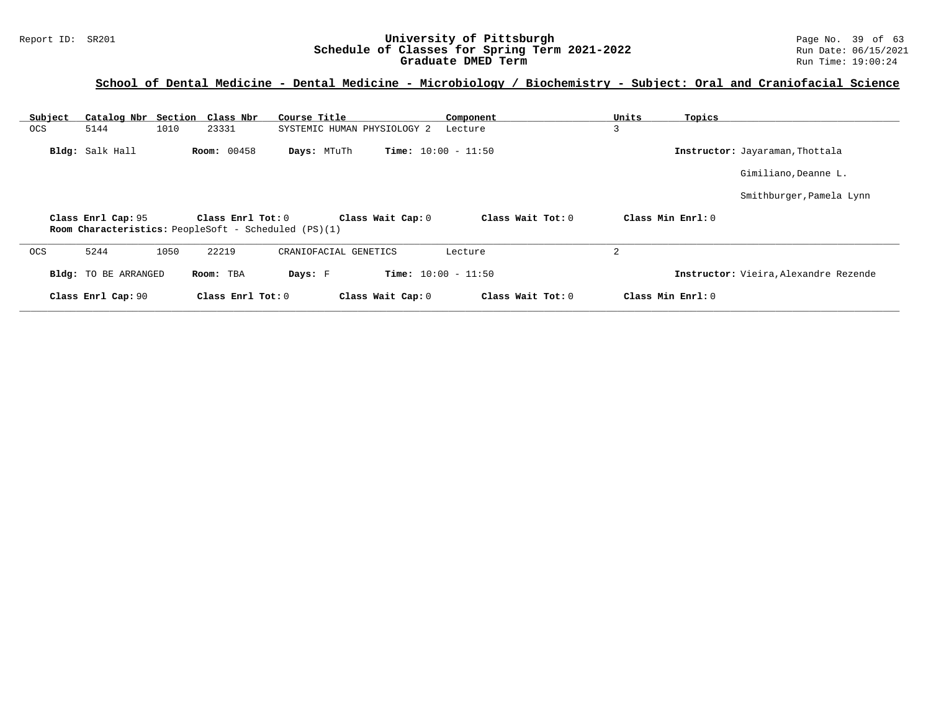#### Report ID: SR201 **University of Pittsburgh University of Pittsburgh** Page No. 39 of 63<br>**Schedule of Classes for Spring Term 2021-2022** Run Date: 06/15/2021 **Schedule of Classes for Spring Term 2021-2022** Run Date: 06/15/2021 **Graduate DMED Term Run Time: 19:00:24**

| Subject    | Catalog Nbr Section  |                    | Class Nbr<br>Course Title                                                   |                              | Component           | Units          | Topics            |                                       |
|------------|----------------------|--------------------|-----------------------------------------------------------------------------|------------------------------|---------------------|----------------|-------------------|---------------------------------------|
| <b>OCS</b> | 5144                 | 1010<br>23331      | SYSTEMIC HUMAN PHYSIOLOGY 2                                                 | Lecture                      |                     | 3              |                   |                                       |
|            | Bldg: Salk Hall      | <b>Room: 00458</b> | Days: MTuTh                                                                 | <b>Time:</b> $10:00 - 11:50$ |                     |                |                   | Instructor: Jayaraman, Thottala       |
|            |                      |                    |                                                                             |                              |                     |                |                   | Gimiliano, Deanne L.                  |
|            |                      |                    |                                                                             |                              |                     |                |                   | Smithburger, Pamela Lynn              |
|            | Class Enrl Cap: 95   |                    | Class Enrl Tot: $0$<br>Room Characteristics: PeopleSoft - Scheduled (PS)(1) | Class Wait Cap: 0            | Class Wait $Tot: 0$ |                | Class Min Enrl: 0 |                                       |
| <b>OCS</b> | 5244                 | 1050<br>22219      | CRANIOFACIAL GENETICS                                                       | Lecture                      |                     | $\overline{2}$ |                   |                                       |
|            | Bldg: TO BE ARRANGED | Room: TBA          | Days: F                                                                     | <b>Time:</b> $10:00 - 11:50$ |                     |                |                   | Instructor: Vieira, Alexandre Rezende |
|            | Class Enrl Cap: 90   |                    | Class Enrl Tot: 0                                                           | Class Wait Cap: 0            | Class Wait $Tot: 0$ |                | Class Min Enrl: 0 |                                       |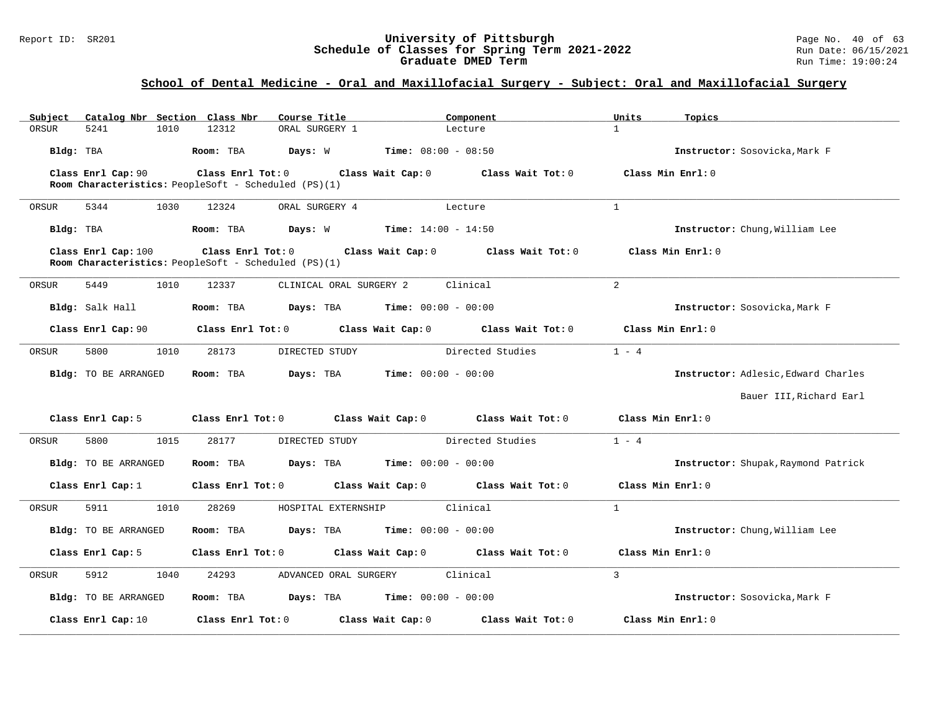#### Report ID: SR201 **University of Pittsburgh** Page No. 40 of 63 **Schedule of Classes for Spring Term 2021-2022** Run Date: 06/15/2021 **Graduate DMED Term Run Time: 19:00:24**

## **School of Dental Medicine - Oral and Maxillofacial Surgery - Subject: Oral and Maxillofacial Surgery**

| Subject   |                      |      | Catalog Nbr Section Class Nbr                        | Course Title                                  |                                               | Component                           | Units             | Topics                              |
|-----------|----------------------|------|------------------------------------------------------|-----------------------------------------------|-----------------------------------------------|-------------------------------------|-------------------|-------------------------------------|
| ORSUR     | 5241                 | 1010 | 12312                                                | ORAL SURGERY 1                                |                                               | Lecture                             | $\mathbf{1}$      |                                     |
| Bldg: TBA |                      |      | Room: TBA                                            | Days: W                                       | <b>Time:</b> $08:00 - 08:50$                  |                                     |                   | Instructor: Sosovicka, Mark F       |
|           | Class Enrl Cap: 90   |      | Class Enrl Tot: 0                                    |                                               |                                               | Class Wait Cap: 0 Class Wait Tot: 0 |                   | Class Min Enrl: 0                   |
|           |                      |      | Room Characteristics: PeopleSoft - Scheduled (PS)(1) |                                               |                                               |                                     |                   |                                     |
| ORSUR     | 5344                 | 1030 | 12324                                                | ORAL SURGERY 4                                |                                               | Lecture                             | $\mathbf{1}$      |                                     |
| Bldg: TBA |                      |      | Room: TBA                                            | <b>Days:</b> W <b>Time:</b> $14:00 - 14:50$   |                                               |                                     |                   | Instructor: Chung, William Lee      |
|           | Class Enrl Cap: 100  |      | Room Characteristics: PeopleSoft - Scheduled (PS)(1) | $Class$ $Enr1$ $Tot: 0$                       | Class Wait Cap: 0                             | Class Wait Tot: 0                   |                   | Class Min Enrl: 0                   |
| ORSUR     | 5449                 | 1010 | 12337                                                | CLINICAL ORAL SURGERY 2                       |                                               | Clinical                            | $\overline{2}$    |                                     |
|           | Bldg: Salk Hall      |      | Room: TBA                                            | Days: TBA                                     | <b>Time:</b> $00:00 - 00:00$                  |                                     |                   | Instructor: Sosovicka, Mark F       |
|           | Class Enrl Cap: 90   |      | Class Enrl Tot: 0                                    |                                               |                                               | Class Wait Cap: 0 Class Wait Tot: 0 |                   | Class Min Enrl: 0                   |
| ORSUR     | 5800                 | 1010 | 28173                                                | DIRECTED STUDY                                |                                               | Directed Studies                    | $1 - 4$           |                                     |
|           | Bldg: TO BE ARRANGED |      | Room: TBA                                            | Days: TBA                                     | <b>Time:</b> $00:00 - 00:00$                  |                                     |                   | Instructor: Adlesic, Edward Charles |
|           |                      |      |                                                      |                                               |                                               |                                     |                   | Bauer III, Richard Earl             |
|           | Class Enrl Cap: 5    |      | Class Enrl Tot: 0                                    | Class Wait Cap: 0                             |                                               | Class Wait Tot: 0                   | Class Min Enrl: 0 |                                     |
| ORSUR     | 5800                 | 1015 | 28177                                                | DIRECTED STUDY                                |                                               | Directed Studies                    | $1 - 4$           |                                     |
|           | Bldg: TO BE ARRANGED |      | Room: TBA                                            |                                               | <b>Days:</b> TBA <b>Time:</b> $00:00 - 00:00$ |                                     |                   | Instructor: Shupak, Raymond Patrick |
|           | Class Enrl Cap: 1    |      | Class Enrl Tot: 0                                    |                                               | Class Wait Cap: 0                             | Class Wait Tot: 0                   | Class Min Enrl: 0 |                                     |
| ORSUR     | 5911                 | 1010 | 28269                                                | HOSPITAL EXTERNSHIP                           |                                               | Clinical                            | $\mathbf{1}$      |                                     |
|           | Bldg: TO BE ARRANGED |      | Room: TBA                                            | <b>Days:</b> TBA <b>Time:</b> $00:00 - 00:00$ |                                               |                                     |                   | Instructor: Chung, William Lee      |
|           | Class Enrl Cap: 5    |      | Class Enrl Tot: 0                                    |                                               | Class Wait Cap: 0                             | Class Wait Tot: 0                   | Class Min Enrl: 0 |                                     |
| ORSUR     | 5912                 | 1040 | 24293                                                | ADVANCED ORAL SURGERY                         |                                               | Clinical                            | $\overline{3}$    |                                     |
|           | Bldg: TO BE ARRANGED |      | Room: TBA                                            | <b>Days:</b> TBA <b>Time:</b> $00:00 - 00:00$ |                                               |                                     |                   | Instructor: Sosovicka, Mark F       |
|           | Class Enrl Cap: 10   |      | Class Enrl Tot: 0                                    |                                               | Class Wait Cap: 0                             | Class Wait Tot: 0                   |                   | Class Min Enrl: 0                   |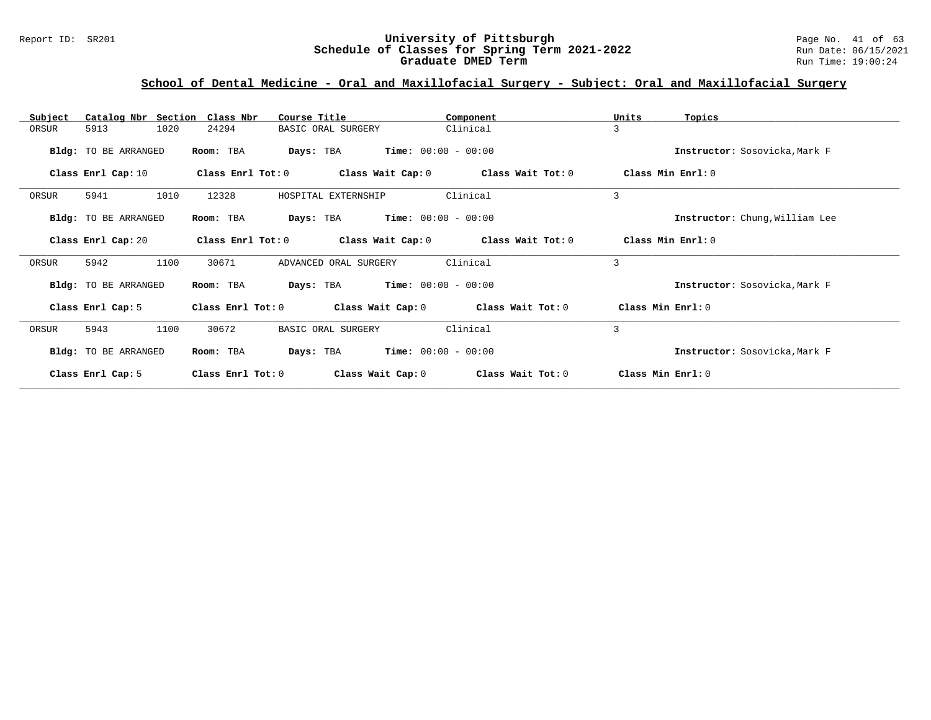#### Report ID: SR201 **University of Pittsburgh** Page No. 41 of 63 **Schedule of Classes for Spring Term 2021-2022** Run Date: 06/15/2021 **Graduate DMED Term Run Time: 19:00:24**

## **School of Dental Medicine - Oral and Maxillofacial Surgery - Subject: Oral and Maxillofacial Surgery**

| Catalog Nbr Section Class Nbr<br>Subject | Course Title                           | Component             | Units<br>Topics                |
|------------------------------------------|----------------------------------------|-----------------------|--------------------------------|
| 5913<br>1020<br>ORSUR                    | 24294<br>BASIC ORAL SURGERY            | Clinical              | 3                              |
| Bldg: TO BE ARRANGED                     | Days: TBA<br>Room: TBA                 | $Time: 00:00 - 00:00$ | Instructor: Sosovicka, Mark F  |
| Class Enrl Cap: 10                       | Class Wait Cap: 0<br>Class Enrl Tot: 0 | Class Wait Tot: 0     | Class Min Enrl: 0              |
| 1010<br>5941<br>ORSUR                    | 12328<br>HOSPITAL EXTERNSHIP           | Clinical              | 3                              |
| Bldg: TO BE ARRANGED                     | Room: TBA<br>Days: TBA                 | $Time: 00:00 - 00:00$ | Instructor: Chung, William Lee |
| Class Enrl Cap: 20                       | Class Enrl Tot: 0<br>Class Wait Cap: 0 | Class Wait Tot: 0     | Class Min Enrl: 0              |
| ORSUR<br>5942<br>1100                    | 30671<br>ADVANCED ORAL SURGERY         | Clinical              | 3                              |
| Bldg: TO BE ARRANGED                     | Room: TBA<br>Days: TBA                 | $Time: 00:00 - 00:00$ | Instructor: Sosovicka, Mark F  |
| Class Enrl Cap: 5                        | Class Enrl Tot: 0<br>Class Wait Cap: 0 | Class Wait Tot: 0     | Class Min Enrl: 0              |
| 1100<br>ORSUR<br>5943                    | 30672<br>BASIC ORAL SURGERY            | Clinical              | 3                              |
| Bldg: TO BE ARRANGED                     | Room: TBA<br>Days: TBA                 | $Time: 00:00 - 00:00$ | Instructor: Sosovicka, Mark F  |
| Class Enrl Cap: 5                        | Class Enrl Tot: 0<br>Class Wait Cap: 0 | Class Wait Tot: 0     | Class Min Enrl: 0              |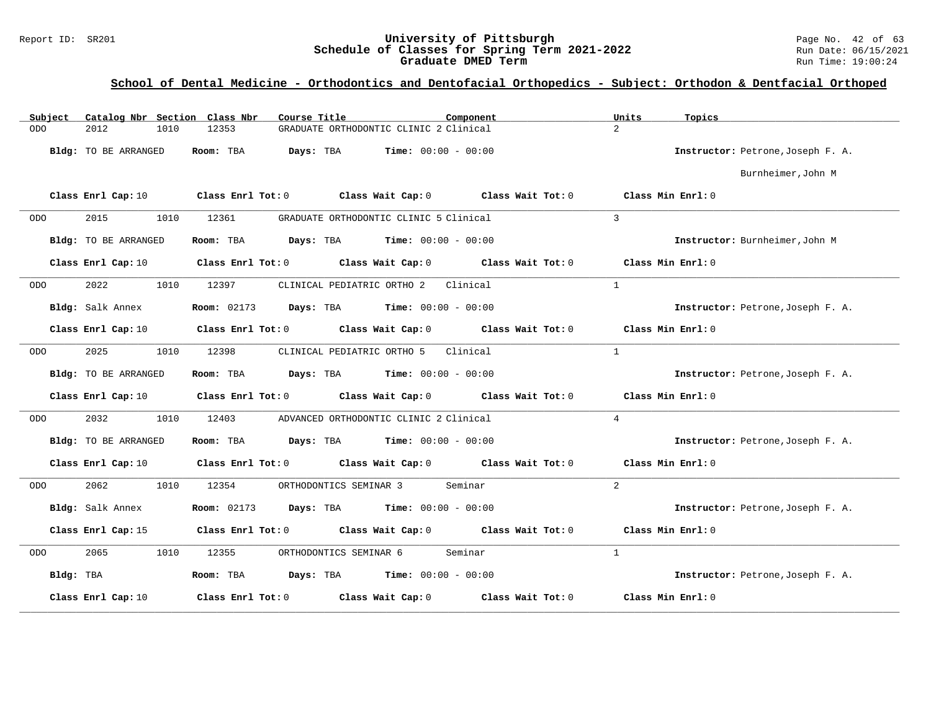#### Report ID: SR201 **University of Pittsburgh** Page No. 42 of 63 **Schedule of Classes for Spring Term 2021-2022** Run Date: 06/15/2021 **Graduate DMED Term Run Time: 19:00:24**

| Catalog Nbr Section Class Nbr<br>Subject | Course Title                                                     | Component<br>Units       | Topics                            |
|------------------------------------------|------------------------------------------------------------------|--------------------------|-----------------------------------|
| ODO<br>2012<br>1010                      | GRADUATE ORTHODONTIC CLINIC 2 Clinical<br>12353                  | $2^{1}$                  |                                   |
| Bldg: TO BE ARRANGED                     | Days: TBA<br>$Time: 00:00 - 00:00$<br>Room: TBA                  |                          | Instructor: Petrone, Joseph F. A. |
|                                          |                                                                  |                          | Burnheimer, John M                |
| Class Enrl Cap: 10                       | Class Enrl Tot: $0$ Class Wait Cap: $0$ Class Wait Tot: $0$      |                          | $Class$ Min $Enrl: 0$             |
| 2015<br>1010<br><b>ODO</b>               | GRADUATE ORTHODONTIC CLINIC 5 Clinical<br>12361                  | $\overline{3}$           |                                   |
| Bldg: TO BE ARRANGED                     | Room: TBA<br><b>Days:</b> TBA <b>Time:</b> $00:00 - 00:00$       |                          | Instructor: Burnheimer, John M    |
| Class Enrl Cap: 10                       | Class Enrl Tot: 0 Class Wait Cap: 0 Class Wait Tot: 0            |                          | Class Min Enrl: 0                 |
| 2022<br>1010<br>ODO                      | 12397<br>CLINICAL PEDIATRIC ORTHO 2                              | $\mathbf{1}$<br>Clinical |                                   |
| Bldg: Salk Annex                         | <b>Room:</b> 02173 <b>Days:</b> TBA <b>Time:</b> $00:00 - 00:00$ |                          | Instructor: Petrone, Joseph F. A. |
| Class Enrl Cap: 10                       | Class Enrl Tot: 0 Class Wait Cap: 0                              | $Class$ Wait Tot: $0$    | Class Min Enrl: 0                 |
| 2025<br>1010<br>ODO                      | 12398<br>CLINICAL PEDIATRIC ORTHO 5                              | $\mathbf{1}$<br>Clinical |                                   |
| Bldg: TO BE ARRANGED                     | Room: TBA<br>$\texttt{DayS:}$ TBA $\texttt{Time:}$ 00:00 - 00:00 |                          | Instructor: Petrone, Joseph F. A. |
| <b>Class Enrl Cap:</b> 10                | Class Enrl Tot: $0$ Class Wait Cap: $0$ Class Wait Tot: $0$      |                          | Class Min Enrl: 0                 |
| 2032<br>1010<br>ODO                      | 12403<br>ADVANCED ORTHODONTIC CLINIC 2 Clinical                  | $\overline{4}$           |                                   |
| Bldg: TO BE ARRANGED                     | Room: TBA $Days:$ TBA $Time: 00:00 - 00:00$                      |                          | Instructor: Petrone, Joseph F. A. |
| Class Enrl Cap: 10                       | Class Enrl Tot: 0 Class Wait Cap: 0 Class Wait Tot: 0            |                          | Class Min Enrl: 0                 |
| 2062<br>1010<br><b>ODO</b>               | ORTHODONTICS SEMINAR 3<br>Seminar<br>12354                       | $\overline{2}$           |                                   |
| Bldg: Salk Annex                         | <b>Room:</b> 02173 <b>Days:</b> TBA <b>Time:</b> $00:00 - 00:00$ |                          | Instructor: Petrone, Joseph F. A. |
| Class Enrl Cap: 15                       | Class Enrl Tot: 0 Class Wait Cap: 0 Class Wait Tot: 0            |                          | Class Min Enrl: 0                 |
| 2065<br>1010<br>ODO                      | 12355<br>ORTHODONTICS SEMINAR 6<br>Seminar                       | $\mathbf{1}$             |                                   |
| Bldg: TBA                                | Room: TBA<br><b>Days:</b> TBA <b>Time:</b> $00:00 - 00:00$       |                          | Instructor: Petrone, Joseph F. A. |
| Class Enrl Cap: 10                       | Class Enrl Tot: 0<br>Class Wait Cap: 0                           | Class Wait Tot: 0        | Class Min Enrl: 0                 |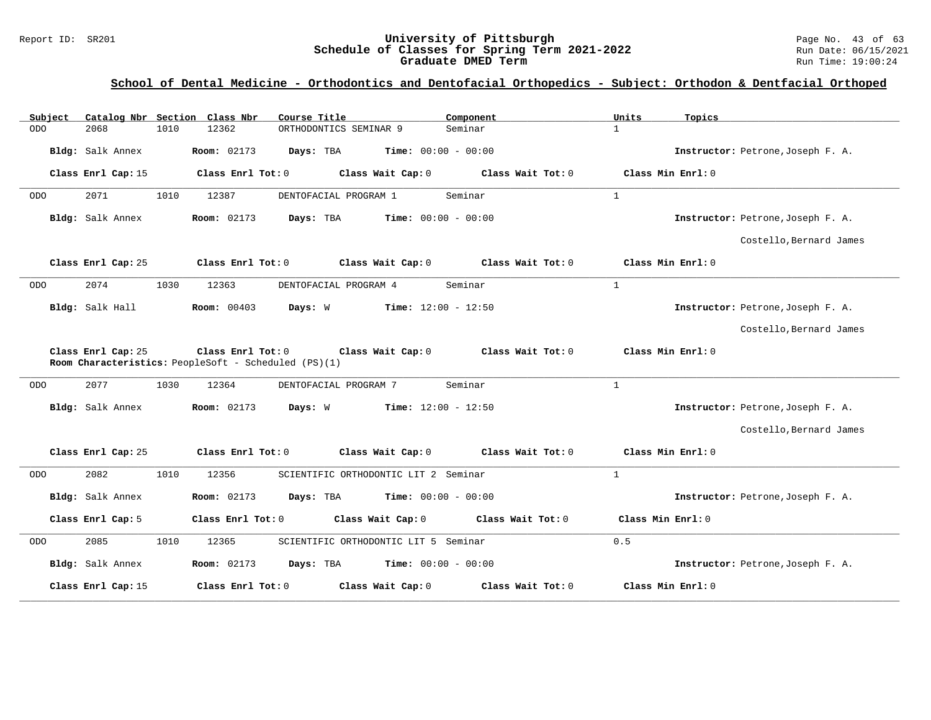#### Report ID: SR201 **University of Pittsburgh** Page No. 43 of 63 **Schedule of Classes for Spring Term 2021-2022** Run Date: 06/15/2021 **Graduate DMED Term Run Time: 19:00:24**

| Catalog Nbr Section Class Nbr<br>Subject | Course Title                                                                                   | Component           | Units<br>Topics                   |
|------------------------------------------|------------------------------------------------------------------------------------------------|---------------------|-----------------------------------|
| <b>ODO</b><br>2068<br>1010               | 12362<br>ORTHODONTICS SEMINAR 9                                                                | Seminar             | $\mathbf{1}$                      |
| Bldg: Salk Annex                         | <b>Time:</b> $00:00 - 00:00$<br><b>Room:</b> 02173<br>Days: TBA                                |                     | Instructor: Petrone, Joseph F. A. |
| Class Enrl Cap: 15                       | Class Enrl Tot: 0<br>Class Wait Cap: 0                                                         | Class Wait Tot: 0   | Class Min Enrl: 0                 |
| 2071<br>1010<br>ODO                      | 12387<br>DENTOFACIAL PROGRAM 1                                                                 | Seminar             | $\mathbf{1}$                      |
| Bldg: Salk Annex                         | <b>Room: 02173</b><br>Days: TBA<br><b>Time:</b> $00:00 - 00:00$                                |                     | Instructor: Petrone, Joseph F. A. |
|                                          |                                                                                                |                     | Costello, Bernard James           |
| Class Enrl Cap: 25                       | Class Enrl Tot: 0<br>Class Wait Cap: 0                                                         | Class Wait Tot: 0   | Class Min Enrl: 0                 |
| 2074<br>1030<br><b>ODO</b>               | 12363<br>DENTOFACIAL PROGRAM 4                                                                 | Seminar             | $\mathbf{1}$                      |
| Bldg: Salk Hall                          | <b>Room:</b> 00403<br>Days: W<br><b>Time:</b> $12:00 - 12:50$                                  |                     | Instructor: Petrone, Joseph F. A. |
|                                          |                                                                                                |                     | Costello, Bernard James           |
| Class Enrl Cap: 25                       | Class Enrl Tot: 0<br>Class Wait Cap: 0<br>Room Characteristics: PeopleSoft - Scheduled (PS)(1) | Class Wait Tot: 0   | Class Min Enrl: 0                 |
| 2077<br><b>ODO</b><br>1030               | 12364<br>DENTOFACIAL PROGRAM 7                                                                 | Seminar             | $\mathbf{1}$                      |
| Bldg: Salk Annex                         | <b>Room: 02173</b><br>Days: W<br><b>Time:</b> $12:00 - 12:50$                                  |                     | Instructor: Petrone, Joseph F. A. |
|                                          |                                                                                                |                     | Costello, Bernard James           |
| Class Enrl Cap: 25                       | Class Enrl Tot: 0<br>Class Wait Cap: 0                                                         | Class Wait Tot: 0   | Class Min Enrl: 0                 |
| 2082<br>1010<br><b>ODO</b>               | 12356<br>SCIENTIFIC ORTHODONTIC LIT 2 Seminar                                                  |                     | $\mathbf{1}$                      |
| Bldg: Salk Annex                         | <b>Room: 02173</b><br>Days: TBA<br><b>Time:</b> $00:00 - 00:00$                                |                     | Instructor: Petrone, Joseph F. A. |
| Class Enrl Cap: 5                        | Class Wait Cap: 0<br>Class Enrl Tot: 0                                                         | Class Wait Tot: $0$ | Class Min Enrl: 0                 |
| 2085<br>1010<br><b>ODO</b>               | 12365<br>SCIENTIFIC ORTHODONTIC LIT 5 Seminar                                                  |                     | 0.5                               |
| Bldg: Salk Annex                         | <b>Room: 02173</b><br>Days: TBA<br><b>Time:</b> $00:00 - 00:00$                                |                     | Instructor: Petrone, Joseph F. A. |
| Class Enrl Cap: 15                       | Class Enrl Tot: 0<br>Class Wait Cap: 0                                                         | Class Wait Tot: 0   | Class Min Enrl: 0                 |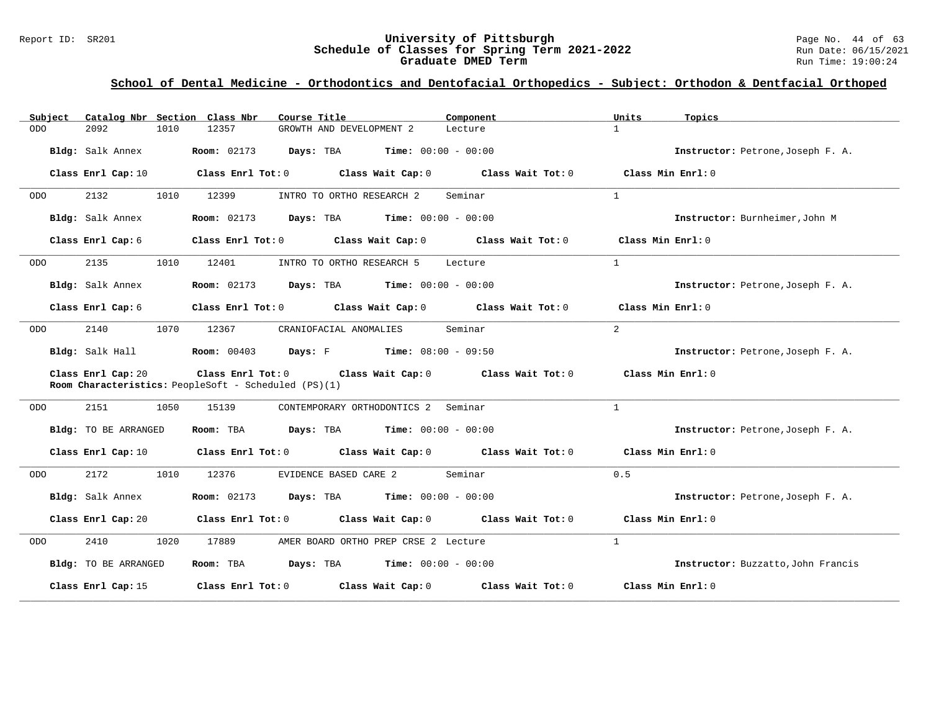#### Report ID: SR201 **1988 Mage 10: SChedule of Classes for Spring Term 2021-2022** Page No. 44 of 63<br>**Schedule of Classes for Spring Term 2021-2022** Run Date: 06/15/2021 **Schedule of Classes for Spring Term 2021-2022** Run Date: 06/15/2021 **Graduate DMED Term Run Time: 19:00:24**

| Subject    | Catalog Nbr Section Class Nbr | Course Title                                                                    | Component                                             | Units<br>Topics                                                                 |                                    |
|------------|-------------------------------|---------------------------------------------------------------------------------|-------------------------------------------------------|---------------------------------------------------------------------------------|------------------------------------|
| <b>ODO</b> | 2092<br>1010                  | 12357<br>GROWTH AND DEVELOPMENT 2                                               | Lecture                                               | $\mathbf{1}$                                                                    |                                    |
|            | Bldg: Salk Annex              | <b>Room:</b> $02173$ <b>Days:</b> TBA <b>Time:</b> $00:00 - 00:00$              |                                                       | Instructor: Petrone, Joseph F. A.                                               |                                    |
|            | Class Enrl Cap: 10            |                                                                                 |                                                       | Class Enrl Tot: $0$ Class Wait Cap: $0$ Class Wait Tot: $0$ Class Min Enrl: $0$ |                                    |
| ODO        | 2132<br>1010                  | 12399<br>INTRO TO ORTHO RESEARCH 2                                              | Seminar                                               | $\mathbf{1}$                                                                    |                                    |
|            | Bldg: Salk Annex              | <b>Room:</b> 02173 <b>Days:</b> TBA <b>Time:</b> $00:00 - 00:00$                |                                                       | Instructor: Burnheimer, John M                                                  |                                    |
|            | Class Enrl Cap: 6             | Class Enrl Tot: $0$ Class Wait Cap: $0$                                         | Class Wait Tot: 0                                     | Class Min Enrl: 0                                                               |                                    |
| ODO        | 2135<br>1010                  | 12401                                                                           | INTRO TO ORTHO RESEARCH 5 Lecture                     | $\mathbf{1}$                                                                    |                                    |
|            | Bldg: Salk Annex              | <b>Room:</b> 02173 <b>Days:</b> TBA <b>Time:</b> $00:00 - 00:00$                |                                                       | Instructor: Petrone, Joseph F. A.                                               |                                    |
|            | Class Enrl Cap: 6             | Class Enrl Tot: $0$ Class Wait Cap: $0$ Class Wait Tot: $0$ Class Min Enrl: $0$ |                                                       |                                                                                 |                                    |
| ODO        | 1070<br>2140                  | 12367<br>CRANIOFACIAL ANOMALIES                                                 | Seminar                                               | $\overline{2}$                                                                  |                                    |
|            | Bldg: Salk Hall               | <b>Room:</b> 00403 <b>Days:</b> F <b>Time:</b> 08:00 - 09:50                    |                                                       | Instructor: Petrone, Joseph F. A.                                               |                                    |
|            | Class Enrl Cap: 20            | Room Characteristics: PeopleSoft - Scheduled (PS)(1)                            | Class Enrl Tot: 0 Class Wait Cap: 0 Class Wait Tot: 0 | Class Min Enrl: 0                                                               |                                    |
| ODO        | 2151<br>1050                  | 15139                                                                           | CONTEMPORARY ORTHODONTICS 2 Seminar                   | $\mathbf{1}$                                                                    |                                    |
|            | Bldg: TO BE ARRANGED          | Days: TBA<br>Room: TBA                                                          | <b>Time:</b> $00:00 - 00:00$                          | Instructor: Petrone, Joseph F. A.                                               |                                    |
|            | Class Enrl Cap: 10            |                                                                                 |                                                       | Class Enrl Tot: 0 Class Wait Cap: 0 Class Wait Tot: 0 Class Min Enrl: 0         |                                    |
| ODO        | 2172<br>1010                  | 12376<br>EVIDENCE BASED CARE 2                                                  | Seminar                                               | 0.5                                                                             |                                    |
|            | Bldg: Salk Annex              | <b>Room:</b> 02173 <b>Days:</b> TBA <b>Time:</b> $00:00 - 00:00$                |                                                       | Instructor: Petrone, Joseph F. A.                                               |                                    |
|            | Class Enrl Cap: 20            | Class Enrl Tot: $0$ Class Wait Cap: $0$ Class Wait Tot: $0$ Class Min Enrl: $0$ |                                                       |                                                                                 |                                    |
| ODO        | 2410<br>1020                  | 17889                                                                           | AMER BOARD ORTHO PREP CRSE 2 Lecture                  | $\mathbf{1}$                                                                    |                                    |
|            | Bldg: TO BE ARRANGED          | Room: TBA $Days:$ TBA $Time: 00:00 - 00:00$                                     |                                                       |                                                                                 | Instructor: Buzzatto, John Francis |
|            | Class Enrl Cap: 15            | Class Enrl Tot: $0$ Class Wait Cap: $0$ Class Wait Tot: $0$                     |                                                       | Class Min Enrl: 0                                                               |                                    |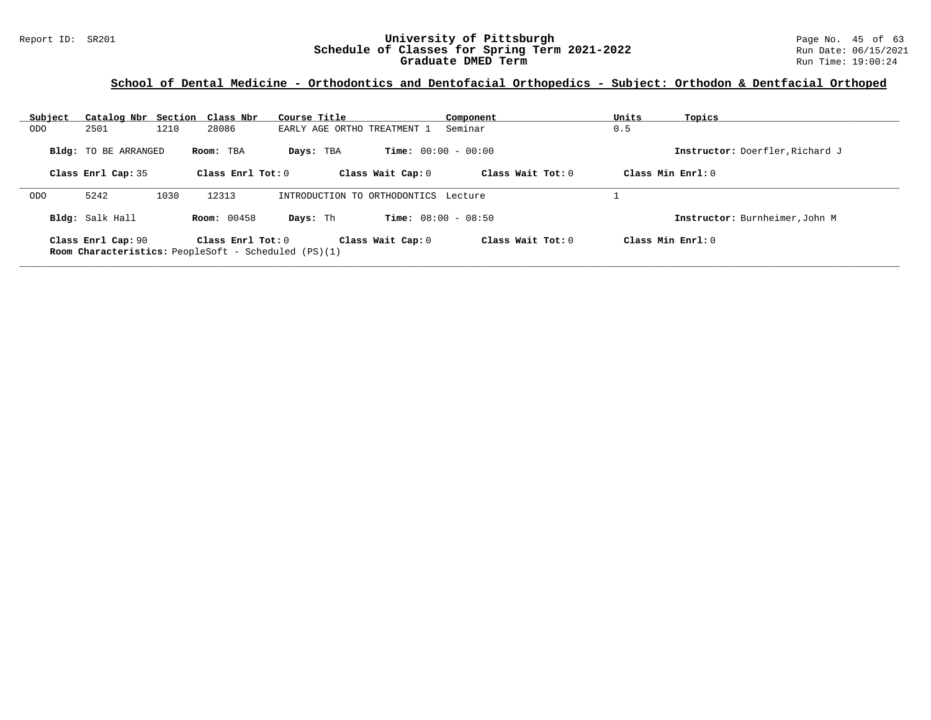#### Report ID: SR201 **University of Pittsburgh** Page No. 45 of 63 **Schedule of Classes for Spring Term 2021-2022** Run Date: 06/15/2021 **Graduate DMED Term Run Time: 19:00:24**

|                        |      |                             | Course Title                                                     |                                                                                                           | Component                                                             | Units                                                                                                | Topics                          |
|------------------------|------|-----------------------------|------------------------------------------------------------------|-----------------------------------------------------------------------------------------------------------|-----------------------------------------------------------------------|------------------------------------------------------------------------------------------------------|---------------------------------|
| 2501                   | 1210 | 28086                       |                                                                  |                                                                                                           | Seminar                                                               | 0.5                                                                                                  |                                 |
|                        |      |                             | Days: TBA                                                        |                                                                                                           |                                                                       |                                                                                                      | Instructor: Doerfler, Richard J |
| Class Enrl Cap: 35     |      |                             |                                                                  |                                                                                                           | Class Wait $Tot: 0$                                                   | Class Min Enrl: 0                                                                                    |                                 |
| 5242                   | 1030 | 12313                       |                                                                  |                                                                                                           |                                                                       |                                                                                                      |                                 |
| <b>Bldg:</b> Salk Hall |      |                             | Days: Th                                                         |                                                                                                           |                                                                       |                                                                                                      | Instructor: Burnheimer, John M  |
| Class Enrl Cap: 90     |      |                             |                                                                  |                                                                                                           | Class Wait $Tot: 0$                                                   | Class Min Enrl: 0                                                                                    |                                 |
|                        |      | <b>Bldg:</b> TO BE ARRANGED | Catalog Nbr Section Class Nbr<br>Room: TBA<br><b>Room:</b> 00458 | Class Enrl Tot: $0$<br>Class Enrl Tot: $0$<br><b>Room Characteristics:</b> PeopleSoft - Scheduled (PS)(1) | EARLY AGE ORTHO TREATMENT 1<br>Class Wait Cap: 0<br>Class Wait Cap: 0 | <b>Time:</b> $00:00 - 00:00$<br>INTRODUCTION TO ORTHODONTICS Lecture<br><b>Time:</b> $08:00 - 08:50$ |                                 |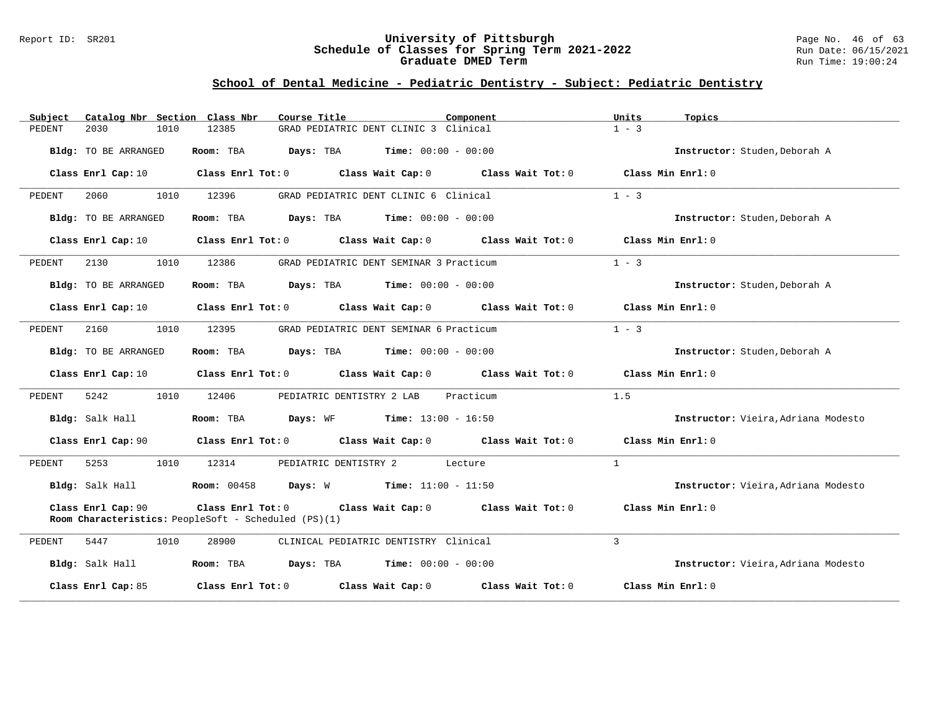#### Report ID: SR201 **University of Pittsburgh** Page No. 46 of 63 **Schedule of Classes for Spring Term 2021-2022** Run Date: 06/15/2021 **Graduate DMED Term Run Time: 19:00:24**

## **School of Dental Medicine - Pediatric Dentistry - Subject: Pediatric Dentistry**

| Subject                     | Catalog Nbr Section Class Nbr                        | Course Title                                                                    | Component | Units        | Topics                              |
|-----------------------------|------------------------------------------------------|---------------------------------------------------------------------------------|-----------|--------------|-------------------------------------|
| 2030<br>PEDENT              | 1010<br>12385                                        | GRAD PEDIATRIC DENT CLINIC 3 Clinical                                           |           | $1 - 3$      |                                     |
| Bldg: TO BE ARRANGED        | Room: TBA                                            | <b>Days:</b> TBA <b>Time:</b> $00:00 - 00:00$                                   |           |              | Instructor: Studen, Deborah A       |
| Class Enrl Cap: 10          |                                                      | Class Enrl Tot: 0 Class Wait Cap: 0 Class Wait Tot: 0                           |           |              | Class Min Enrl: 0                   |
| 2060<br>PEDENT              | 1010<br>12396                                        | GRAD PEDIATRIC DENT CLINIC 6 Clinical                                           |           | $1 - 3$      |                                     |
| Bldg: TO BE ARRANGED        | Room: TBA                                            | <b>Days:</b> TBA <b>Time:</b> $00:00 - 00:00$                                   |           |              | Instructor: Studen, Deborah A       |
| Class Enrl Cap: 10          |                                                      | Class Enrl Tot: $0$ Class Wait Cap: $0$ Class Wait Tot: $0$ Class Min Enrl: $0$ |           |              |                                     |
| 2130<br>PEDENT              | 1010<br>12386                                        | GRAD PEDIATRIC DENT SEMINAR 3 Practicum                                         |           | $1 - 3$      |                                     |
| Bldg: TO BE ARRANGED        | Room: TBA                                            | $Days: TBA$ $Time: 00:00 - 00:00$                                               |           |              | Instructor: Studen, Deborah A       |
| Class Enrl Cap: 10          |                                                      | Class Enrl Tot: 0 Class Wait Cap: 0 Class Wait Tot: 0                           |           |              | Class Min Enrl: 0                   |
| 2160<br>PEDENT              | 1010<br>12395                                        | GRAD PEDIATRIC DENT SEMINAR 6 Practicum                                         |           | $1 - 3$      |                                     |
| <b>Bldg:</b> TO BE ARRANGED | Room: TBA                                            | <b>Days:</b> TBA <b>Time:</b> $00:00 - 00:00$                                   |           |              | Instructor: Studen, Deborah A       |
| Class Enrl Cap: 10          |                                                      | Class Enrl Tot: $0$ Class Wait Cap: $0$ Class Wait Tot: $0$ Class Min Enrl: $0$ |           |              |                                     |
| 5242<br>PEDENT              | 1010<br>12406                                        | PEDIATRIC DENTISTRY 2 LAB Practicum                                             |           | 1.5          |                                     |
| Bldg: Salk Hall             |                                                      | <b>Room:</b> TBA <b>Days:</b> WF <b>Time:</b> 13:00 - 16:50                     |           |              | Instructor: Vieira, Adriana Modesto |
| Class Enrl Cap: 90          |                                                      | Class Enrl Tot: $0$ Class Wait Cap: $0$ Class Wait Tot: $0$ Class Min Enrl: $0$ |           |              |                                     |
| PEDENT<br>5253              | 1010<br>12314                                        | PEDIATRIC DENTISTRY 2 Lecture                                                   |           | $\mathbf{1}$ |                                     |
| Bldg: Salk Hall             |                                                      | <b>Room:</b> 00458 <b>Days:</b> W <b>Time:</b> 11:00 - 11:50                    |           |              | Instructor: Vieira, Adriana Modesto |
| Class Enrl Cap: 90          | Room Characteristics: PeopleSoft - Scheduled (PS)(1) | Class Enrl Tot: 0 Class Wait Cap: 0 Class Wait Tot: 0                           |           |              | Class Min Enrl: 0                   |
| 5447<br>PEDENT              | 1010<br>28900                                        | CLINICAL PEDIATRIC DENTISTRY Clinical                                           |           | 3            |                                     |
| Bldg: Salk Hall             |                                                      | Room: TBA $Days:$ TBA $Time: 00:00 - 00:00$                                     |           |              | Instructor: Vieira, Adriana Modesto |
| Class Enrl Cap: 85          |                                                      | Class Enrl Tot: $0$ Class Wait Cap: $0$ Class Wait Tot: $0$                     |           |              | Class Min Enrl: 0                   |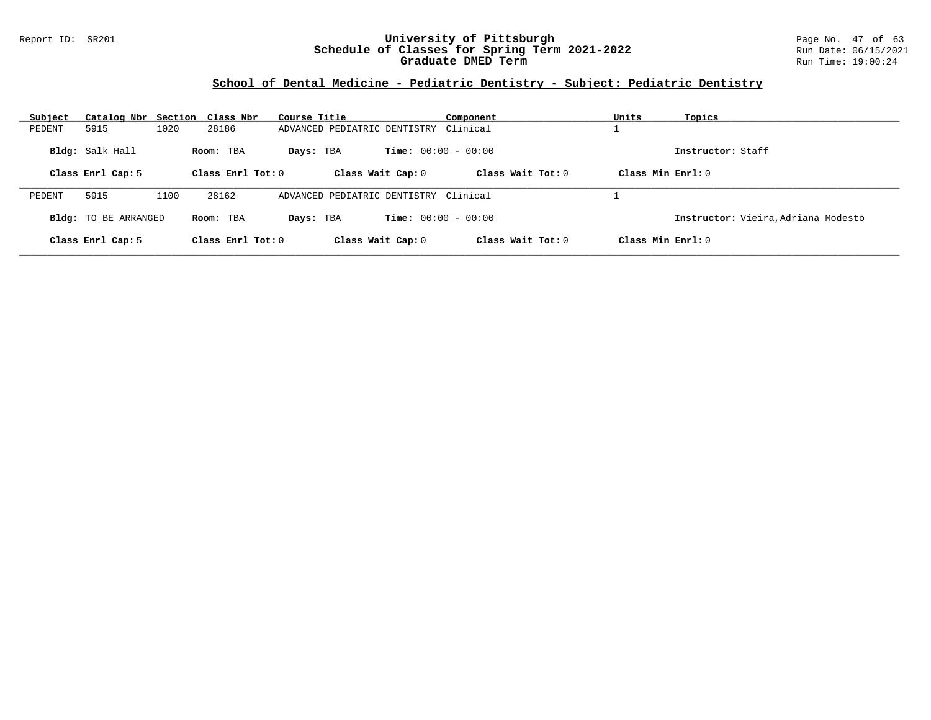#### Report ID: SR201 **University of Pittsburgh** Page No. 47 of 63 **Schedule of Classes for Spring Term 2021-2022** Run Date: 06/15/2021 **Graduate DMED Term Run Time: 19:00:24**

## **School of Dental Medicine - Pediatric Dentistry - Subject: Pediatric Dentistry**

| Subject | Catalog Nbr Section Class Nbr |      |                     | Course Title                          | Component                    | Units<br>Topics                     |  |
|---------|-------------------------------|------|---------------------|---------------------------------------|------------------------------|-------------------------------------|--|
| PEDENT  | 5915                          | 1020 | 28186               | ADVANCED PEDIATRIC DENTISTRY Clinical |                              |                                     |  |
|         | Bldg: Salk Hall               |      | Room: TBA           | Days: TBA                             | <b>Time:</b> $00:00 - 00:00$ | Instructor: Staff                   |  |
|         | Class Enrl Cap: 5             |      | Class Enrl Tot: $0$ | Class Wait Cap: 0                     | Class Wait Tot: $0$          | Class Min $Err1:0$                  |  |
| PEDENT  | 5915                          | 1100 | 28162               | ADVANCED PEDIATRIC DENTISTRY Clinical |                              |                                     |  |
|         | <b>Bldg:</b> TO BE ARRANGED   |      | Room: TBA           | Days: TBA                             | <b>Time:</b> $00:00 - 00:00$ | Instructor: Vieira, Adriana Modesto |  |
|         | Class Enrl Cap: 5             |      | Class Enrl Tot: $0$ | Class Wait Cap: 0                     | Class Wait Tot: $0$          | Class Min $Err1:0$                  |  |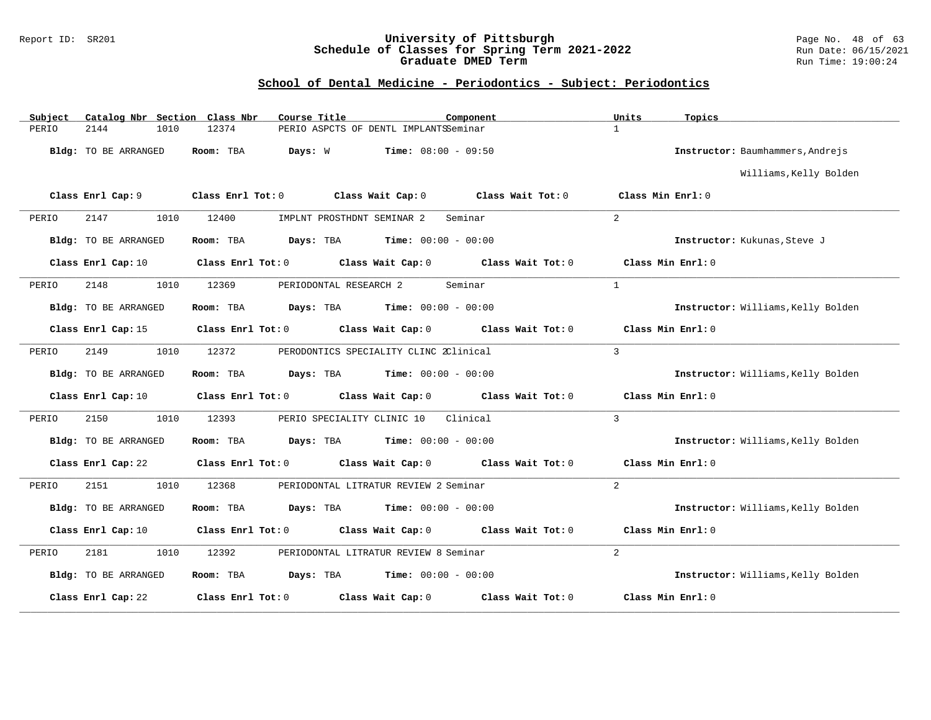#### Report ID: SR201 **University of Pittsburgh** Page No. 48 of 63 **Schedule of Classes for Spring Term 2021-2022** Run Date: 06/15/2021 **Graduate DMED Term Run Time: 19:00:24**

| Catalog Nbr Section Class Nbr<br>Subject | Course Title                                               | Component                                             | Units<br>Topics                    |
|------------------------------------------|------------------------------------------------------------|-------------------------------------------------------|------------------------------------|
| 2144<br>1010<br>PERIO                    | 12374                                                      | PERIO ASPCTS OF DENTL IMPLANTSSeminar                 | $\mathbf{1}$                       |
| Bldg: TO BE ARRANGED                     | Room: TBA<br>Days: W                                       | <b>Time:</b> $08:00 - 09:50$                          | Instructor: Baumhammers, Andrejs   |
|                                          |                                                            |                                                       | Williams, Kelly Bolden             |
| Class Enrl Cap: 9                        | Class Enrl Tot: 0 Class Wait Cap: 0                        | Class Wait Tot: 0                                     | Class Min Enrl: 0                  |
| 2147<br>1010<br>PERIO                    | 12400<br>IMPLNT PROSTHDNT SEMINAR 2                        | Seminar                                               | $\overline{2}$                     |
| <b>Bldg:</b> TO BE ARRANGED              | Room: TBA                                                  | <b>Days:</b> TBA <b>Time:</b> $00:00 - 00:00$         | Instructor: Kukunas, Steve J       |
| Class Enrl Cap: 10                       |                                                            | Class Enrl Tot: 0 Class Wait Cap: 0 Class Wait Tot: 0 | Class Min Enrl: 0                  |
| 2148<br>1010<br>PERIO                    | 12369<br>PERIODONTAL RESEARCH 2                            | Seminar                                               | $\mathbf{1}$                       |
| <b>Bldg:</b> TO BE ARRANGED              | <b>Days:</b> TBA <b>Time:</b> $00:00 - 00:00$<br>Room: TBA |                                                       | Instructor: Williams, Kelly Bolden |
| Class Enrl Cap: 15                       |                                                            | Class Enrl Tot: 0 Class Wait Cap: 0 Class Wait Tot: 0 | Class Min Enrl: 0                  |
| 2149<br>1010<br>PERIO                    | 12372                                                      | PERODONTICS SPECIALITY CLINC 2Clinical                | 3                                  |
| Bldg: TO BE ARRANGED                     | Room: TBA<br><b>Days:</b> TBA <b>Time:</b> $00:00 - 00:00$ |                                                       | Instructor: Williams, Kelly Bolden |
| Class Enrl Cap: 10                       | Class Enrl Tot: 0 Class Wait Cap: 0                        | Class Wait Tot: 0                                     | Class Min Enrl: 0                  |
| 2150<br>1010<br>PERIO                    | 12393<br>PERIO SPECIALITY CLINIC 10                        | Clinical                                              | 3                                  |
| Bldg: TO BE ARRANGED                     | Room: TBA<br><b>Days:</b> TBA <b>Time:</b> $00:00 - 00:00$ |                                                       | Instructor: Williams, Kelly Bolden |
| Class Enrl Cap: 22                       |                                                            | Class Enrl Tot: 0 Class Wait Cap: 0 Class Wait Tot: 0 | Class Min Enrl: 0                  |
| 2151<br>PERIO<br>1010                    | 12368                                                      | PERIODONTAL LITRATUR REVIEW 2 Seminar                 | $\overline{2}$                     |
| Bldg: TO BE ARRANGED                     | Room: TBA<br><b>Days:</b> TBA <b>Time:</b> $00:00 - 00:00$ |                                                       | Instructor: Williams, Kelly Bolden |
| Class Enrl Cap: 10                       | Class Enrl Tot: 0                                          | Class Wait Cap: 0 Class Wait Tot: 0                   | Class Min Enrl: 0                  |
| 2181<br>1010<br>PERIO                    | 12392                                                      | PERIODONTAL LITRATUR REVIEW 8 Seminar                 | $\overline{2}$                     |
| Bldg: TO BE ARRANGED                     | Room: TBA<br><b>Days:</b> TBA <b>Time:</b> $00:00 - 00:00$ |                                                       | Instructor: Williams, Kelly Bolden |
| Class Enrl Cap: 22                       | Class Enrl Tot: 0                                          | Class Wait Cap: 0<br>Class Wait Tot: 0                | Class Min Enrl: 0                  |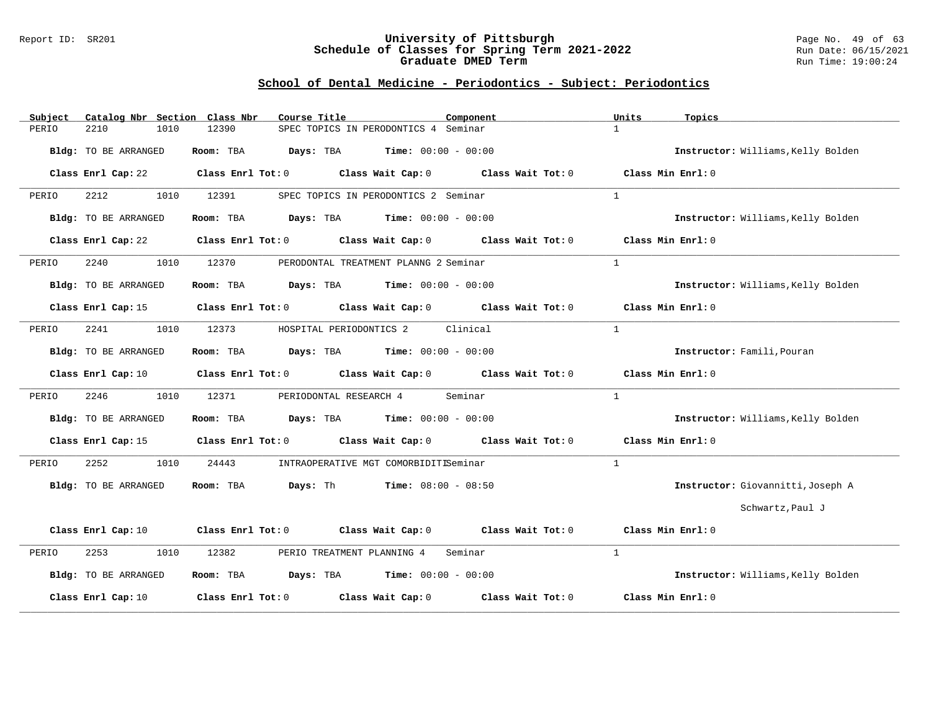#### Report ID: SR201 **University of Pittsburgh** Page No. 49 of 63 **Schedule of Classes for Spring Term 2021-2022** Run Date: 06/15/2021 **Graduate DMED Term Run Time: 19:00:24**

| Subject | Catalog Nbr Section Class Nbr |               | Course Title      |                                               | Component                                             | Units        | Topics                             |
|---------|-------------------------------|---------------|-------------------|-----------------------------------------------|-------------------------------------------------------|--------------|------------------------------------|
| PERIO   | 2210                          | 1010<br>12390 |                   | SPEC TOPICS IN PERODONTICS 4 Seminar          |                                                       | $\mathbf{1}$ |                                    |
|         | Bldg: TO BE ARRANGED          | Room: TBA     |                   | <b>Days:</b> TBA <b>Time:</b> $00:00 - 00:00$ |                                                       |              | Instructor: Williams, Kelly Bolden |
|         | Class Enrl Cap: 22            |               |                   |                                               | Class Enrl Tot: 0 Class Wait Cap: 0 Class Wait Tot: 0 |              | Class Min Enrl: 0                  |
| PERIO   | 2212                          | 1010<br>12391 |                   | SPEC TOPICS IN PERODONTICS 2 Seminar          |                                                       | $\mathbf{1}$ |                                    |
|         | Bldg: TO BE ARRANGED          |               |                   | Room: TBA $Days:$ TBA $Time: 00:00 - 00:00$   |                                                       |              | Instructor: Williams, Kelly Bolden |
|         | Class Enrl Cap: 22            |               |                   |                                               | Class Enrl Tot: 0 Class Wait Cap: 0 Class Wait Tot: 0 |              | Class Min Enrl: 0                  |
| PERIO   | 2240                          | 1010<br>12370 |                   | PERODONTAL TREATMENT PLANNG 2 Seminar         |                                                       | $\mathbf{1}$ |                                    |
|         | Bldg: TO BE ARRANGED          |               |                   | Room: TBA $Days:$ TBA $Time: 00:00 - 00:00$   |                                                       |              | Instructor: Williams, Kelly Bolden |
|         | Class Enrl Cap: 15            |               |                   |                                               | Class Enrl Tot: 0 Class Wait Cap: 0 Class Wait Tot: 0 |              | Class Min Enrl: 0                  |
| PERIO   | 2241                          | 1010<br>12373 |                   | HOSPITAL PERIODONTICS 2                       | Clinical                                              | $\mathbf{1}$ |                                    |
|         | Bldg: TO BE ARRANGED          |               |                   | Room: TBA $Days:$ TBA $Time: 00:00 - 00:00$   |                                                       |              | Instructor: Famili, Pouran         |
|         | Class Enrl Cap: 10            |               |                   |                                               | Class Enrl Tot: 0 Class Wait Cap: 0 Class Wait Tot: 0 |              | Class Min Enrl: $0$                |
| PERIO   | 2246                          | 1010<br>12371 |                   | PERIODONTAL RESEARCH 4                        | Seminar                                               | $\mathbf{1}$ |                                    |
|         | Bldg: TO BE ARRANGED          | Room: TBA     |                   | <b>Days:</b> TBA <b>Time:</b> $00:00 - 00:00$ |                                                       |              | Instructor: Williams, Kelly Bolden |
|         | Class Enrl Cap: 15            |               |                   |                                               | Class Enrl Tot: 0 Class Wait Cap: 0 Class Wait Tot: 0 |              | Class Min Enrl: 0                  |
| PERIO   | 2252                          | 1010<br>24443 |                   | INTRAOPERATIVE MGT COMORBIDITISeminar         |                                                       | $\mathbf{1}$ |                                    |
|         | Bldg: TO BE ARRANGED          | Room: TBA     |                   | <b>Days:</b> Th <b>Time:</b> $08:00 - 08:50$  |                                                       |              | Instructor: Giovannitti, Joseph A  |
|         |                               |               |                   |                                               |                                                       |              | Schwartz, Paul J                   |
|         | Class Enrl Cap: 10            |               |                   | Class Enrl Tot: 0 Class Wait Cap: 0           | Class Wait Tot: 0 Class Min Enrl: 0                   |              |                                    |
| PERIO   | 2253                          | 1010<br>12382 |                   | PERIO TREATMENT PLANNING 4                    | Seminar                                               | $\mathbf{1}$ |                                    |
|         | Bldg: TO BE ARRANGED          |               |                   | Room: TBA $Days:$ TBA $Time: 00:00 - 00:00$   |                                                       |              | Instructor: Williams, Kelly Bolden |
|         | Class Enrl Cap: 10            |               | Class Enrl Tot: 0 | Class Wait Cap: 0                             | Class Wait Tot: 0                                     |              | Class Min Enrl: 0                  |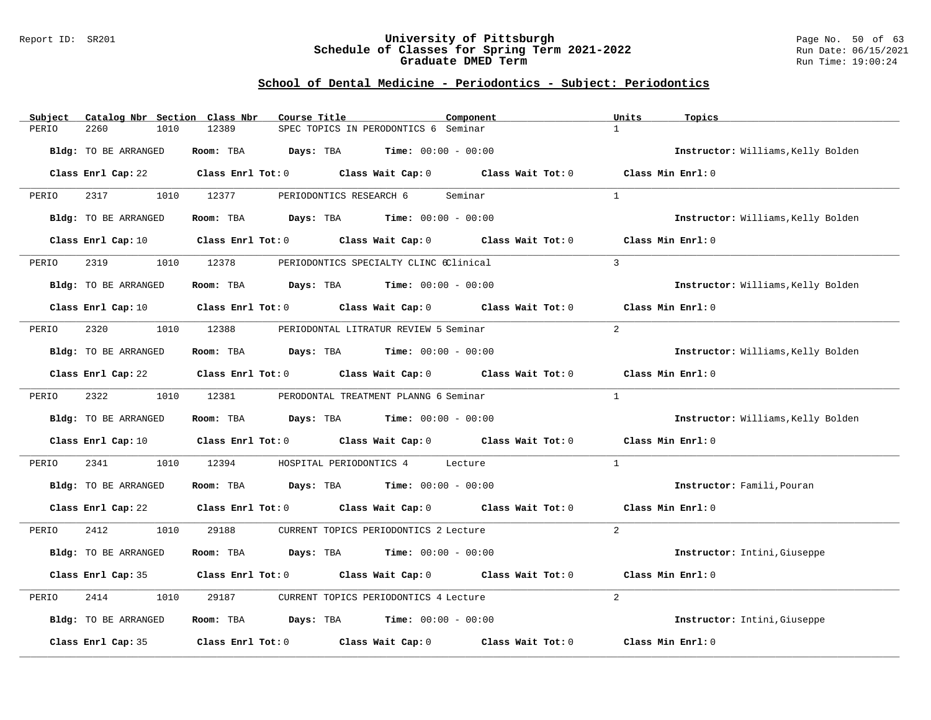#### Report ID: SR201 **University of Pittsburgh** Page No. 50 of 63 **Schedule of Classes for Spring Term 2021-2022** Run Date: 06/15/2021 **Graduate DMED Term Run Time: 19:00:24**

| Subject               | Catalog Nbr Section Class Nbr<br>Course Title                            | Component                                                   | Units<br>Topics                    |
|-----------------------|--------------------------------------------------------------------------|-------------------------------------------------------------|------------------------------------|
| 2260<br>1010<br>PERIO | 12389                                                                    | SPEC TOPICS IN PERODONTICS 6 Seminar                        | $\mathbf{1}$                       |
| Bldg: TO BE ARRANGED  | Room: TBA<br><b>Days:</b> TBA <b>Time:</b> $00:00 - 00:00$               |                                                             | Instructor: Williams, Kelly Bolden |
|                       | Class Enrl Cap: 22 Class Enrl Tot: 0 Class Wait Cap: 0 Class Wait Tot: 0 |                                                             | Class Min Enrl: 0                  |
| 2317<br>PERIO         | 1010<br>12377<br>PERIODONTICS RESEARCH 6                                 | Seminar                                                     | $\mathbf{1}$                       |
| Bldg: TO BE ARRANGED  | Room: TBA<br><b>Days:</b> TBA <b>Time:</b> $00:00 - 00:00$               |                                                             | Instructor: Williams, Kelly Bolden |
| Class Enrl Cap: 10    |                                                                          | Class Enrl Tot: 0 Class Wait Cap: 0 Class Wait Tot: 0       | Class Min Enrl: 0                  |
| 2319<br>1010<br>PERIO | 12378                                                                    | PERIODONTICS SPECIALTY CLINC 6Clinical                      | $\mathcal{L}$                      |
| Bldg: TO BE ARRANGED  | Room: TBA $Days:$ TBA $Time: 00:00 - 00:00$                              |                                                             | Instructor: Williams, Kelly Bolden |
|                       | Class Enrl Cap: 10 Class Enrl Tot: 0 Class Wait Cap: 0 Class Wait Tot: 0 |                                                             | Class Min Enrl: 0                  |
| 2320<br>1010<br>PERIO | 12388                                                                    | PERIODONTAL LITRATUR REVIEW 5 Seminar                       | $\overline{2}$                     |
| Bldg: TO BE ARRANGED  | Room: TBA $Days:$ TBA $Time: 00:00 - 00:00$                              |                                                             | Instructor: Williams, Kelly Bolden |
| Class Enrl Cap: 22    |                                                                          | Class Enrl Tot: 0 Class Wait Cap: 0 Class Wait Tot: 0       | Class Min Enrl: 0                  |
| 2322<br>1010<br>PERIO | 12381                                                                    | PERODONTAL TREATMENT PLANNG 6 Seminar                       | $\mathbf{1}$                       |
| Bldg: TO BE ARRANGED  | Room: TBA<br>$\texttt{DayS:}$ TBA $\texttt{Time:}$ 00:00 - 00:00         |                                                             | Instructor: Williams, Kelly Bolden |
| Class Enrl Cap: 10    | Class Enrl Tot: $0$ Class Wait Cap: $0$ Class Wait Tot: $0$              |                                                             | Class Min Enrl: 0                  |
| 2341<br>1010<br>PERIO | 12394<br>HOSPITAL PERIODONTICS 4                                         | Lecture                                                     | $\mathbf{1}$                       |
| Bldg: TO BE ARRANGED  | $\texttt{Days:}$ TBA $\texttt{Time:}$ 00:00 - 00:00<br>Room: TBA         |                                                             | Instructor: Famili, Pouran         |
| Class Enrl Cap: 22    |                                                                          | Class Enrl Tot: $0$ Class Wait Cap: $0$ Class Wait Tot: $0$ | Class Min Enrl: 0                  |
| PERIO<br>2412<br>1010 | 29188                                                                    | CURRENT TOPICS PERIODONTICS 2 Lecture                       | $\overline{2}$                     |
| Bldg: TO BE ARRANGED  | Room: TBA<br>Days: TBA                                                   | <b>Time:</b> $00:00 - 00:00$                                | Instructor: Intini, Giuseppe       |
| Class Enrl Cap: 35    |                                                                          | Class Enrl Tot: 0 Class Wait Cap: 0 Class Wait Tot: 0       | Class Min Enrl: 0                  |
| 2414<br>PERIO<br>1010 | 29187                                                                    | CURRENT TOPICS PERIODONTICS 4 Lecture                       | 2                                  |
| Bldg: TO BE ARRANGED  | Room: TBA<br><b>Days:</b> TBA <b>Time:</b> $00:00 - 00:00$               |                                                             | Instructor: Intini, Giuseppe       |
| Class Enrl Cap: 35    | Class Enrl Tot: $0$ Class Wait Cap: $0$                                  | Class Wait Tot: 0                                           | Class Min Enrl: 0                  |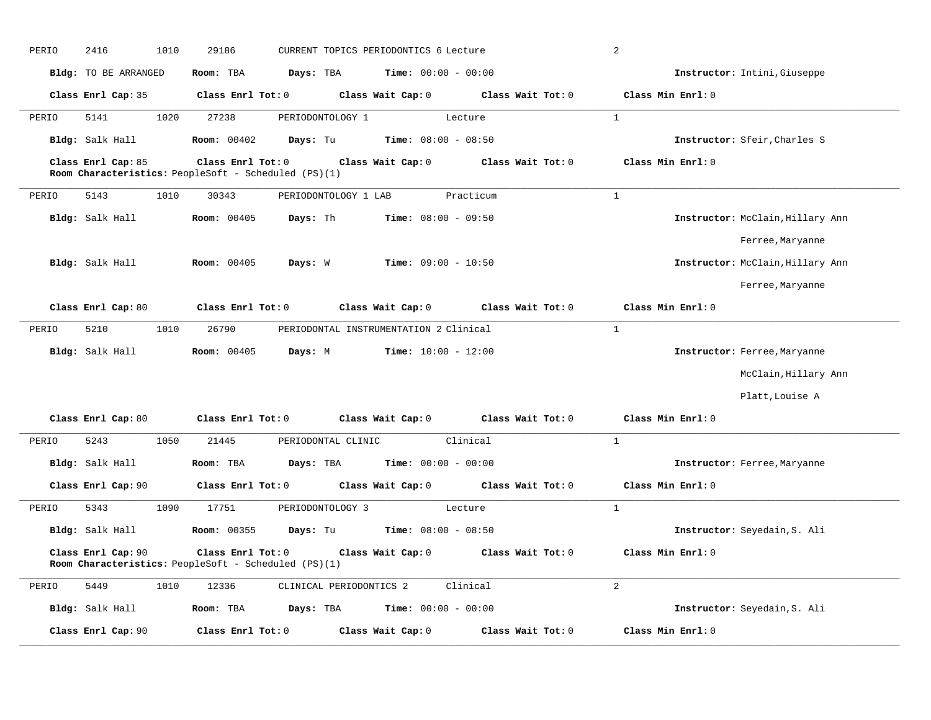| PERIO | 2416                 | 1010 | 29186                                                                     |                         | CURRENT TOPICS PERIODONTICS 6 Lecture        |                                                       | $\overline{a}$                   |  |
|-------|----------------------|------|---------------------------------------------------------------------------|-------------------------|----------------------------------------------|-------------------------------------------------------|----------------------------------|--|
|       | Bldg: TO BE ARRANGED |      | Room: TBA                                                                 | Days: TBA               | <b>Time:</b> $00:00 - 00:00$                 |                                                       | Instructor: Intini, Giuseppe     |  |
|       | Class Enrl Cap: 35   |      | Class Enrl Tot: 0                                                         |                         | Class Wait Cap: 0                            | Class Wait Tot: 0                                     | Class Min Enrl: 0                |  |
| PERIO | 5141                 | 1020 | 27238                                                                     | PERIODONTOLOGY 1        |                                              | Lecture                                               | 1                                |  |
|       | Bldg: Salk Hall      |      | <b>Room:</b> 00402                                                        | Days: Tu                | <b>Time:</b> $08:00 - 08:50$                 |                                                       | Instructor: Sfeir, Charles S     |  |
|       | Class Enrl Cap: 85   |      | Class Enrl Tot: 0<br>Room Characteristics: PeopleSoft - Scheduled (PS)(1) |                         | Class Wait Cap: 0                            | Class Wait Tot: 0                                     | Class Min Enrl: 0                |  |
| PERIO | 5143                 | 1010 | 30343                                                                     | PERIODONTOLOGY 1 LAB    |                                              | Practicum                                             | $\mathbf{1}$                     |  |
|       | Bldg: Salk Hall      |      | <b>Room: 00405</b>                                                        | Days: Th                | <b>Time:</b> $08:00 - 09:50$                 |                                                       | Instructor: McClain, Hillary Ann |  |
|       |                      |      |                                                                           |                         |                                              |                                                       | Ferree, Maryanne                 |  |
|       | Bldg: Salk Hall      |      | <b>Room:</b> 00405                                                        | Days: W                 | $Time: 09:00 - 10:50$                        |                                                       | Instructor: McClain, Hillary Ann |  |
|       |                      |      |                                                                           |                         |                                              |                                                       | Ferree, Maryanne                 |  |
|       | Class Enrl Cap: 80   |      | Class Enrl Tot: 0                                                         |                         | Class Wait Cap: 0                            | Class Wait Tot: 0                                     | Class Min Enrl: 0                |  |
| PERIO | 5210                 | 1010 | 26790                                                                     |                         | PERIODONTAL INSTRUMENTATION 2 Clinical       |                                                       | $\mathbf{1}$                     |  |
|       | Bldg: Salk Hall      |      | Room: 00405                                                               | Days: M                 | $Time: 10:00 - 12:00$                        |                                                       | Instructor: Ferree, Maryanne     |  |
|       |                      |      |                                                                           |                         |                                              |                                                       | McClain, Hillary Ann             |  |
|       |                      |      |                                                                           |                         |                                              |                                                       | Platt, Louise A                  |  |
|       | Class Enrl Cap: 80   |      |                                                                           |                         |                                              | Class Enrl Tot: 0 Class Wait Cap: 0 Class Wait Tot: 0 | Class Min Enrl: 0                |  |
| PERIO | 5243                 | 1050 | 21445                                                                     | PERIODONTAL CLINIC      |                                              | Clinical                                              | $\mathbf{1}$                     |  |
|       | Bldg: Salk Hall      |      | Room: TBA                                                                 | Days: TBA               | Time: $00:00 - 00:00$                        |                                                       | Instructor: Ferree, Maryanne     |  |
|       | Class Enrl Cap: 90   |      | Class Enrl Tot: 0                                                         |                         | Class Wait Cap: 0                            | Class Wait Tot: 0                                     | Class Min Enrl: 0                |  |
| PERIO | 5343                 | 1090 | 17751                                                                     | PERIODONTOLOGY 3        |                                              | Lecture                                               | $\mathbf{1}$                     |  |
|       | Bldg: Salk Hall      |      | <b>Room: 00355</b>                                                        |                         | <b>Days:</b> Tu <b>Time:</b> $08:00 - 08:50$ |                                                       | Instructor: Seyedain, S. Ali     |  |
|       | Class Enrl Cap: 90   |      | Class Enrl Tot: 0<br>Room Characteristics: PeopleSoft - Scheduled (PS)(1) |                         | Class Wait Cap: 0                            | Class Wait Tot: 0                                     | Class Min Enrl: 0                |  |
| PERIO | 5449                 | 1010 | 12336                                                                     | CLINICAL PERIODONTICS 2 |                                              | Clinical                                              | $\overline{2}$                   |  |
|       | Bldg: Salk Hall      |      | Room: TBA                                                                 | Days: TBA               | <b>Time:</b> $00:00 - 00:00$                 |                                                       | Instructor: Seyedain, S. Ali     |  |
|       | Class Enrl Cap: 90   |      | Class Enrl Tot: 0                                                         |                         | Class Wait Cap: 0                            | Class Wait Tot: 0                                     | Class Min Enrl: 0                |  |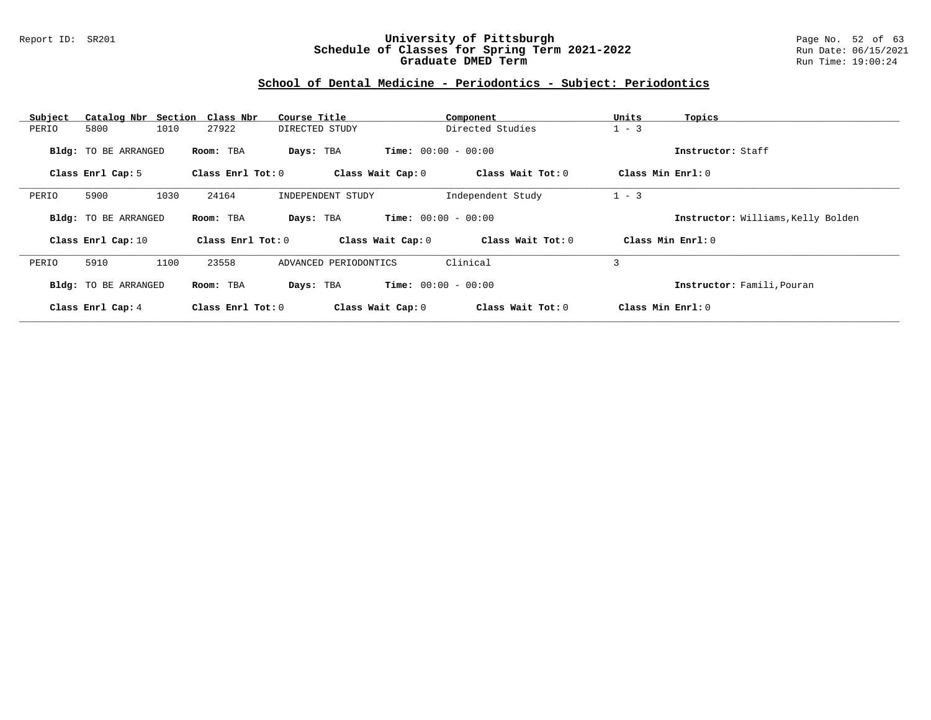#### Report ID: SR201 **University of Pittsburgh** Page No. 52 of 63 **Schedule of Classes for Spring Term 2021-2022** Run Date: 06/15/2021 **Graduate DMED Term Run Time: 19:00:24**

| Subject |                             | Catalog Nbr Section Class Nbr | Course Title          |                              | Component         | Units             | Topics                             |
|---------|-----------------------------|-------------------------------|-----------------------|------------------------------|-------------------|-------------------|------------------------------------|
| PERIO   | 5800                        | 1010<br>27922                 | DIRECTED STUDY        |                              | Directed Studies  | $1 - 3$           |                                    |
|         | <b>Bldg:</b> TO BE ARRANGED | Room: TBA                     | Days: TBA             | <b>Time:</b> $00:00 - 00:00$ |                   |                   | Instructor: Staff                  |
|         | Class Enrl Cap: 5           | Class Enrl Tot: 0             |                       | Class Wait Cap: 0            | Class Wait Tot: 0 | Class Min Enrl: 0 |                                    |
| PERIO   | 5900                        | 1030<br>24164                 | INDEPENDENT STUDY     |                              | Independent Study | $1 - 3$           |                                    |
|         | Bldg: TO BE ARRANGED        | Room: TBA                     | Days: TBA             | <b>Time:</b> $00:00 - 00:00$ |                   |                   | Instructor: Williams, Kelly Bolden |
|         | Class Enrl Cap: 10          | Class Enrl Tot: 0             |                       | Class Wait Cap: 0            | Class Wait Tot: 0 |                   | Class Min $Enrl: 0$                |
| PERIO   | 5910                        | 1100<br>23558                 | ADVANCED PERIODONTICS |                              | Clinical          | 3                 |                                    |
|         | Bldg: TO BE ARRANGED        | Room: TBA                     | Days: TBA             | <b>Time:</b> $00:00 - 00:00$ |                   |                   | Instructor: Famili, Pouran         |
|         | Class Enrl Cap: 4           | Class Enrl Tot: 0             |                       | Class Wait Cap: 0            | Class Wait Tot: 0 | Class Min Enrl: 0 |                                    |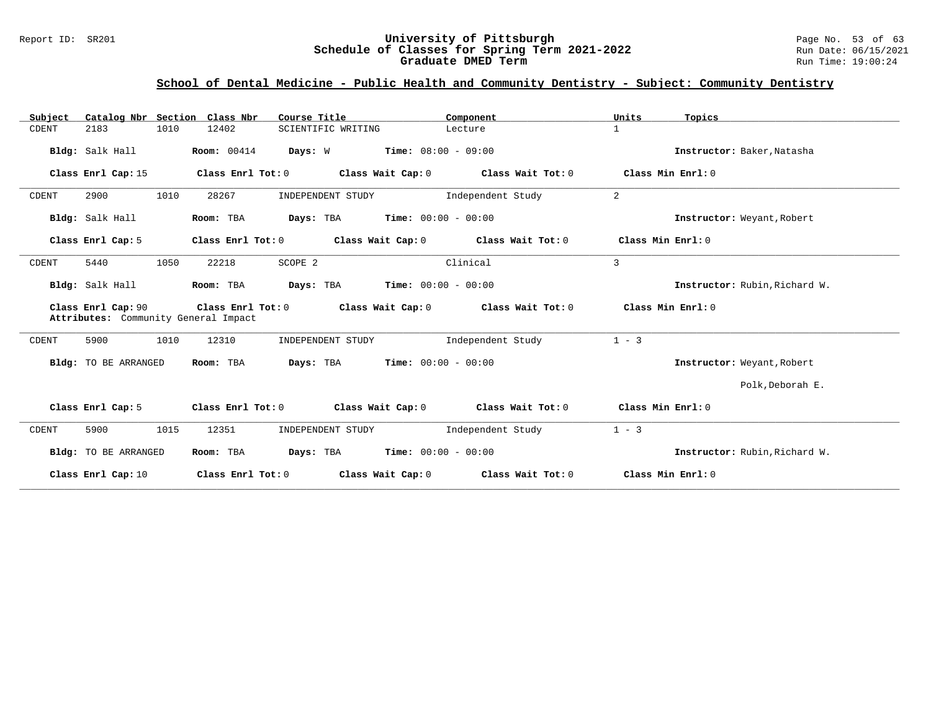#### Report ID: SR201 **University of Pittsburgh** Page No. 53 of 63 **Schedule of Classes for Spring Term 2021-2022** Run Date: 06/15/2021 **Graduate DMED Term Run Time: 19:00:24**

## **School of Dental Medicine - Public Health and Community Dentistry - Subject: Community Dentistry**

| Catalog Nbr Section Class Nbr<br>Subject                   | Course Title                                                | Component                               | Units<br>Topics               |
|------------------------------------------------------------|-------------------------------------------------------------|-----------------------------------------|-------------------------------|
| 2183<br>1010<br>CDENT                                      | 12402<br>SCIENTIFIC WRITING                                 | Lecture                                 | $\mathbf{1}$                  |
| Bldg: Salk Hall                                            | <b>Room:</b> 00414<br>Days: W                               | $Time: 08:00 - 09:00$                   | Instructor: Baker, Natasha    |
| Class Enrl Cap: 15                                         | Class Enrl Tot: $0$ Class Wait Cap: $0$ Class Wait Tot: $0$ |                                         | Class Min Enrl: 0             |
| 1010<br>2900<br>CDENT                                      | 28267<br>INDEPENDENT STUDY                                  | Independent Study                       | 2                             |
| Bldg: Salk Hall                                            | <b>Days:</b> TBA <b>Time:</b> $00:00 - 00:00$<br>Room: TBA  |                                         | Instructor: Weyant, Robert    |
| Class Enrl Cap: 5                                          | Class Enrl Tot: 0<br>Class Wait Cap: 0                      | Class Wait Tot: 0                       | Class Min Enrl: 0             |
| 1050<br>5440<br>CDENT                                      | 22218<br>SCOPE 2                                            | Clinical                                | $\overline{3}$                |
| Bldg: Salk Hall                                            | <b>Days:</b> TBA <b>Time:</b> $00:00 - 00:00$<br>Room: TBA  |                                         | Instructor: Rubin, Richard W. |
| Class Enrl Cap: 90<br>Attributes: Community General Impact | Class Enrl Tot: 0                                           | Class Wait Cap: $0$ Class Wait Tot: $0$ | Class Min Enrl: 0             |
| 5900<br>1010<br>CDENT                                      | 12310<br>INDEPENDENT STUDY                                  | Independent Study                       | $1 - 3$                       |
| Bldg: TO BE ARRANGED                                       | Room: TBA<br><b>Days:</b> TBA <b>Time:</b> $00:00 - 00:00$  |                                         | Instructor: Weyant, Robert    |
|                                                            |                                                             |                                         | Polk, Deborah E.              |
| Class Enrl Cap: 5                                          | Class Wait Cap: 0<br>Class Enrl Tot: 0                      | Class Wait Tot: 0                       | Class Min Enrl: 0             |
| CDENT<br>5900<br>1015                                      | 12351<br>INDEPENDENT STUDY                                  | Independent Study                       | $1 - 3$                       |
| Bldg: TO BE ARRANGED                                       | <b>Days:</b> TBA <b>Time:</b> $00:00 - 00:00$<br>Room: TBA  |                                         | Instructor: Rubin, Richard W. |
| Class Enrl Cap: 10                                         | Class Enrl Tot: 0                                           | Class Wait Cap: 0 Class Wait Tot: 0     | Class Min Enrl: 0             |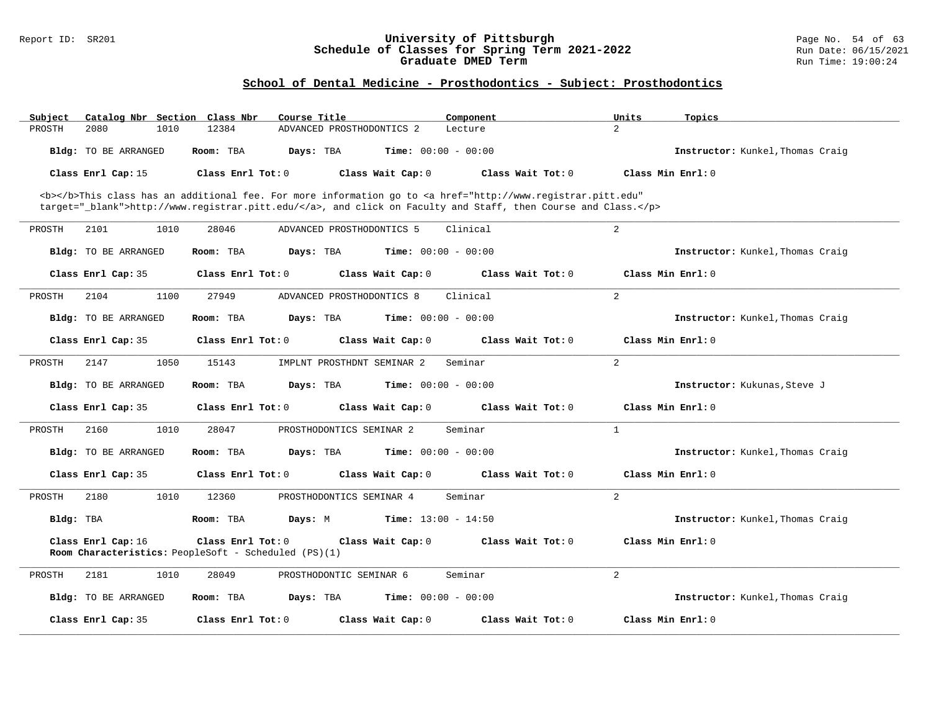#### Report ID: SR201 **University of Pittsburgh** Page No. 54 of 63 **Schedule of Classes for Spring Term 2021-2022** Run Date: 06/15/2021 **Graduate DMED Term Run Time: 19:00:24**

| Subject<br>Catalog Nbr Section | Class Nbr<br>Course Title                                                                                                                      | Component         | Units<br>Topics                         |
|--------------------------------|------------------------------------------------------------------------------------------------------------------------------------------------|-------------------|-----------------------------------------|
| PROSTH<br>2080<br>1010         | 12384<br>ADVANCED PROSTHODONTICS 2                                                                                                             | Lecture           | $\overline{2}$                          |
| <b>Bldg:</b> TO BE ARRANGED    | <b>Time:</b> $00:00 - 00:00$<br>Room: TBA<br>Days: TBA                                                                                         |                   | <b>Instructor:</b> Kunkel, Thomas Craig |
| Class Enrl Cap: 15             | Class Enrl Tot: 0<br>Class Wait Cap: 0                                                                                                         | Class Wait Tot: 0 | Class Min Enrl: 0                       |
|                                | <b></b> This class has an additional fee. For more information go to <a <="" href="http://www.registrar.pitt.edu" td=""><td></td><td></td></a> |                   |                                         |
|                                | target="_blank">http://www.registrar.pitt.edu/, and click on Faculty and Staff, then Course and Class.                                         |                   |                                         |
| PROSTH<br>2101<br>1010         | 28046<br>ADVANCED PROSTHODONTICS 5                                                                                                             | Clinical          | 2                                       |
| <b>Bldg:</b> TO BE ARRANGED    | Room: TBA<br>Days: TBA<br><b>Time:</b> $00:00 - 00:00$                                                                                         |                   | Instructor: Kunkel, Thomas Craig        |
| Class Enrl Cap: 35             | Class Enrl Tot: 0<br>Class Wait Cap: 0                                                                                                         | Class Wait Tot: 0 | Class Min Enrl: 0                       |
| PROSTH<br>2104<br>1100         | 27949<br>ADVANCED PROSTHODONTICS 8                                                                                                             | Clinical          | 2                                       |
| <b>Bldg:</b> TO BE ARRANGED    | Room: TBA<br>Days: TBA<br><b>Time:</b> $00:00 - 00:00$                                                                                         |                   | <b>Instructor:</b> Kunkel, Thomas Craig |
| Class Enrl Cap: 35             | Class Enrl Tot: 0<br>Class Wait Cap: 0                                                                                                         | Class Wait Tot: 0 | Class Min Enrl: 0                       |
| 2147<br>1050<br>PROSTH         | 15143<br>IMPLNT PROSTHDNT SEMINAR 2                                                                                                            | Seminar           | 2                                       |
| <b>Bldg:</b> TO BE ARRANGED    | Room: TBA<br>Days: TBA<br><b>Time:</b> $00:00 - 00:00$                                                                                         |                   | Instructor: Kukunas, Steve J            |
| Class Enrl Cap: 35             | Class Enrl Tot: 0<br>Class Wait Cap: 0                                                                                                         | Class Wait Tot: 0 | Class Min Enrl: 0                       |
| PROSTH<br>2160<br>1010         | 28047<br>PROSTHODONTICS SEMINAR 2                                                                                                              | Seminar           | $\mathbf{1}$                            |
| <b>Bldg:</b> TO BE ARRANGED    | Days: TBA<br><b>Time:</b> $00:00 - 00:00$<br>Room: TBA                                                                                         |                   | Instructor: Kunkel, Thomas Craig        |
| Class Enrl Cap: 35             | Class Enrl Tot: 0<br>Class Wait Cap: 0                                                                                                         | Class Wait Tot: 0 | Class Min Enrl: 0                       |
| PROSTH<br>2180<br>1010         | 12360<br>PROSTHODONTICS SEMINAR 4                                                                                                              | Seminar           | 2                                       |
| Bldg: TBA                      | Room: TBA<br><b>Time:</b> $13:00 - 14:50$<br>Days: M                                                                                           |                   | Instructor: Kunkel, Thomas Craig        |
| Class Enrl Cap: 16             | Class Enrl Tot: 0<br>Class Wait Cap: 0<br>Room Characteristics: PeopleSoft - Scheduled (PS)(1)                                                 | Class Wait Tot: 0 | Class Min Enrl: 0                       |
|                                |                                                                                                                                                |                   |                                         |
| PROSTH<br>2181<br>1010         | 28049<br>PROSTHODONTIC SEMINAR 6                                                                                                               | Seminar           | 2                                       |
| Bldg: TO BE ARRANGED           | <b>Time:</b> $00:00 - 00:00$<br>Room: TBA<br>Days: TBA                                                                                         |                   | Instructor: Kunkel, Thomas Craig        |
| Class Enrl Cap: 35             | Class Enrl Tot: 0<br>Class Wait Cap: 0                                                                                                         | Class Wait Tot: 0 | Class Min Enrl: 0                       |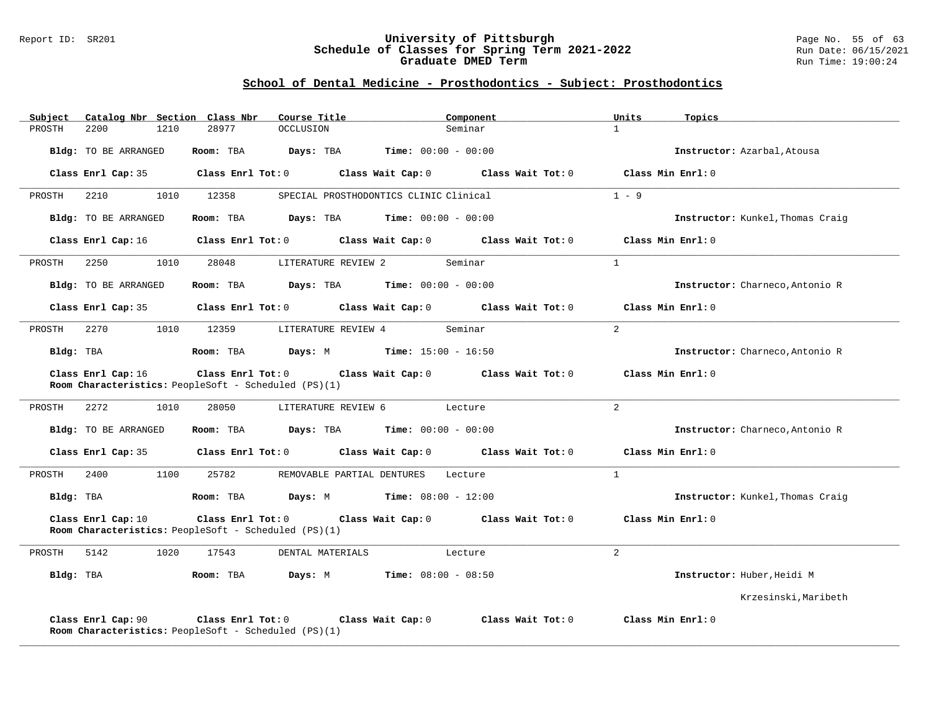#### Report ID: SR201 **University of Pittsburgh** Page No. 55 of 63 **Schedule of Classes for Spring Term 2021-2022** Run Date: 06/15/2021 **Graduate DMED Term Run Time: 19:00:24**

| Subject   |                      |      | Catalog Nbr Section Class Nbr                                             | Course Title                                         |                                        | Component                                                                      | Units          | Topics                           |
|-----------|----------------------|------|---------------------------------------------------------------------------|------------------------------------------------------|----------------------------------------|--------------------------------------------------------------------------------|----------------|----------------------------------|
| PROSTH    | 2200                 | 1210 | 28977                                                                     | OCCLUSION                                            | Seminar                                |                                                                                | $\mathbf{1}$   |                                  |
|           | Bldg: TO BE ARRANGED |      | Room: TBA                                                                 | <b>Days:</b> TBA <b>Time:</b> $00:00 - 00:00$        |                                        |                                                                                |                | Instructor: Azarbal, Atousa      |
|           |                      |      |                                                                           |                                                      |                                        | Class Enrl Cap: 35 (Class Enrl Tot: 0) (Class Wait Cap: 0) (Class Wait Tot: 0) |                | Class Min Enrl: 0                |
| PROSTH    | 2210                 | 1010 | 12358                                                                     |                                                      | SPECIAL PROSTHODONTICS CLINIC Clinical |                                                                                | $1 - 9$        |                                  |
|           | Bldg: TO BE ARRANGED |      | Room: TBA                                                                 | <b>Days:</b> TBA <b>Time:</b> $00:00 - 00:00$        |                                        |                                                                                |                | Instructor: Kunkel, Thomas Craig |
|           | Class Enrl Cap: 16   |      | Class Enrl Tot: 0                                                         |                                                      |                                        | Class Wait Cap: 0 Class Wait Tot: 0                                            |                | Class Min Enrl: 0                |
| PROSTH    | 2250                 | 1010 | 28048                                                                     | LITERATURE REVIEW 2                                  | Seminar                                |                                                                                | $\overline{1}$ |                                  |
|           | Bldg: TO BE ARRANGED |      | Room: TBA                                                                 | $\texttt{Davis:}$ TBA $\texttt{Time:}$ 00:00 - 00:00 |                                        |                                                                                |                | Instructor: Charneco, Antonio R  |
|           | Class Enrl Cap: 35   |      |                                                                           |                                                      |                                        | Class Enrl Tot: 0 Class Wait Cap: 0 Class Wait Tot: 0                          |                | Class Min Enrl: 0                |
| PROSTH    | 2270                 | 1010 | 12359                                                                     | LITERATURE REVIEW 4                                  | Seminar                                |                                                                                | $\overline{a}$ |                                  |
| Bldg: TBA |                      |      | Room: TBA                                                                 | <b>Days:</b> M <b>Time:</b> $15:00 - 16:50$          |                                        |                                                                                |                | Instructor: Charneco, Antonio R  |
|           | Class Enrl Cap: 16   |      | Room Characteristics: PeopleSoft - Scheduled (PS)(1)                      |                                                      |                                        | Class Enrl Tot: 0 Class Wait Cap: 0 Class Wait Tot: 0                          |                | Class Min Enrl: 0                |
| PROSTH    | 2272                 | 1010 | 28050                                                                     | LITERATURE REVIEW 6                                  | Lecture                                |                                                                                | $2^{1}$        |                                  |
|           | Bldg: TO BE ARRANGED |      | Room: TBA                                                                 | $Days: TBA$ Time: $00:00 - 00:00$                    |                                        |                                                                                |                | Instructor: Charneco, Antonio R  |
|           | Class Enrl Cap: 35   |      |                                                                           | Class Enrl Tot: 0 Class Wait Cap: 0                  |                                        | Class Wait Tot: 0                                                              |                | Class Min Enrl: 0                |
| PROSTH    | 2400                 | 1100 | 25782                                                                     | REMOVABLE PARTIAL DENTURES                           | Lecture                                |                                                                                | $\overline{1}$ |                                  |
|           | Bldg: TBA            |      | Room: TBA                                                                 | <b>Days:</b> M <b>Time:</b> $08:00 - 12:00$          |                                        |                                                                                |                | Instructor: Kunkel, Thomas Craig |
|           | Class Enrl Cap: 10   |      | Class Enrl Tot: 0<br>Room Characteristics: PeopleSoft - Scheduled (PS)(1) |                                                      |                                        | Class Wait Cap: 0 Class Wait Tot: 0                                            |                | Class Min Enrl: 0                |
| PROSTH    | 5142                 | 1020 | 17543                                                                     | DENTAL MATERIALS                                     | Lecture                                |                                                                                | $\overline{a}$ |                                  |
| Bldg: TBA |                      |      | Room: TBA                                                                 | Days: M                                              | <b>Time:</b> $08:00 - 08:50$           |                                                                                |                | Instructor: Huber, Heidi M       |
|           |                      |      |                                                                           |                                                      |                                        |                                                                                |                | Krzesinski, Maribeth             |
|           | Class Enrl Cap: 90   |      | Class Enrl Tot: 0<br>Room Characteristics: PeopleSoft - Scheduled (PS)(1) | Class Wait Cap: 0                                    |                                        | Class Wait Tot: 0                                                              |                | Class Min Enrl: 0                |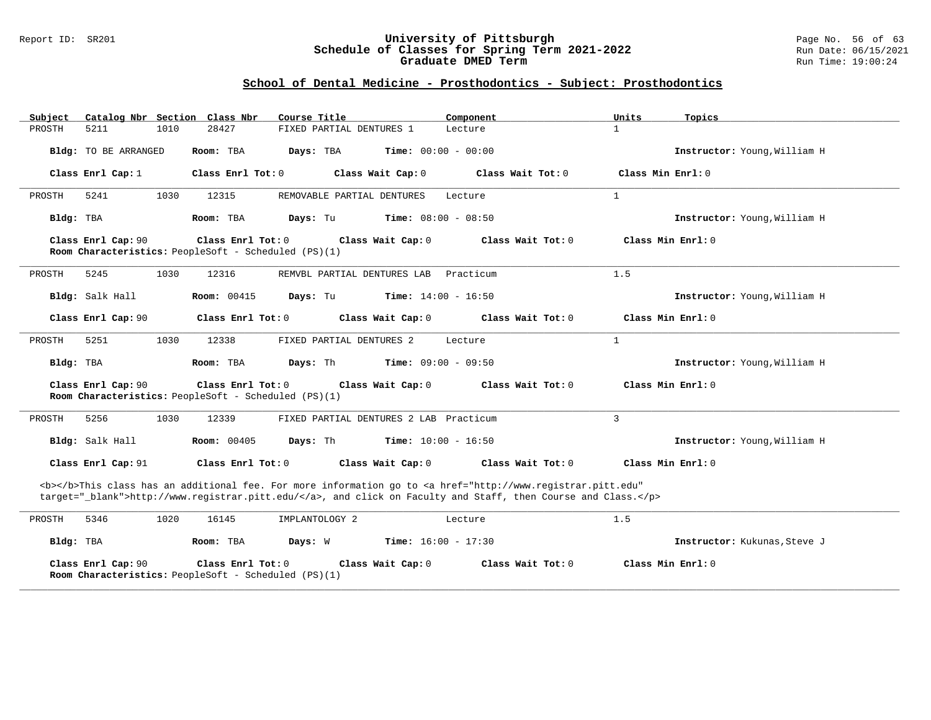#### Report ID: SR201 **University of Pittsburgh** Page No. 56 of 63 **Schedule of Classes for Spring Term 2021-2022** Run Date: 06/15/2021 **Graduate DMED Term Run Time: 19:00:24**

| Subject                                                                                                                                                                                                                            |                      |      | Catalog Nbr Section Class Nbr                                             | Course Title                           |                   | Component                    | Units               | Topics                       |
|------------------------------------------------------------------------------------------------------------------------------------------------------------------------------------------------------------------------------------|----------------------|------|---------------------------------------------------------------------------|----------------------------------------|-------------------|------------------------------|---------------------|------------------------------|
| PROSTH                                                                                                                                                                                                                             | 5211                 | 1010 | 28427                                                                     | FIXED PARTIAL DENTURES 1               |                   | Lecture                      | $\mathbf{1}$        |                              |
|                                                                                                                                                                                                                                    | Bldg: TO BE ARRANGED |      | Room: TBA                                                                 | Days: TBA                              |                   | Time: $00:00 - 00:00$        |                     | Instructor: Young, William H |
|                                                                                                                                                                                                                                    | Class Enrl Cap: 1    |      | Class Enrl Tot: 0                                                         |                                        | Class Wait Cap: 0 | Class Wait $Tot: 0$          | Class Min $Enrl: 0$ |                              |
| PROSTH                                                                                                                                                                                                                             | 5241                 | 1030 | 12315                                                                     | REMOVABLE PARTIAL DENTURES             |                   | Lecture                      | $\mathbf{1}$        |                              |
| Bldg: TBA                                                                                                                                                                                                                          |                      |      | Room: TBA                                                                 | Days: Tu                               |                   | <b>Time:</b> $08:00 - 08:50$ |                     | Instructor: Young, William H |
|                                                                                                                                                                                                                                    | Class Enrl Cap: 90   |      | Class Enrl Tot: 0<br>Room Characteristics: PeopleSoft - Scheduled (PS)(1) |                                        | Class Wait Cap: 0 | Class Wait Tot: 0            |                     | Class Min Enrl: 0            |
| PROSTH                                                                                                                                                                                                                             | 5245                 | 1030 | 12316                                                                     | REMVBL PARTIAL DENTURES LAB            |                   | Practicum                    | 1.5                 |                              |
|                                                                                                                                                                                                                                    | Bldg: Salk Hall      |      | <b>Room:</b> 00415                                                        | Days: Tu                               |                   | <b>Time:</b> $14:00 - 16:50$ |                     | Instructor: Young, William H |
|                                                                                                                                                                                                                                    | Class Enrl Cap: 90   |      | Class Enrl Tot: 0                                                         |                                        | Class Wait Cap: 0 | Class Wait Tot: 0            |                     | Class Min Enrl: 0            |
| PROSTH                                                                                                                                                                                                                             | 5251                 | 1030 | 12338                                                                     | FIXED PARTIAL DENTURES 2               |                   | Lecture                      | $\mathbf{1}$        |                              |
| Bldg: TBA                                                                                                                                                                                                                          |                      |      | Room: TBA                                                                 | Days: Th                               |                   | <b>Time:</b> $09:00 - 09:50$ |                     | Instructor: Young, William H |
|                                                                                                                                                                                                                                    | Class Enrl Cap: 90   |      | Class Enrl Tot: 0<br>Room Characteristics: PeopleSoft - Scheduled (PS)(1) |                                        | Class Wait Cap: 0 | Class Wait Tot: 0            |                     | Class Min Enrl: 0            |
| PROSTH                                                                                                                                                                                                                             | 5256                 | 1030 | 12339                                                                     | FIXED PARTIAL DENTURES 2 LAB Practicum |                   |                              | 3                   |                              |
|                                                                                                                                                                                                                                    | Bldg: Salk Hall      |      | Room: 00405                                                               | Days: Th                               |                   | <b>Time:</b> $10:00 - 16:50$ |                     | Instructor: Young, William H |
|                                                                                                                                                                                                                                    | Class Enrl Cap: 91   |      | Class Enrl Tot: 0                                                         |                                        | Class Wait Cap: 0 | Class Wait Tot: 0            |                     | Class Min Enrl: 0            |
| <b></b> This class has an additional fee. For more information go to <a <br="" href="http://www.registrar.pitt.edu">target="_blank"&gt;http://www.registrar.pitt.edu/</a> , and click on Faculty and Staff, then Course and Class. |                      |      |                                                                           |                                        |                   |                              |                     |                              |
| PROSTH                                                                                                                                                                                                                             | 5346                 | 1020 | 16145                                                                     | IMPLANTOLOGY 2                         |                   | Lecture                      | 1.5                 |                              |
| Bldg: TBA                                                                                                                                                                                                                          |                      |      | Room: TBA                                                                 | Days: W                                |                   | <b>Time:</b> $16:00 - 17:30$ |                     | Instructor: Kukunas, Steve J |
|                                                                                                                                                                                                                                    | Class Enrl Cap: 90   |      | Class Enrl Tot: 0<br>Room Characteristics: PeopleSoft - Scheduled (PS)(1) |                                        | Class Wait Cap: 0 | Class Wait Tot: 0            |                     | Class Min Enrl: 0            |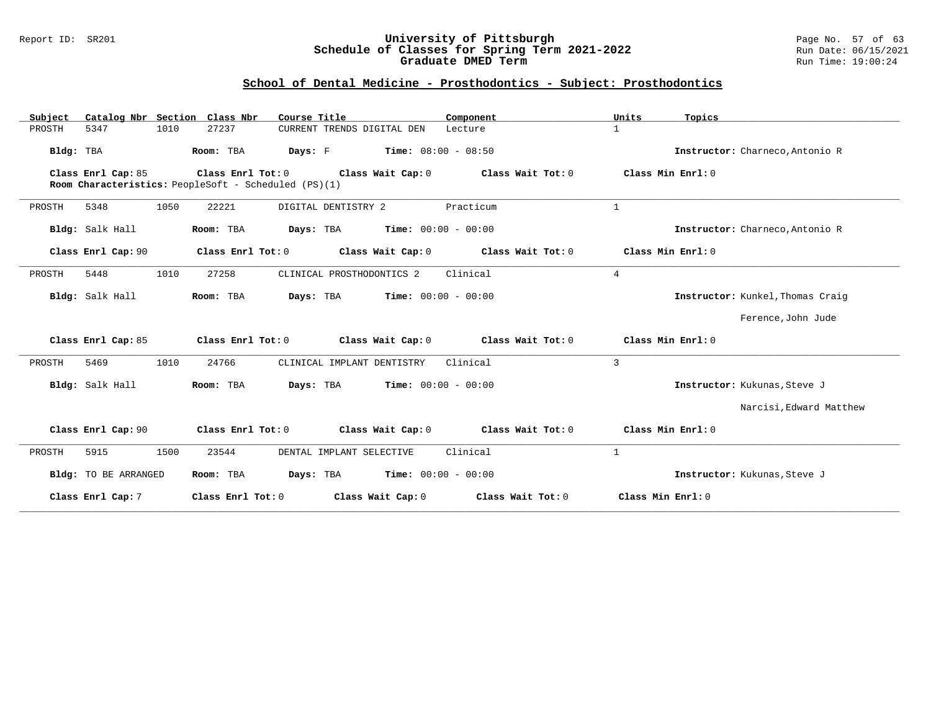#### Report ID: SR201 **University of Pittsburgh** Page No. 57 of 63 **Schedule of Classes for Spring Term 2021-2022** Run Date: 06/15/2021 **Graduate DMED Term Run Time: 19:00:24**

| Catalog Nbr Section Class Nbr<br>Subject | Course Title                                                                                   | Component             | Units<br>Topics                  |
|------------------------------------------|------------------------------------------------------------------------------------------------|-----------------------|----------------------------------|
| PROSTH<br>5347<br>1010                   | 27237<br>CURRENT TRENDS DIGITAL DEN                                                            | Lecture               | $\mathbf{1}$                     |
| Bldg: TBA                                | Room: TBA<br>Days: F<br><b>Time:</b> $08:00 - 08:50$                                           |                       | Instructor: Charneco, Antonio R  |
| Class Enrl Cap: 85                       | Class Enrl Tot: 0<br>Class Wait Cap: 0<br>Room Characteristics: PeopleSoft - Scheduled (PS)(1) | Class Wait Tot: 0     | Class Min Enrl: 0                |
| 1050<br>PROSTH<br>5348                   | 22221<br>DIGITAL DENTISTRY 2                                                                   | Practicum             | $\mathbf{1}$                     |
| Bldg: Salk Hall                          | Days: TBA<br>Room: TBA                                                                         | $Time: 00:00 - 00:00$ | Instructor: Charneco, Antonio R  |
| Class Enrl Cap: 90                       | Class Wait Cap: 0<br>Class Enrl Tot: 0                                                         | Class Wait Tot: 0     | Class Min Enrl: 0                |
| 1010<br>5448<br>PROSTH                   | 27258<br>CLINICAL PROSTHODONTICS 2                                                             | Clinical              | 4                                |
| Bldg: Salk Hall                          | $Time: 00:00 - 00:00$<br>Room: TBA<br>Days: TBA                                                |                       | Instructor: Kunkel, Thomas Craig |
|                                          |                                                                                                |                       | Ference, John Jude               |
| Class Enrl Cap: 85                       | Class Enrl Tot: 0<br>Class Wait Cap: 0                                                         | Class Wait Tot: 0     | Class Min Enrl: 0                |
| 5469<br>1010<br>PROSTH                   | 24766<br>CLINICAL IMPLANT DENTISTRY                                                            | Clinical              | 3                                |
| Bldg: Salk Hall                          | Days: TBA<br>$Time: 00:00 - 00:00$<br>Room: TBA                                                |                       | Instructor: Kukunas, Steve J     |
|                                          |                                                                                                |                       | Narcisi, Edward Matthew          |
| Class Enrl Cap: 90                       | Class Enrl Tot: 0<br>Class Wait Cap: 0                                                         | Class Wait Tot: 0     | Class Min Enrl: 0                |
| PROSTH<br>5915<br>1500                   | 23544<br>DENTAL IMPLANT SELECTIVE                                                              | Clinical              | $\mathbf{1}$                     |
| Bldg: TO BE ARRANGED                     | <b>Days:</b> TBA <b>Time:</b> $00:00 - 00:00$<br>Room: TBA                                     |                       | Instructor: Kukunas, Steve J     |
| Class Enrl Cap: 7                        | Class Enrl Tot: 0<br>Class Wait Cap: 0                                                         | Class Wait Tot: 0     | Class Min Enrl: 0                |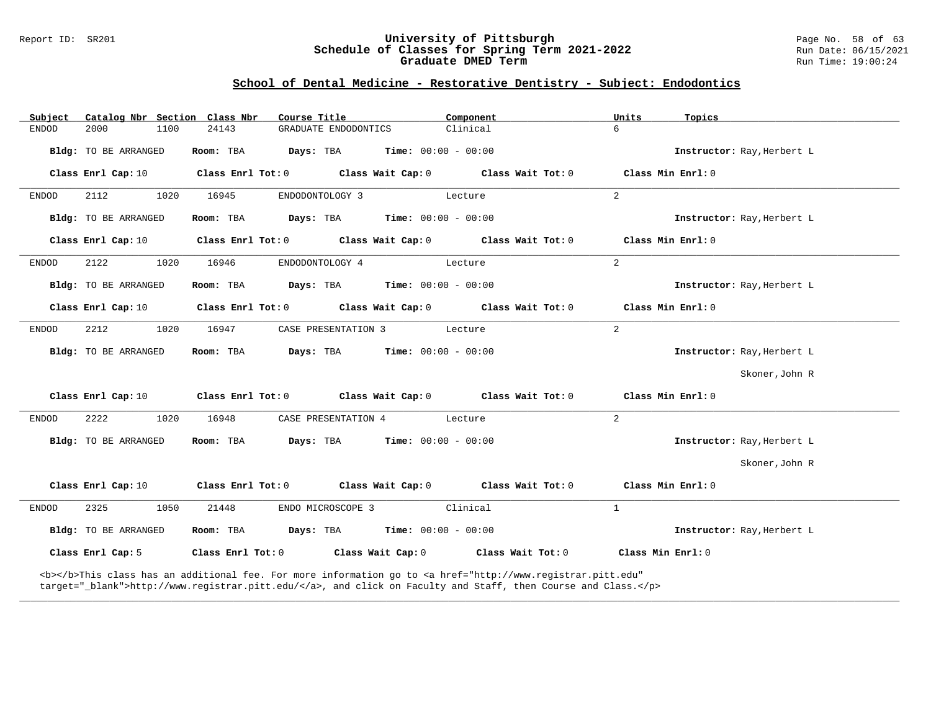#### Report ID: SR201 **University of Pittsburgh** Page No. 58 of 63 **Schedule of Classes for Spring Term 2021-2022** Run Date: 06/15/2021 **Graduate DMED Term Run Time: 19:00:24**

## **School of Dental Medicine - Restorative Dentistry - Subject: Endodontics**

| Subject                      | Catalog Nbr Section Class Nbr<br>Course Title                                                                                                                                                                                      | Component                                     | Units<br>Topics            |
|------------------------------|------------------------------------------------------------------------------------------------------------------------------------------------------------------------------------------------------------------------------------|-----------------------------------------------|----------------------------|
| 2000<br><b>ENDOD</b><br>1100 | 24143<br>GRADUATE ENDODONTICS                                                                                                                                                                                                      | Clinical                                      | 6                          |
| Bldg: TO BE ARRANGED         | Days: TBA<br>Room: TBA                                                                                                                                                                                                             | <b>Time:</b> $00:00 - 00:00$                  | Instructor: Ray, Herbert L |
| Class Enrl Cap: 10           | Class Enrl Tot: 0<br>Class Wait Cap: 0                                                                                                                                                                                             | Class Wait Tot: 0                             | Class Min Enrl: 0          |
| 2112<br>1020<br><b>ENDOD</b> | ENDODONTOLOGY 3<br>16945                                                                                                                                                                                                           | Lecture                                       | 2                          |
| Bldg: TO BE ARRANGED         | Room: TBA                                                                                                                                                                                                                          | <b>Days:</b> TBA <b>Time:</b> $00:00 - 00:00$ | Instructor: Ray, Herbert L |
| Class Enrl Cap: 10           | Class Enrl Tot: 0 Class Wait Cap: 0 Class Wait Tot: 0                                                                                                                                                                              |                                               | Class Min Enrl: 0          |
| ENDOD<br>2122<br>1020        | ENDODONTOLOGY 4<br>16946                                                                                                                                                                                                           | Lecture                                       | 2                          |
| Bldg: TO BE ARRANGED         | <b>Days:</b> TBA <b>Time:</b> $00:00 - 00:00$<br>Room: TBA                                                                                                                                                                         |                                               | Instructor: Ray, Herbert L |
| Class Enrl Cap: 10           | $Class$ $Enr1$ $Tot: 0$                                                                                                                                                                                                            | Class Wait Cap: 0 Class Wait Tot: 0           | Class Min Enrl: 0          |
| 2212<br>1020<br>ENDOD        | CASE PRESENTATION 3<br>16947                                                                                                                                                                                                       | Lecture                                       | 2                          |
| Bldg: TO BE ARRANGED         | <b>Days:</b> TBA <b>Time:</b> $00:00 - 00:00$<br>Room: TBA                                                                                                                                                                         |                                               | Instructor: Ray, Herbert L |
|                              |                                                                                                                                                                                                                                    |                                               | Skoner, John R             |
| Class Enrl Cap: 10           | Class Enrl Tot: 0 Class Wait Cap: 0 Class Wait Tot: 0                                                                                                                                                                              |                                               | Class Min Enrl: 0          |
| 2222<br>1020<br>ENDOD        | 16948<br>CASE PRESENTATION 4                                                                                                                                                                                                       | Lecture                                       | $\overline{2}$             |
| Bldg: TO BE ARRANGED         | <b>Days:</b> TBA <b>Time:</b> $00:00 - 00:00$<br>Room: TBA                                                                                                                                                                         |                                               | Instructor: Ray, Herbert L |
|                              |                                                                                                                                                                                                                                    |                                               | Skoner, John R             |
| Class Enrl Cap: 10           | Class Enrl Tot: 0 Class Wait Cap: 0 Class Wait Tot: 0                                                                                                                                                                              |                                               | Class Min Enrl: 0          |
| 2325<br>1050<br>ENDOD        | 21448<br>ENDO MICROSCOPE 3                                                                                                                                                                                                         | Clinical                                      | $\mathbf{1}$               |
| Bldg: TO BE ARRANGED         | $\texttt{DayS:}$ TBA $\texttt{Time:}$ 00:00 - 00:00<br>Room: TBA                                                                                                                                                                   |                                               | Instructor: Ray, Herbert L |
| Class Enrl Cap: 5            | Class Enrl Tot: 0 Class Wait Cap: 0                                                                                                                                                                                                | Class Wait Tot: 0                             | Class Min Enrl: 0          |
|                              | <b></b> This class has an additional fee. For more information go to <a <br="" href="http://www.registrar.pitt.edu">target="_blank"&gt;http://www.registrar.pitt.edu/</a> , and click on Faculty and Staff, then Course and Class. |                                               |                            |

**\_\_\_\_\_\_\_\_\_\_\_\_\_\_\_\_\_\_\_\_\_\_\_\_\_\_\_\_\_\_\_\_\_\_\_\_\_\_\_\_\_\_\_\_\_\_\_\_\_\_\_\_\_\_\_\_\_\_\_\_\_\_\_\_\_\_\_\_\_\_\_\_\_\_\_\_\_\_\_\_\_\_\_\_\_\_\_\_\_\_\_\_\_\_\_\_\_\_\_\_\_\_\_\_\_\_\_\_\_\_\_\_\_\_\_\_\_\_\_\_\_\_\_\_\_\_\_\_\_\_\_\_\_\_\_\_\_\_\_\_\_\_\_\_\_\_\_\_\_\_\_\_\_\_\_\_**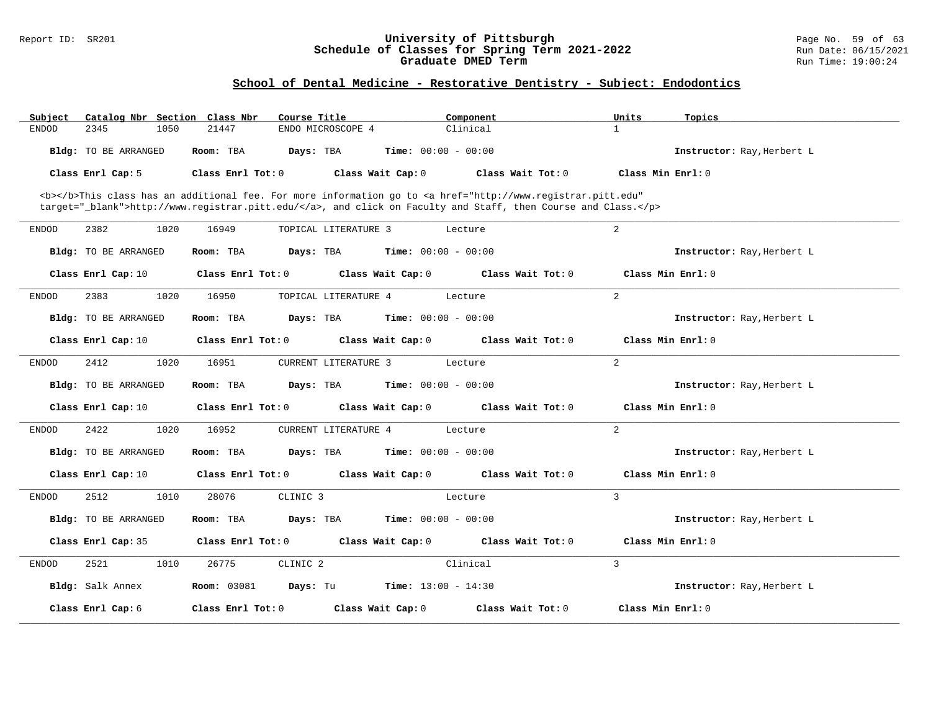#### Report ID: SR201 **University of Pittsburgh** Page No. 59 of 63 **Schedule of Classes for Spring Term 2021-2022** Run Date: 06/15/2021 **Graduate DMED Term Run Time: 19:00:24**

## **School of Dental Medicine - Restorative Dentistry - Subject: Endodontics**

| Subject<br>Catalog Nbr Section Class Nbr | Course Title                         | Component                                                                                                                                                                                                                          | Topics<br>Units            |
|------------------------------------------|--------------------------------------|------------------------------------------------------------------------------------------------------------------------------------------------------------------------------------------------------------------------------------|----------------------------|
| 2345<br><b>ENDOD</b><br>1050             | 21447<br>ENDO MICROSCOPE 4           | Clinical                                                                                                                                                                                                                           | $\mathbf{1}$               |
| Bldg: TO BE ARRANGED                     | Room: TBA<br>Days: TBA               | <b>Time:</b> $00:00 - 00:00$                                                                                                                                                                                                       | Instructor: Ray, Herbert L |
| Class Enrl Cap: 5                        | Class Enrl Tot: 0                    | Class Wait Cap: 0<br>Class Wait Tot: 0                                                                                                                                                                                             | Class Min Enrl: 0          |
|                                          |                                      | <b></b> This class has an additional fee. For more information go to <a <br="" href="http://www.registrar.pitt.edu">target="_blank"&gt;http://www.registrar.pitt.edu/</a> , and click on Faculty and Staff, then Course and Class. |                            |
| 2382<br>1020<br><b>ENDOD</b>             | 16949<br>TOPICAL LITERATURE 3        | Lecture                                                                                                                                                                                                                            | 2                          |
| Bldg: TO BE ARRANGED                     | Room: TBA<br>Days: TBA               | <b>Time:</b> $00:00 - 00:00$                                                                                                                                                                                                       | Instructor: Ray, Herbert L |
| Class Enrl Cap: 10                       | Class Enrl Tot: 0                    | Class Wait Cap: 0<br>Class Wait Tot: 0                                                                                                                                                                                             | Class Min Enrl: 0          |
| 2383<br>1020<br><b>ENDOD</b>             | 16950<br>TOPICAL LITERATURE 4        | Lecture                                                                                                                                                                                                                            | $\overline{a}$             |
| Bldg: TO BE ARRANGED                     | Room: TBA<br>Days: TBA               | <b>Time:</b> $00:00 - 00:00$                                                                                                                                                                                                       | Instructor: Ray, Herbert L |
| Class Enrl Cap: 10                       | Class Enrl Tot: 0                    | Class Wait Cap: 0<br>Class Wait Tot: 0                                                                                                                                                                                             | Class Min Enrl: 0          |
| 2412<br>1020<br>ENDOD                    | 16951<br><b>CURRENT LITERATURE 3</b> | Lecture                                                                                                                                                                                                                            | 2                          |
| Bldg: TO BE ARRANGED                     | Room: TBA<br>Days: TBA               | <b>Time:</b> $00:00 - 00:00$                                                                                                                                                                                                       | Instructor: Ray, Herbert L |
| Class Enrl Cap: 10                       | Class Enrl Tot: 0                    | Class Wait Cap: 0<br>Class Wait Tot: 0                                                                                                                                                                                             | Class Min Enrl: 0          |
| 2422<br>1020<br>ENDOD                    | 16952<br><b>CURRENT LITERATURE 4</b> | Lecture                                                                                                                                                                                                                            | 2                          |
| Bldg: TO BE ARRANGED                     | Room: TBA<br>Days: TBA               | <b>Time:</b> $00:00 - 00:00$                                                                                                                                                                                                       | Instructor: Ray, Herbert L |
| Class Enrl Cap: 10                       | Class Enrl Tot: 0                    | Class Wait Cap: 0<br>Class Wait Tot: 0                                                                                                                                                                                             | Class Min Enrl: 0          |
| <b>ENDOD</b><br>2512<br>1010             | 28076<br>CLINIC <sub>3</sub>         | Lecture                                                                                                                                                                                                                            | 3                          |
| Bldg: TO BE ARRANGED                     | Room: TBA<br>Days: TBA               | <b>Time:</b> $00:00 - 00:00$                                                                                                                                                                                                       | Instructor: Ray, Herbert L |
| Class Enrl Cap: 35                       | Class Enrl Tot: 0                    | Class Wait Cap: 0<br>Class Wait Tot: 0                                                                                                                                                                                             | Class Min Enrl: 0          |
| 2521<br><b>ENDOD</b><br>1010             | CLINIC <sub>2</sub><br>26775         | Clinical                                                                                                                                                                                                                           | 3                          |
| Bldg: Salk Annex                         | <b>Room: 03081</b><br>Days: Tu       | <b>Time:</b> $13:00 - 14:30$                                                                                                                                                                                                       | Instructor: Ray, Herbert L |
| Class Enrl Cap: 6                        | Class Enrl Tot: 0                    | Class Wait Cap: 0<br>Class Wait Tot: 0                                                                                                                                                                                             | Class Min Enrl: 0          |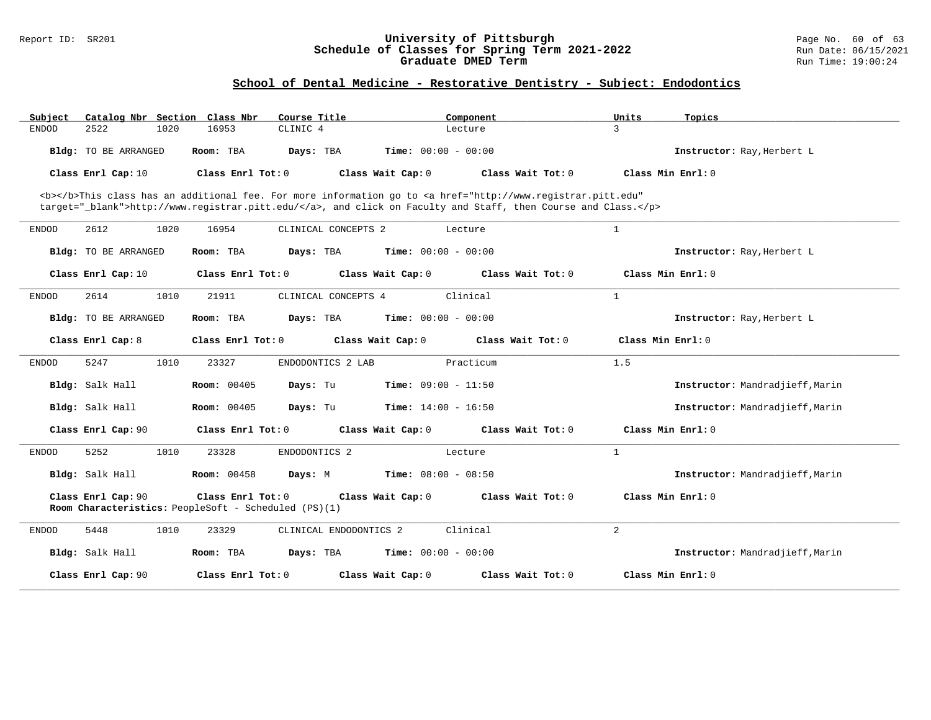#### Report ID: SR201 **University of Pittsburgh** Page No. 60 of 63 **Schedule of Classes for Spring Term 2021-2022** Run Date: 06/15/2021 **Graduate DMED Term Run Time: 19:00:24**

## **School of Dental Medicine - Restorative Dentistry - Subject: Endodontics**

| Subject      | Catalog Nbr Section Class Nbr |      |                                                                           | Course Title           |                              | Component                                                                                                                                                                                                                          | Units               | Topics                          |
|--------------|-------------------------------|------|---------------------------------------------------------------------------|------------------------|------------------------------|------------------------------------------------------------------------------------------------------------------------------------------------------------------------------------------------------------------------------------|---------------------|---------------------------------|
| <b>ENDOD</b> | 2522                          | 1020 | 16953                                                                     | CLINIC <sub>4</sub>    |                              | Lecture                                                                                                                                                                                                                            | 3                   |                                 |
|              | Bldg: TO BE ARRANGED          |      | Room: TBA                                                                 | Days: TBA              | <b>Time:</b> $00:00 - 00:00$ |                                                                                                                                                                                                                                    |                     | Instructor: Ray, Herbert L      |
|              | Class Enrl Cap: 10            |      | Class Enrl Tot: 0                                                         |                        | Class Wait Cap: 0            | Class Wait Tot: 0                                                                                                                                                                                                                  |                     | Class Min $Enrl: 0$             |
|              |                               |      |                                                                           |                        |                              | <b></b> This class has an additional fee. For more information go to <a <br="" href="http://www.registrar.pitt.edu">target="_blank"&gt;http://www.registrar.pitt.edu/</a> , and click on Faculty and Staff, then Course and Class. |                     |                                 |
| ENDOD        | 2612                          | 1020 | 16954                                                                     | CLINICAL CONCEPTS 2    |                              | Lecture                                                                                                                                                                                                                            | $\mathbf{1}$        |                                 |
|              | Bldg: TO BE ARRANGED          |      | Room: TBA                                                                 | Days: TBA              | <b>Time:</b> $00:00 - 00:00$ |                                                                                                                                                                                                                                    |                     | Instructor: Ray, Herbert L      |
|              | Class Enrl Cap: 10            |      | Class Enrl Tot: 0                                                         |                        | Class Wait Cap: 0            | Class Wait Tot: 0                                                                                                                                                                                                                  |                     | Class Min Enrl: 0               |
| <b>ENDOD</b> | 2614                          | 1010 | 21911                                                                     | CLINICAL CONCEPTS 4    |                              | Clinical                                                                                                                                                                                                                           | $\mathbf{1}$        |                                 |
|              | Bldg: TO BE ARRANGED          |      | Room: TBA                                                                 | Days: TBA              | Time: $00:00 - 00:00$        |                                                                                                                                                                                                                                    |                     | Instructor: Ray, Herbert L      |
|              | Class Enrl Cap: 8             |      | Class Enrl Tot: 0                                                         |                        | Class Wait Cap: 0            | Class Wait Tot: 0                                                                                                                                                                                                                  | Class Min $Enr1: 0$ |                                 |
| <b>ENDOD</b> | 5247                          | 1010 | 23327                                                                     | ENDODONTICS 2 LAB      |                              | Practicum                                                                                                                                                                                                                          | 1.5                 |                                 |
|              | Bldg: Salk Hall               |      | <b>Room: 00405</b>                                                        | Days: Tu               | <b>Time:</b> $09:00 - 11:50$ |                                                                                                                                                                                                                                    |                     | Instructor: Mandradjieff, Marin |
|              | Bldg: Salk Hall               |      | <b>Room: 00405</b>                                                        | Days: Tu               | <b>Time:</b> $14:00 - 16:50$ |                                                                                                                                                                                                                                    |                     | Instructor: Mandradjieff, Marin |
|              | Class Enrl Cap: 90            |      | Class Enrl Tot: 0                                                         |                        | Class Wait Cap: 0            | Class Wait Tot: 0                                                                                                                                                                                                                  |                     | Class Min Enrl: 0               |
| ENDOD        | 5252                          | 1010 | 23328                                                                     | ENDODONTICS 2          |                              | Lecture                                                                                                                                                                                                                            | $\mathbf{1}$        |                                 |
|              | Bldg: Salk Hall               |      | <b>Room: 00458</b>                                                        | Days: M                | <b>Time:</b> $08:00 - 08:50$ |                                                                                                                                                                                                                                    |                     | Instructor: Mandradjieff, Marin |
|              | Class Enrl Cap: 90            |      | Class Enrl Tot: 0<br>Room Characteristics: PeopleSoft - Scheduled (PS)(1) |                        | Class Wait Cap: 0            | Class Wait Tot: 0                                                                                                                                                                                                                  |                     | Class Min Enrl: 0               |
| <b>ENDOD</b> | 5448                          | 1010 | 23329                                                                     | CLINICAL ENDODONTICS 2 |                              | Clinical                                                                                                                                                                                                                           | 2                   |                                 |
|              | Bldg: Salk Hall               |      | Room: TBA                                                                 | Days: TBA              | <b>Time:</b> $00:00 - 00:00$ |                                                                                                                                                                                                                                    |                     | Instructor: Mandradjieff, Marin |
|              | Class Enrl Cap: 90            |      | Class Enrl Tot: 0                                                         |                        | Class Wait Cap: 0            | Class Wait Tot: 0                                                                                                                                                                                                                  |                     | Class Min Enrl: 0               |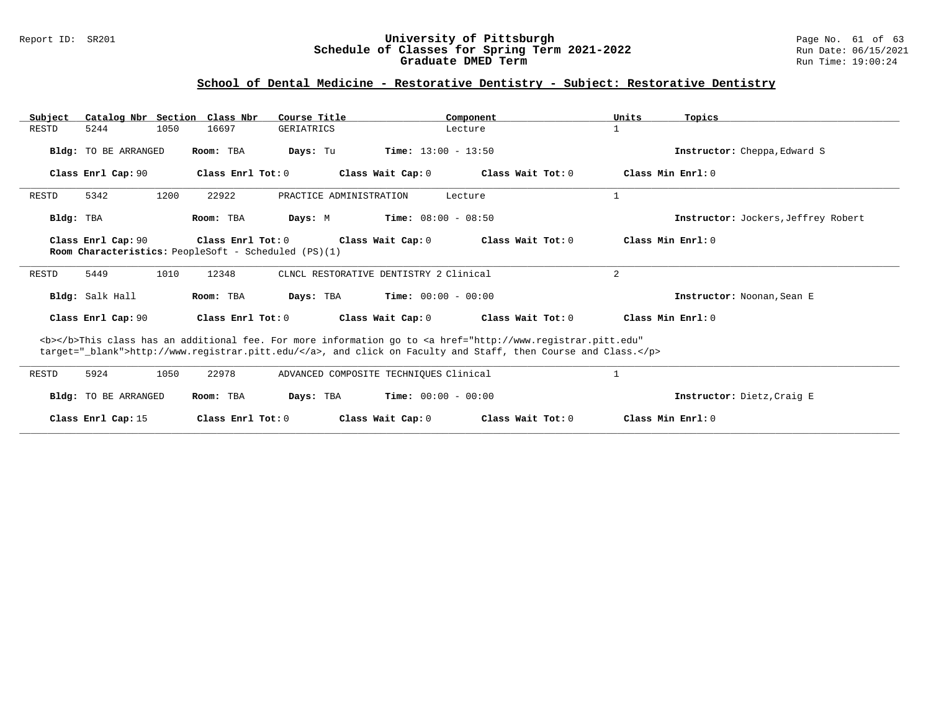#### Report ID: SR201 **University of Pittsburgh** Page No. 61 of 63 **Schedule of Classes for Spring Term 2021-2022** Run Date: 06/15/2021 **Graduate DMED Term Run Time: 19:00:24**

## **School of Dental Medicine - Restorative Dentistry - Subject: Restorative Dentistry**

| Subject                                                                                                                                                                                                                            |                             |      | Catalog Nbr Section Class Nbr | Course Title                                         |                              | Component         | Units          | Topics                              |
|------------------------------------------------------------------------------------------------------------------------------------------------------------------------------------------------------------------------------------|-----------------------------|------|-------------------------------|------------------------------------------------------|------------------------------|-------------------|----------------|-------------------------------------|
| RESTD                                                                                                                                                                                                                              | 5244                        | 1050 | 16697                         | GERIATRICS                                           |                              | Lecture           | 1              |                                     |
|                                                                                                                                                                                                                                    | Bldg: TO BE ARRANGED        |      | Room: TBA                     | Days: Tu                                             | <b>Time:</b> $13:00 - 13:50$ |                   |                | Instructor: Cheppa, Edward S        |
|                                                                                                                                                                                                                                    | Class Enrl Cap: 90          |      | Class Enrl Tot: 0             |                                                      | Class Wait Cap: 0            | Class Wait Tot: 0 |                | Class Min Enrl: 0                   |
| RESTD                                                                                                                                                                                                                              | 5342                        | 1200 | 22922                         | PRACTICE ADMINISTRATION                              |                              | Lecture           | 1              |                                     |
| Bldg: TBA                                                                                                                                                                                                                          |                             |      | Room: TBA                     | Days: M                                              | <b>Time:</b> $08:00 - 08:50$ |                   |                | Instructor: Jockers, Jeffrey Robert |
|                                                                                                                                                                                                                                    | Class Enrl Cap: 90          |      | Class Enrl Tot: 0             | Room Characteristics: PeopleSoft - Scheduled (PS)(1) | Class Wait Cap: 0            | Class Wait Tot: 0 |                | Class Min $Err1:0$                  |
| RESTD                                                                                                                                                                                                                              | 5449                        | 1010 | 12348                         | CLNCL RESTORATIVE DENTISTRY 2 Clinical               |                              |                   | $\overline{2}$ |                                     |
|                                                                                                                                                                                                                                    | Bldg: Salk Hall             |      | Room: TBA                     | Days: TBA                                            | $Time: 00:00 - 00:00$        |                   |                | Instructor: Noonan, Sean E          |
|                                                                                                                                                                                                                                    | Class Enrl Cap: 90          |      | Class $Enr1$ Tot: $0$         |                                                      | Class Wait Cap: 0            | Class Wait Tot: 0 |                | Class Min Enrl: 0                   |
| <b></b> This class has an additional fee. For more information go to <a <br="" href="http://www.registrar.pitt.edu">target="_blank"&gt;http://www.registrar.pitt.edu/</a> , and click on Faculty and Staff, then Course and Class. |                             |      |                               |                                                      |                              |                   |                |                                     |
| RESTD                                                                                                                                                                                                                              | 5924                        | 1050 | 22978                         | ADVANCED COMPOSITE TECHNIQUES Clinical               |                              |                   | 1              |                                     |
|                                                                                                                                                                                                                                    | <b>Bldg:</b> TO BE ARRANGED |      | Room: TBA                     | Days: TBA                                            | <b>Time:</b> $00:00 - 00:00$ |                   |                | Instructor: Dietz, Craig E          |
|                                                                                                                                                                                                                                    | Class Enrl Cap: 15          |      | Class Enrl Tot: 0             |                                                      | Class Wait Cap: 0            | Class Wait Tot: 0 |                | Class Min Enrl: 0                   |

**\_\_\_\_\_\_\_\_\_\_\_\_\_\_\_\_\_\_\_\_\_\_\_\_\_\_\_\_\_\_\_\_\_\_\_\_\_\_\_\_\_\_\_\_\_\_\_\_\_\_\_\_\_\_\_\_\_\_\_\_\_\_\_\_\_\_\_\_\_\_\_\_\_\_\_\_\_\_\_\_\_\_\_\_\_\_\_\_\_\_\_\_\_\_\_\_\_\_\_\_\_\_\_\_\_\_\_\_\_\_\_\_\_\_\_\_\_\_\_\_\_\_\_\_\_\_\_\_\_\_\_\_\_\_\_\_\_\_\_\_\_\_\_\_\_\_\_\_\_\_\_\_\_\_\_\_**